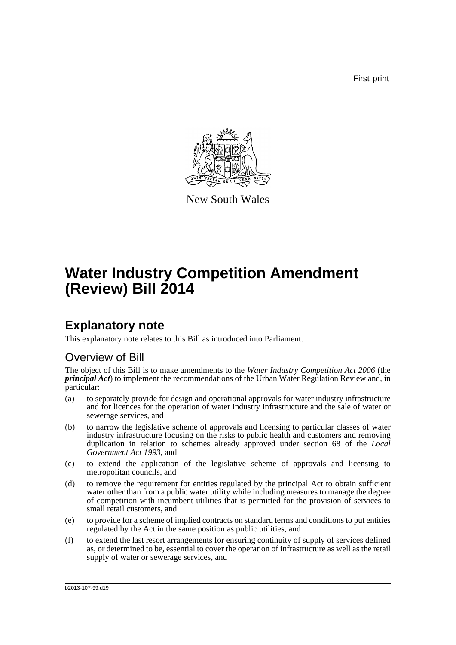First print



New South Wales

# **Water Industry Competition Amendment (Review) Bill 2014**

## **Explanatory note**

This explanatory note relates to this Bill as introduced into Parliament.

## Overview of Bill

The object of this Bill is to make amendments to the *Water Industry Competition Act 2006* (the *principal Act*) to implement the recommendations of the Urban Water Regulation Review and, in particular:

- (a) to separately provide for design and operational approvals for water industry infrastructure and for licences for the operation of water industry infrastructure and the sale of water or sewerage services, and
- (b) to narrow the legislative scheme of approvals and licensing to particular classes of water industry infrastructure focusing on the risks to public health and customers and removing duplication in relation to schemes already approved under section 68 of the *Local Government Act 1993*, and
- (c) to extend the application of the legislative scheme of approvals and licensing to metropolitan councils, and
- (d) to remove the requirement for entities regulated by the principal Act to obtain sufficient water other than from a public water utility while including measures to manage the degree of competition with incumbent utilities that is permitted for the provision of services to small retail customers, and
- (e) to provide for a scheme of implied contracts on standard terms and conditions to put entities regulated by the Act in the same position as public utilities, and
- (f) to extend the last resort arrangements for ensuring continuity of supply of services defined as, or determined to be, essential to cover the operation of infrastructure as well as the retail supply of water or sewerage services, and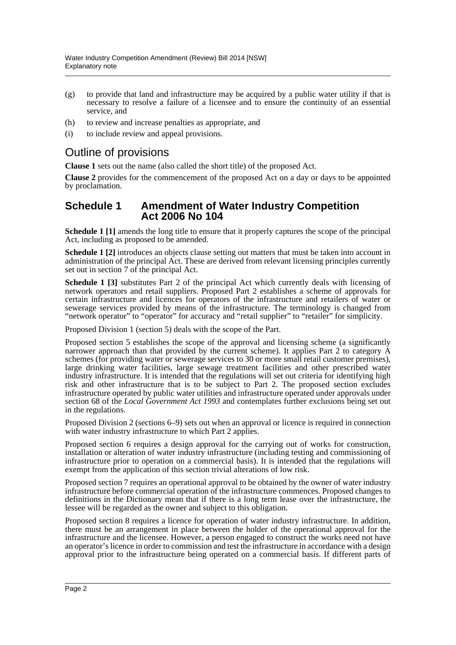- (g) to provide that land and infrastructure may be acquired by a public water utility if that is necessary to resolve a failure of a licensee and to ensure the continuity of an essential service, and
- (h) to review and increase penalties as appropriate, and
- (i) to include review and appeal provisions.

## Outline of provisions

**Clause 1** sets out the name (also called the short title) of the proposed Act.

**Clause 2** provides for the commencement of the proposed Act on a day or days to be appointed by proclamation.

## **Schedule 1 Amendment of Water Industry Competition Act 2006 No 104**

**Schedule 1 [1]** amends the long title to ensure that it properly captures the scope of the principal Act, including as proposed to be amended.

**Schedule 1 [2]** introduces an objects clause setting out matters that must be taken into account in administration of the principal Act. These are derived from relevant licensing principles currently set out in section 7 of the principal Act.

**Schedule 1 [3]** substitutes Part 2 of the principal Act which currently deals with licensing of network operators and retail suppliers. Proposed Part 2 establishes a scheme of approvals for certain infrastructure and licences for operators of the infrastructure and retailers of water or sewerage services provided by means of the infrastructure. The terminology is changed from "network operator" to "operator" for accuracy and "retail supplier" to "retailer" for simplicity.

Proposed Division 1 (section 5) deals with the scope of the Part.

Proposed section 5 establishes the scope of the approval and licensing scheme (a significantly narrower approach than that provided by the current scheme). It applies Part 2 to category A schemes (for providing water or sewerage services to 30 or more small retail customer premises), large drinking water facilities, large sewage treatment facilities and other prescribed water industry infrastructure. It is intended that the regulations will set out criteria for identifying high risk and other infrastructure that is to be subject to Part 2. The proposed section excludes infrastructure operated by public water utilities and infrastructure operated under approvals under section 68 of the *Local Government Act 1993* and contemplates further exclusions being set out in the regulations.

Proposed Division 2 (sections 6–9) sets out when an approval or licence is required in connection with water industry infrastructure to which Part 2 applies.

Proposed section 6 requires a design approval for the carrying out of works for construction, installation or alteration of water industry infrastructure (including testing and commissioning of infrastructure prior to operation on a commercial basis). It is intended that the regulations will exempt from the application of this section trivial alterations of low risk.

Proposed section 7 requires an operational approval to be obtained by the owner of water industry infrastructure before commercial operation of the infrastructure commences. Proposed changes to definitions in the Dictionary mean that if there is a long term lease over the infrastructure, the lessee will be regarded as the owner and subject to this obligation.

Proposed section 8 requires a licence for operation of water industry infrastructure. In addition, there must be an arrangement in place between the holder of the operational approval for the infrastructure and the licensee. However, a person engaged to construct the works need not have an operator's licence in order to commission and test the infrastructure in accordance with a design approval prior to the infrastructure being operated on a commercial basis. If different parts of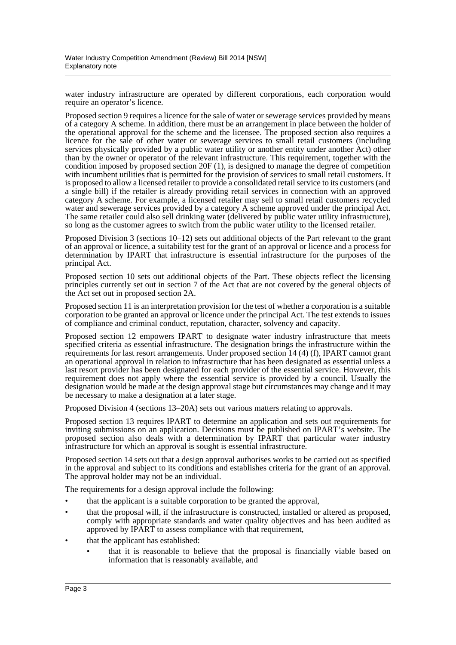water industry infrastructure are operated by different corporations, each corporation would require an operator's licence.

Proposed section 9 requires a licence for the sale of water or sewerage services provided by means of a category A scheme. In addition, there must be an arrangement in place between the holder of the operational approval for the scheme and the licensee. The proposed section also requires a licence for the sale of other water or sewerage services to small retail customers (including services physically provided by a public water utility or another entity under another Act) other than by the owner or operator of the relevant infrastructure. This requirement, together with the condition imposed by proposed section 20F (1), is designed to manage the degree of competition with incumbent utilities that is permitted for the provision of services to small retail customers. It is proposed to allow a licensed retailer to provide a consolidated retail service to its customers (and a single bill) if the retailer is already providing retail services in connection with an approved category A scheme. For example, a licensed retailer may sell to small retail customers recycled water and sewerage services provided by a category A scheme approved under the principal Act. The same retailer could also sell drinking water (delivered by public water utility infrastructure), so long as the customer agrees to switch from the public water utility to the licensed retailer.

Proposed Division 3 (sections 10–12) sets out additional objects of the Part relevant to the grant of an approval or licence, a suitability test for the grant of an approval or licence and a process for determination by IPART that infrastructure is essential infrastructure for the purposes of the principal Act.

Proposed section 10 sets out additional objects of the Part. These objects reflect the licensing principles currently set out in section 7 of the Act that are not covered by the general objects of the Act set out in proposed section 2A.

Proposed section 11 is an interpretation provision for the test of whether a corporation is a suitable corporation to be granted an approval or licence under the principal Act. The test extends to issues of compliance and criminal conduct, reputation, character, solvency and capacity.

Proposed section 12 empowers IPART to designate water industry infrastructure that meets specified criteria as essential infrastructure. The designation brings the infrastructure within the requirements for last resort arrangements. Under proposed section 14 (4) (f), IPART cannot grant an operational approval in relation to infrastructure that has been designated as essential unless a last resort provider has been designated for each provider of the essential service. However, this requirement does not apply where the essential service is provided by a council. Usually the designation would be made at the design approval stage but circumstances may change and it may be necessary to make a designation at a later stage.

Proposed Division 4 (sections 13–20A) sets out various matters relating to approvals.

Proposed section 13 requires IPART to determine an application and sets out requirements for inviting submissions on an application. Decisions must be published on IPART's website. The proposed section also deals with a determination by IPART that particular water industry infrastructure for which an approval is sought is essential infrastructure.

Proposed section 14 sets out that a design approval authorises works to be carried out as specified in the approval and subject to its conditions and establishes criteria for the grant of an approval. The approval holder may not be an individual.

The requirements for a design approval include the following:

- that the applicant is a suitable corporation to be granted the approval,
- that the proposal will, if the infrastructure is constructed, installed or altered as proposed, comply with appropriate standards and water quality objectives and has been audited as approved by IPART to assess compliance with that requirement,
- that the applicant has established:
	- that it is reasonable to believe that the proposal is financially viable based on information that is reasonably available, and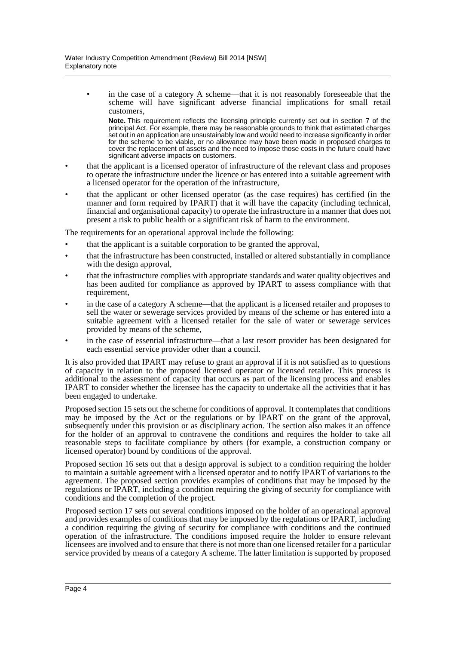in the case of a category A scheme—that it is not reasonably foreseeable that the scheme will have significant adverse financial implications for small retail customers,

**Note.** This requirement reflects the licensing principle currently set out in section 7 of the principal Act. For example, there may be reasonable grounds to think that estimated charges set out in an application are unsustainably low and would need to increase significantly in order for the scheme to be viable, or no allowance may have been made in proposed charges to cover the replacement of assets and the need to impose those costs in the future could have significant adverse impacts on customers.

- that the applicant is a licensed operator of infrastructure of the relevant class and proposes to operate the infrastructure under the licence or has entered into a suitable agreement with a licensed operator for the operation of the infrastructure,
- that the applicant or other licensed operator (as the case requires) has certified (in the manner and form required by IPART) that it will have the capacity (including technical, financial and organisational capacity) to operate the infrastructure in a manner that does not present a risk to public health or a significant risk of harm to the environment.

The requirements for an operational approval include the following:

- that the applicant is a suitable corporation to be granted the approval,
- that the infrastructure has been constructed, installed or altered substantially in compliance with the design approval,
- that the infrastructure complies with appropriate standards and water quality objectives and has been audited for compliance as approved by IPART to assess compliance with that requirement,
- in the case of a category A scheme—that the applicant is a licensed retailer and proposes to sell the water or sewerage services provided by means of the scheme or has entered into a suitable agreement with a licensed retailer for the sale of water or sewerage services provided by means of the scheme,
- in the case of essential infrastructure—that a last resort provider has been designated for each essential service provider other than a council.

It is also provided that IPART may refuse to grant an approval if it is not satisfied as to questions of capacity in relation to the proposed licensed operator or licensed retailer. This process is additional to the assessment of capacity that occurs as part of the licensing process and enables IPART to consider whether the licensee has the capacity to undertake all the activities that it has been engaged to undertake.

Proposed section 15 sets out the scheme for conditions of approval. It contemplates that conditions may be imposed by the Act or the regulations or by IPART on the grant of the approval, subsequently under this provision or as disciplinary action. The section also makes it an offence for the holder of an approval to contravene the conditions and requires the holder to take all reasonable steps to facilitate compliance by others (for example, a construction company or licensed operator) bound by conditions of the approval.

Proposed section 16 sets out that a design approval is subject to a condition requiring the holder to maintain a suitable agreement with a licensed operator and to notify IPART of variations to the agreement. The proposed section provides examples of conditions that may be imposed by the regulations or IPART, including a condition requiring the giving of security for compliance with conditions and the completion of the project.

Proposed section 17 sets out several conditions imposed on the holder of an operational approval and provides examples of conditions that may be imposed by the regulations or IPART, including a condition requiring the giving of security for compliance with conditions and the continued operation of the infrastructure. The conditions imposed require the holder to ensure relevant licensees are involved and to ensure that there is not more than one licensed retailer for a particular service provided by means of a category A scheme. The latter limitation is supported by proposed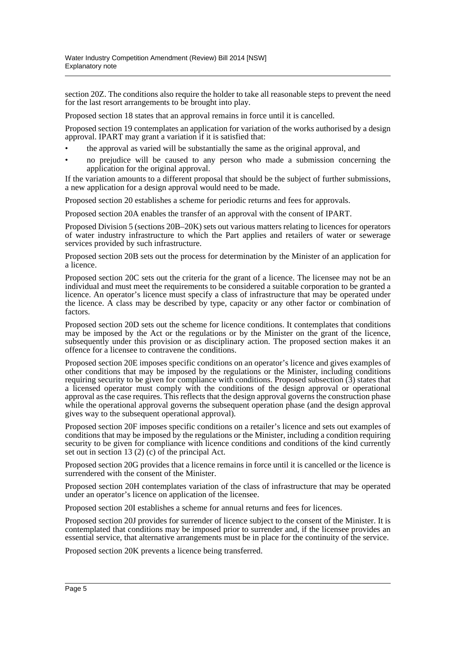section 20Z. The conditions also require the holder to take all reasonable steps to prevent the need for the last resort arrangements to be brought into play.

Proposed section 18 states that an approval remains in force until it is cancelled.

Proposed section 19 contemplates an application for variation of the works authorised by a design approval. IPART may grant a variation if it is satisfied that:

- the approval as varied will be substantially the same as the original approval, and
- no prejudice will be caused to any person who made a submission concerning the application for the original approval.

If the variation amounts to a different proposal that should be the subject of further submissions, a new application for a design approval would need to be made.

Proposed section 20 establishes a scheme for periodic returns and fees for approvals.

Proposed section 20A enables the transfer of an approval with the consent of IPART.

Proposed Division 5 (sections 20B–20K) sets out various matters relating to licences for operators of water industry infrastructure to which the Part applies and retailers of water or sewerage services provided by such infrastructure.

Proposed section 20B sets out the process for determination by the Minister of an application for a licence.

Proposed section 20C sets out the criteria for the grant of a licence. The licensee may not be an individual and must meet the requirements to be considered a suitable corporation to be granted a licence. An operator's licence must specify a class of infrastructure that may be operated under the licence. A class may be described by type, capacity or any other factor or combination of factors.

Proposed section 20D sets out the scheme for licence conditions. It contemplates that conditions may be imposed by the Act or the regulations or by the Minister on the grant of the licence, subsequently under this provision or as disciplinary action. The proposed section makes it an offence for a licensee to contravene the conditions.

Proposed section 20E imposes specific conditions on an operator's licence and gives examples of other conditions that may be imposed by the regulations or the Minister, including conditions requiring security to be given for compliance with conditions. Proposed subsection  $(3)$  states that a licensed operator must comply with the conditions of the design approval or operational approval as the case requires. This reflects that the design approval governs the construction phase while the operational approval governs the subsequent operation phase (and the design approval gives way to the subsequent operational approval).

Proposed section 20F imposes specific conditions on a retailer's licence and sets out examples of conditions that may be imposed by the regulations or the Minister, including a condition requiring security to be given for compliance with licence conditions and conditions of the kind currently set out in section 13 (2) (c) of the principal Act.

Proposed section 20G provides that a licence remains in force until it is cancelled or the licence is surrendered with the consent of the Minister.

Proposed section 20H contemplates variation of the class of infrastructure that may be operated under an operator's licence on application of the licensee.

Proposed section 20I establishes a scheme for annual returns and fees for licences.

Proposed section 20J provides for surrender of licence subject to the consent of the Minister. It is contemplated that conditions may be imposed prior to surrender and, if the licensee provides an essential service, that alternative arrangements must be in place for the continuity of the service.

Proposed section 20K prevents a licence being transferred.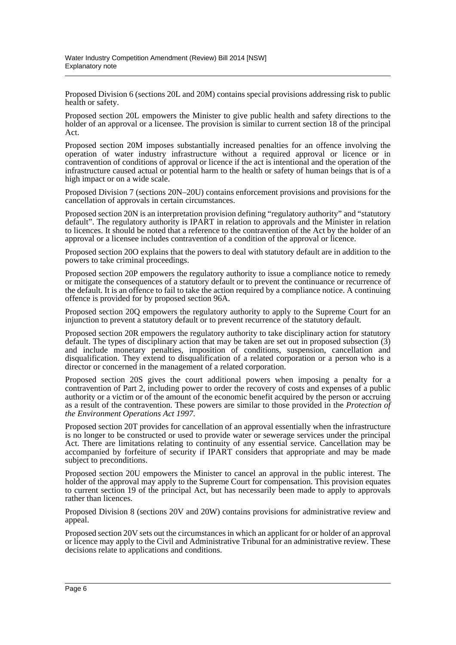Proposed Division 6 (sections 20L and 20M) contains special provisions addressing risk to public health or safety.

Proposed section 20L empowers the Minister to give public health and safety directions to the holder of an approval or a licensee. The provision is similar to current section 18 of the principal Act.

Proposed section 20M imposes substantially increased penalties for an offence involving the operation of water industry infrastructure without a required approval or licence or in contravention of conditions of approval or licence if the act is intentional and the operation of the infrastructure caused actual or potential harm to the health or safety of human beings that is of a high impact or on a wide scale.

Proposed Division 7 (sections 20N–20U) contains enforcement provisions and provisions for the cancellation of approvals in certain circumstances.

Proposed section 20N is an interpretation provision defining "regulatory authority" and "statutory default". The regulatory authority is IPART in relation to approvals and the Minister in relation to licences. It should be noted that a reference to the contravention of the Act by the holder of an approval or a licensee includes contravention of a condition of the approval or licence.

Proposed section 20O explains that the powers to deal with statutory default are in addition to the powers to take criminal proceedings.

Proposed section 20P empowers the regulatory authority to issue a compliance notice to remedy or mitigate the consequences of a statutory default or to prevent the continuance or recurrence of the default. It is an offence to fail to take the action required by a compliance notice. A continuing offence is provided for by proposed section 96A.

Proposed section 20Q empowers the regulatory authority to apply to the Supreme Court for an injunction to prevent a statutory default or to prevent recurrence of the statutory default.

Proposed section 20R empowers the regulatory authority to take disciplinary action for statutory default. The types of disciplinary action that may be taken are set out in proposed subsection (3) and include monetary penalties, imposition of conditions, suspension, cancellation and disqualification. They extend to disqualification of a related corporation or a person who is a director or concerned in the management of a related corporation.

Proposed section 20S gives the court additional powers when imposing a penalty for a contravention of Part 2, including power to order the recovery of costs and expenses of a public authority or a victim or of the amount of the economic benefit acquired by the person or accruing as a result of the contravention. These powers are similar to those provided in the *Protection of the Environment Operations Act 1997*.

Proposed section 20T provides for cancellation of an approval essentially when the infrastructure is no longer to be constructed or used to provide water or sewerage services under the principal Act. There are limitations relating to continuity of any essential service. Cancellation may be accompanied by forfeiture of security if IPART considers that appropriate and may be made subject to preconditions.

Proposed section 20U empowers the Minister to cancel an approval in the public interest. The holder of the approval may apply to the Supreme Court for compensation. This provision equates to current section 19 of the principal Act, but has necessarily been made to apply to approvals rather than licences.

Proposed Division 8 (sections 20V and 20W) contains provisions for administrative review and appeal.

Proposed section 20V sets out the circumstances in which an applicant for or holder of an approval or licence may apply to the Civil and Administrative Tribunal for an administrative review. These decisions relate to applications and conditions.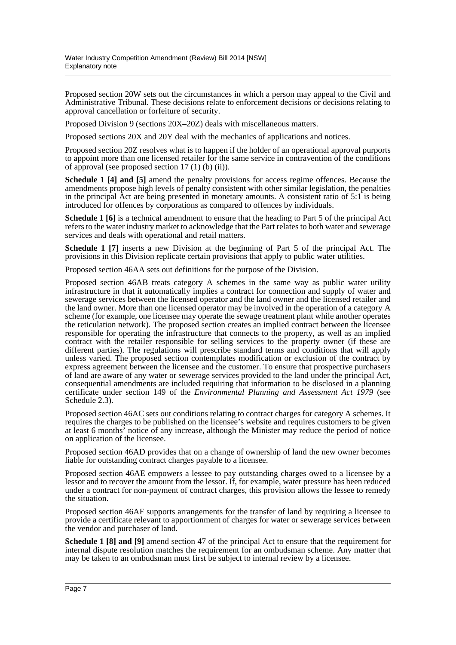Proposed section 20W sets out the circumstances in which a person may appeal to the Civil and Administrative Tribunal. These decisions relate to enforcement decisions or decisions relating to approval cancellation or forfeiture of security.

Proposed Division 9 (sections 20X–20Z) deals with miscellaneous matters.

Proposed sections 20X and 20Y deal with the mechanics of applications and notices.

Proposed section 20Z resolves what is to happen if the holder of an operational approval purports to appoint more than one licensed retailer for the same service in contravention of the conditions of approval (see proposed section  $17(1)$  (b) (ii)).

**Schedule 1 [4] and [5]** amend the penalty provisions for access regime offences. Because the amendments propose high levels of penalty consistent with other similar legislation, the penalties in the principal Act are being presented in monetary amounts. A consistent ratio of 5:1 is being introduced for offences by corporations as compared to offences by individuals.

**Schedule 1 [6]** is a technical amendment to ensure that the heading to Part 5 of the principal Act refers to the water industry market to acknowledge that the Part relates to both water and sewerage services and deals with operational and retail matters.

**Schedule 1 [7]** inserts a new Division at the beginning of Part 5 of the principal Act. The provisions in this Division replicate certain provisions that apply to public water utilities.

Proposed section 46AA sets out definitions for the purpose of the Division.

Proposed section 46AB treats category A schemes in the same way as public water utility infrastructure in that it automatically implies a contract for connection and supply of water and sewerage services between the licensed operator and the land owner and the licensed retailer and the land owner. More than one licensed operator may be involved in the operation of a category A scheme (for example, one licensee may operate the sewage treatment plant while another operates the reticulation network). The proposed section creates an implied contract between the licensee responsible for operating the infrastructure that connects to the property, as well as an implied contract with the retailer responsible for selling services to the property owner (if these are different parties). The regulations will prescribe standard terms and conditions that will apply unless varied. The proposed section contemplates modification or exclusion of the contract by express agreement between the licensee and the customer. To ensure that prospective purchasers of land are aware of any water or sewerage services provided to the land under the principal Act, consequential amendments are included requiring that information to be disclosed in a planning certificate under section 149 of the *Environmental Planning and Assessment Act 1979* (see Schedule 2.3).

Proposed section 46AC sets out conditions relating to contract charges for category A schemes. It requires the charges to be published on the licensee's website and requires customers to be given at least 6 months' notice of any increase, although the Minister may reduce the period of notice on application of the licensee.

Proposed section 46AD provides that on a change of ownership of land the new owner becomes liable for outstanding contract charges payable to a licensee.

Proposed section 46AE empowers a lessee to pay outstanding charges owed to a licensee by a lessor and to recover the amount from the lessor. If, for example, water pressure has been reduced under a contract for non-payment of contract charges, this provision allows the lessee to remedy the situation.

Proposed section 46AF supports arrangements for the transfer of land by requiring a licensee to provide a certificate relevant to apportionment of charges for water or sewerage services between the vendor and purchaser of land.

**Schedule 1 [8] and [9]** amend section 47 of the principal Act to ensure that the requirement for internal dispute resolution matches the requirement for an ombudsman scheme. Any matter that may be taken to an ombudsman must first be subject to internal review by a licensee.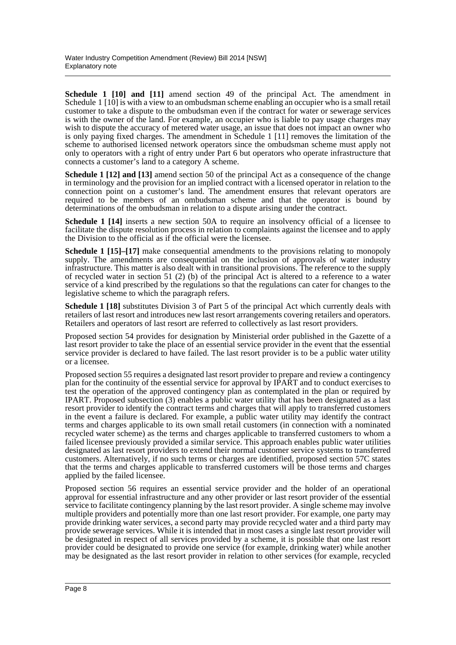**Schedule 1 [10] and [11]** amend section 49 of the principal Act. The amendment in Schedule 1 [10] is with a view to an ombudsman scheme enabling an occupier who is a small retail customer to take a dispute to the ombudsman even if the contract for water or sewerage services is with the owner of the land. For example, an occupier who is liable to pay usage charges may wish to dispute the accuracy of metered water usage, an issue that does not impact an owner who is only paying fixed charges. The amendment in Schedule 1 [11] removes the limitation of the scheme to authorised licensed network operators since the ombudsman scheme must apply not only to operators with a right of entry under Part 6 but operators who operate infrastructure that connects a customer's land to a category A scheme.

**Schedule 1 [12] and [13]** amend section 50 of the principal Act as a consequence of the change in terminology and the provision for an implied contract with a licensed operator in relation to the connection point on a customer's land. The amendment ensures that relevant operators are required to be members of an ombudsman scheme and that the operator is bound by determinations of the ombudsman in relation to a dispute arising under the contract.

**Schedule 1 [14]** inserts a new section 50A to require an insolvency official of a licensee to facilitate the dispute resolution process in relation to complaints against the licensee and to apply the Division to the official as if the official were the licensee.

**Schedule 1 [15]–[17]** make consequential amendments to the provisions relating to monopoly supply. The amendments are consequential on the inclusion of approvals of water industry infrastructure. This matter is also dealt with in transitional provisions. The reference to the supply of recycled water in section 51 (2) (b) of the principal Act is altered to a reference to a water service of a kind prescribed by the regulations so that the regulations can cater for changes to the legislative scheme to which the paragraph refers.

**Schedule 1 [18]** substitutes Division 3 of Part 5 of the principal Act which currently deals with retailers of last resort and introduces new last resort arrangements covering retailers and operators. Retailers and operators of last resort are referred to collectively as last resort providers.

Proposed section 54 provides for designation by Ministerial order published in the Gazette of a last resort provider to take the place of an essential service provider in the event that the essential service provider is declared to have failed. The last resort provider is to be a public water utility or a licensee.

Proposed section 55 requires a designated last resort provider to prepare and review a contingency plan for the continuity of the essential service for approval by IPART and to conduct exercises to test the operation of the approved contingency plan as contemplated in the plan or required by IPART. Proposed subsection (3) enables a public water utility that has been designated as a last resort provider to identify the contract terms and charges that will apply to transferred customers in the event a failure is declared. For example, a public water utility may identify the contract terms and charges applicable to its own small retail customers (in connection with a nominated recycled water scheme) as the terms and charges applicable to transferred customers to whom a failed licensee previously provided a similar service. This approach enables public water utilities designated as last resort providers to extend their normal customer service systems to transferred customers. Alternatively, if no such terms or charges are identified, proposed section 57C states that the terms and charges applicable to transferred customers will be those terms and charges applied by the failed licensee.

Proposed section 56 requires an essential service provider and the holder of an operational approval for essential infrastructure and any other provider or last resort provider of the essential service to facilitate contingency planning by the last resort provider. A single scheme may involve multiple providers and potentially more than one last resort provider. For example, one party may provide drinking water services, a second party may provide recycled water and a third party may provide sewerage services. While it is intended that in most cases a single last resort provider will be designated in respect of all services provided by a scheme, it is possible that one last resort provider could be designated to provide one service (for example, drinking water) while another may be designated as the last resort provider in relation to other services (for example, recycled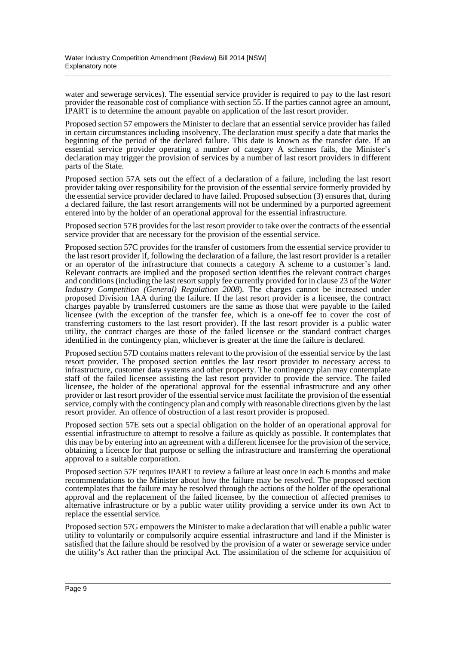water and sewerage services). The essential service provider is required to pay to the last resort provider the reasonable cost of compliance with section 55. If the parties cannot agree an amount, IPART is to determine the amount payable on application of the last resort provider.

Proposed section 57 empowers the Minister to declare that an essential service provider has failed in certain circumstances including insolvency. The declaration must specify a date that marks the beginning of the period of the declared failure. This date is known as the transfer date. If an essential service provider operating a number of category A schemes fails, the Minister's declaration may trigger the provision of services by a number of last resort providers in different parts of the State.

Proposed section 57A sets out the effect of a declaration of a failure, including the last resort provider taking over responsibility for the provision of the essential service formerly provided by the essential service provider declared to have failed. Proposed subsection (3) ensures that, during a declared failure, the last resort arrangements will not be undermined by a purported agreement entered into by the holder of an operational approval for the essential infrastructure.

Proposed section 57B provides for the last resort provider to take over the contracts of the essential service provider that are necessary for the provision of the essential service.

Proposed section 57C provides for the transfer of customers from the essential service provider to the last resort provider if, following the declaration of a failure, the last resort provider is a retailer or an operator of the infrastructure that connects a category A scheme to a customer's land. Relevant contracts are implied and the proposed section identifies the relevant contract charges and conditions (including the last resort supply fee currently provided for in clause 23 of the *Water Industry Competition (General) Regulation 2008*). The charges cannot be increased under proposed Division 1AA during the failure. If the last resort provider is a licensee, the contract charges payable by transferred customers are the same as those that were payable to the failed licensee (with the exception of the transfer fee, which is a one-off fee to cover the cost of transferring customers to the last resort provider). If the last resort provider is a public water utility, the contract charges are those of the failed licensee or the standard contract charges identified in the contingency plan, whichever is greater at the time the failure is declared.

Proposed section 57D contains matters relevant to the provision of the essential service by the last resort provider. The proposed section entitles the last resort provider to necessary access to infrastructure, customer data systems and other property. The contingency plan may contemplate staff of the failed licensee assisting the last resort provider to provide the service. The failed licensee, the holder of the operational approval for the essential infrastructure and any other provider or last resort provider of the essential service must facilitate the provision of the essential service, comply with the contingency plan and comply with reasonable directions given by the last resort provider. An offence of obstruction of a last resort provider is proposed.

Proposed section 57E sets out a special obligation on the holder of an operational approval for essential infrastructure to attempt to resolve a failure as quickly as possible. It contemplates that this may be by entering into an agreement with a different licensee for the provision of the service, obtaining a licence for that purpose or selling the infrastructure and transferring the operational approval to a suitable corporation.

Proposed section 57F requires IPART to review a failure at least once in each 6 months and make recommendations to the Minister about how the failure may be resolved. The proposed section contemplates that the failure may be resolved through the actions of the holder of the operational approval and the replacement of the failed licensee, by the connection of affected premises to alternative infrastructure or by a public water utility providing a service under its own Act to replace the essential service.

Proposed section 57G empowers the Minister to make a declaration that will enable a public water utility to voluntarily or compulsorily acquire essential infrastructure and land if the Minister is satisfied that the failure should be resolved by the provision of a water or sewerage service under the utility's Act rather than the principal Act. The assimilation of the scheme for acquisition of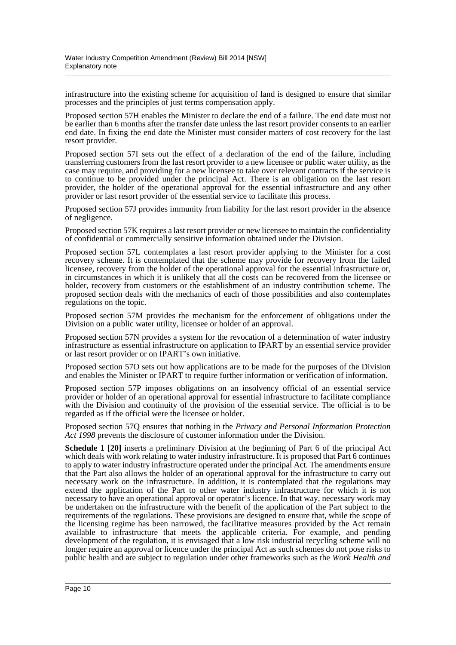infrastructure into the existing scheme for acquisition of land is designed to ensure that similar processes and the principles of just terms compensation apply.

Proposed section 57H enables the Minister to declare the end of a failure. The end date must not be earlier than 6 months after the transfer date unless the last resort provider consents to an earlier end date. In fixing the end date the Minister must consider matters of cost recovery for the last resort provider.

Proposed section 57I sets out the effect of a declaration of the end of the failure, including transferring customers from the last resort provider to a new licensee or public water utility, as the case may require, and providing for a new licensee to take over relevant contracts if the service is to continue to be provided under the principal Act. There is an obligation on the last resort provider, the holder of the operational approval for the essential infrastructure and any other provider or last resort provider of the essential service to facilitate this process.

Proposed section 57J provides immunity from liability for the last resort provider in the absence of negligence.

Proposed section 57K requires a last resort provider or new licensee to maintain the confidentiality of confidential or commercially sensitive information obtained under the Division.

Proposed section 57L contemplates a last resort provider applying to the Minister for a cost recovery scheme. It is contemplated that the scheme may provide for recovery from the failed licensee, recovery from the holder of the operational approval for the essential infrastructure or, in circumstances in which it is unlikely that all the costs can be recovered from the licensee or holder, recovery from customers or the establishment of an industry contribution scheme. The proposed section deals with the mechanics of each of those possibilities and also contemplates regulations on the topic.

Proposed section 57M provides the mechanism for the enforcement of obligations under the Division on a public water utility, licensee or holder of an approval.

Proposed section 57N provides a system for the revocation of a determination of water industry infrastructure as essential infrastructure on application to IPART by an essential service provider or last resort provider or on IPART's own initiative.

Proposed section 57O sets out how applications are to be made for the purposes of the Division and enables the Minister or IPART to require further information or verification of information.

Proposed section 57P imposes obligations on an insolvency official of an essential service provider or holder of an operational approval for essential infrastructure to facilitate compliance with the Division and continuity of the provision of the essential service. The official is to be regarded as if the official were the licensee or holder.

Proposed section 57Q ensures that nothing in the *Privacy and Personal Information Protection Act 1998* prevents the disclosure of customer information under the Division.

**Schedule 1 [20]** inserts a preliminary Division at the beginning of Part 6 of the principal Act which deals with work relating to water industry infrastructure. It is proposed that Part 6 continues to apply to water industry infrastructure operated under the principal Act. The amendments ensure that the Part also allows the holder of an operational approval for the infrastructure to carry out necessary work on the infrastructure. In addition, it is contemplated that the regulations may extend the application of the Part to other water industry infrastructure for which it is not necessary to have an operational approval or operator's licence. In that way, necessary work may be undertaken on the infrastructure with the benefit of the application of the Part subject to the requirements of the regulations. These provisions are designed to ensure that, while the scope of the licensing regime has been narrowed, the facilitative measures provided by the Act remain available to infrastructure that meets the applicable criteria. For example, and pending development of the regulation, it is envisaged that a low risk industrial recycling scheme will no longer require an approval or licence under the principal Act as such schemes do not pose risks to public health and are subject to regulation under other frameworks such as the *Work Health and*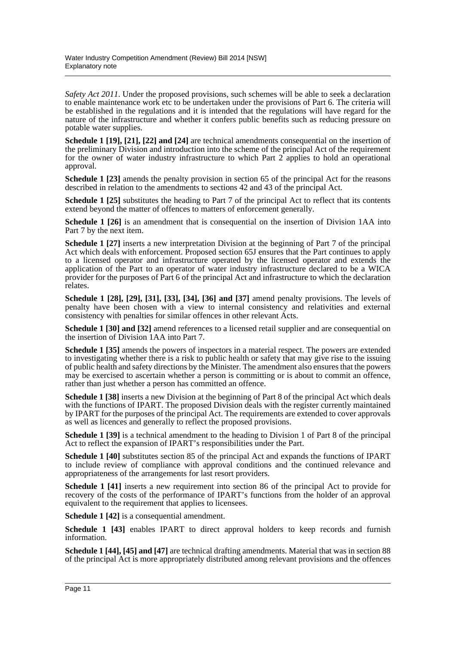*Safety Act 2011*. Under the proposed provisions, such schemes will be able to seek a declaration to enable maintenance work etc to be undertaken under the provisions of Part 6. The criteria will be established in the regulations and it is intended that the regulations will have regard for the nature of the infrastructure and whether it confers public benefits such as reducing pressure on potable water supplies.

**Schedule 1 [19], [21], [22] and [24]** are technical amendments consequential on the insertion of the preliminary Division and introduction into the scheme of the principal Act of the requirement for the owner of water industry infrastructure to which Part 2 applies to hold an operational approval.

**Schedule 1 [23]** amends the penalty provision in section 65 of the principal Act for the reasons described in relation to the amendments to sections 42 and 43 of the principal Act.

**Schedule 1 [25]** substitutes the heading to Part 7 of the principal Act to reflect that its contents extend beyond the matter of offences to matters of enforcement generally.

**Schedule 1 [26]** is an amendment that is consequential on the insertion of Division 1AA into Part 7 by the next item.

**Schedule 1 [27]** inserts a new interpretation Division at the beginning of Part 7 of the principal Act which deals with enforcement. Proposed section 65J ensures that the Part continues to apply to a licensed operator and infrastructure operated by the licensed operator and extends the application of the Part to an operator of water industry infrastructure declared to be a WICA provider for the purposes of Part 6 of the principal Act and infrastructure to which the declaration relates.

**Schedule 1 [28], [29], [31], [33], [34], [36] and [37]** amend penalty provisions. The levels of penalty have been chosen with a view to internal consistency and relativities and external consistency with penalties for similar offences in other relevant Acts.

**Schedule 1 [30] and [32]** amend references to a licensed retail supplier and are consequential on the insertion of Division 1AA into Part 7.

**Schedule 1 [35]** amends the powers of inspectors in a material respect. The powers are extended to investigating whether there is a risk to public health or safety that may give rise to the issuing of public health and safety directions by the Minister. The amendment also ensures that the powers may be exercised to ascertain whether a person is committing or is about to commit an offence, rather than just whether a person has committed an offence.

**Schedule 1 [38]** inserts a new Division at the beginning of Part 8 of the principal Act which deals with the functions of IPART. The proposed Division deals with the register currently maintained by IPART for the purposes of the principal Act. The requirements are extended to cover approvals as well as licences and generally to reflect the proposed provisions.

**Schedule 1 [39]** is a technical amendment to the heading to Division 1 of Part 8 of the principal Act to reflect the expansion of IPART's responsibilities under the Part.

**Schedule 1 [40]** substitutes section 85 of the principal Act and expands the functions of IPART to include review of compliance with approval conditions and the continued relevance and appropriateness of the arrangements for last resort providers.

**Schedule 1 [41]** inserts a new requirement into section 86 of the principal Act to provide for recovery of the costs of the performance of IPART's functions from the holder of an approval equivalent to the requirement that applies to licensees.

**Schedule 1 [42]** is a consequential amendment.

**Schedule 1 [43]** enables IPART to direct approval holders to keep records and furnish information.

**Schedule 1 [44], [45] and [47]** are technical drafting amendments. Material that was in section 88 of the principal Act is more appropriately distributed among relevant provisions and the offences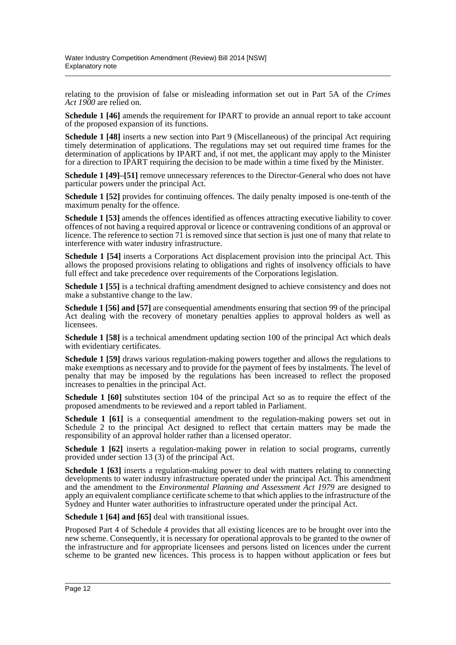relating to the provision of false or misleading information set out in Part 5A of the *Crimes Act 1900* are relied on.

**Schedule 1 [46]** amends the requirement for IPART to provide an annual report to take account of the proposed expansion of its functions.

**Schedule 1 [48]** inserts a new section into Part 9 (Miscellaneous) of the principal Act requiring timely determination of applications. The regulations may set out required time frames for the determination of applications by IPART and, if not met, the applicant may apply to the Minister for a direction to IPART requiring the decision to be made within a time fixed by the Minister.

**Schedule 1 [49]–[51]** remove unnecessary references to the Director-General who does not have particular powers under the principal Act.

**Schedule 1 [52]** provides for continuing offences. The daily penalty imposed is one-tenth of the maximum penalty for the offence.

**Schedule 1 [53]** amends the offences identified as offences attracting executive liability to cover offences of not having a required approval or licence or contravening conditions of an approval or licence. The reference to section 7 $\hat{1}$  is removed since that section is just one of many that relate to interference with water industry infrastructure.

**Schedule 1 [54]** inserts a Corporations Act displacement provision into the principal Act. This allows the proposed provisions relating to obligations and rights of insolvency officials to have full effect and take precedence over requirements of the Corporations legislation.

**Schedule 1 [55]** is a technical drafting amendment designed to achieve consistency and does not make a substantive change to the law.

**Schedule 1 [56] and [57]** are consequential amendments ensuring that section 99 of the principal Act dealing with the recovery of monetary penalties applies to approval holders as well as licensees.

**Schedule 1 [58]** is a technical amendment updating section 100 of the principal Act which deals with evidentiary certificates.

**Schedule 1 [59]** draws various regulation-making powers together and allows the regulations to make exemptions as necessary and to provide for the payment of fees by instalments. The level of penalty that may be imposed by the regulations has been increased to reflect the proposed increases to penalties in the principal Act.

**Schedule 1 [60]** substitutes section 104 of the principal Act so as to require the effect of the proposed amendments to be reviewed and a report tabled in Parliament.

**Schedule 1 [61]** is a consequential amendment to the regulation-making powers set out in Schedule 2 to the principal Act designed to reflect that certain matters may be made the responsibility of an approval holder rather than a licensed operator.

**Schedule 1 [62]** inserts a regulation-making power in relation to social programs, currently provided under section 13 (3) of the principal Act.

**Schedule 1 [63]** inserts a regulation-making power to deal with matters relating to connecting developments to water industry infrastructure operated under the principal Act. This amendment and the amendment to the *Environmental Planning and Assessment Act 1979* are designed to apply an equivalent compliance certificate scheme to that which applies to the infrastructure of the Sydney and Hunter water authorities to infrastructure operated under the principal Act.

**Schedule 1 [64] and [65]** deal with transitional issues.

Proposed Part 4 of Schedule 4 provides that all existing licences are to be brought over into the new scheme. Consequently, it is necessary for operational approvals to be granted to the owner of the infrastructure and for appropriate licensees and persons listed on licences under the current scheme to be granted new licences. This process is to happen without application or fees but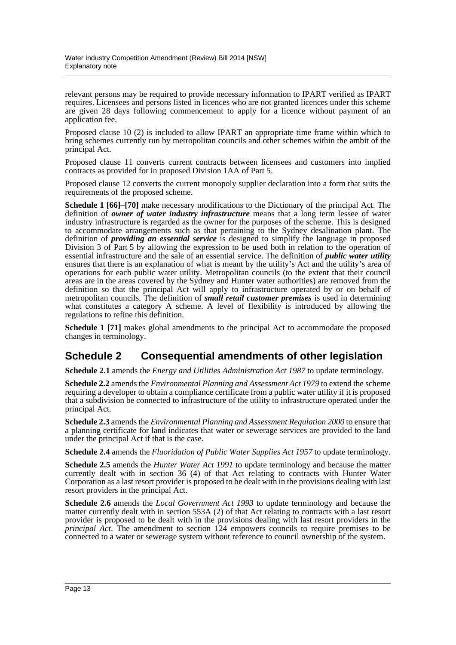relevant persons may be required to provide necessary information to IPART verified as IPART requires. Licensees and persons listed in licences who are not granted licences under this scheme are given 28 days following commencement to apply for a licence without payment of an application fee.

Proposed clause 10 (2) is included to allow IPART an appropriate time frame within which to bring schemes currently run by metropolitan councils and other schemes within the ambit of the principal Act.

Proposed clause 11 converts current contracts between licensees and customers into implied contracts as provided for in proposed Division 1AA of Part 5.

Proposed clause 12 converts the current monopoly supplier declaration into a form that suits the requirements of the proposed scheme.

**Schedule 1 [66]–[70]** make necessary modifications to the Dictionary of the principal Act. The definition of *owner of water industry infrastructure* means that a long term lessee of water industry infrastructure is regarded as the owner for the purposes of the scheme. This is designed to accommodate arrangements such as that pertaining to the Sydney desalination plant. The definition of *providing an essential service* is designed to simplify the language in proposed Division 3 of Part 5 by allowing the expression to be used both in relation to the operation of essential infrastructure and the sale of an essential service. The definition of *public water utility* ensures that there is an explanation of what is meant by the utility's Act and the utility's area of operations for each public water utility. Metropolitan councils (to the extent that their council areas are in the areas covered by the Sydney and Hunter water authorities) are removed from the definition so that the principal Act will apply to infrastructure operated by or on behalf of metropolitan councils. The definition of *small retail customer premises* is used in determining what constitutes a category A scheme. A level of flexibility is introduced by allowing the regulations to refine this definition.

**Schedule 1 [71]** makes global amendments to the principal Act to accommodate the proposed changes in terminology.

## **Schedule 2 Consequential amendments of other legislation**

**Schedule 2.1** amends the *Energy and Utilities Administration Act 1987* to update terminology.

**Schedule 2.2** amends the *Environmental Planning and Assessment Act 1979* to extend the scheme requiring a developer to obtain a compliance certificate from a public water utility if it is proposed that a subdivision be connected to infrastructure of the utility to infrastructure operated under the principal Act.

**Schedule 2.3** amends the *Environmental Planning and Assessment Regulation 2000* to ensure that a planning certificate for land indicates that water or sewerage services are provided to the land under the principal Act if that is the case.

**Schedule 2.4** amends the *Fluoridation of Public Water Supplies Act 1957* to update terminology.

**Schedule 2.5** amends the *Hunter Water Act 1991* to update terminology and because the matter currently dealt with in section 36 (4) of that Act relating to contracts with Hunter Water Corporation as a last resort provider is proposed to be dealt with in the provisions dealing with last resort providers in the principal Act.

**Schedule 2.6** amends the *Local Government Act 1993* to update terminology and because the matter currently dealt with in section 553A (2) of that Act relating to contracts with a last resort provider is proposed to be dealt with in the provisions dealing with last resort providers in the *principal Act*. The amendment to section 124 empowers councils to require premises to be connected to a water or sewerage system without reference to council ownership of the system.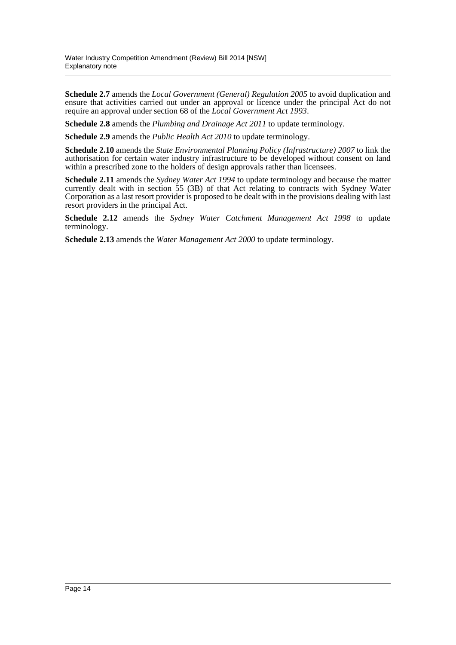**Schedule 2.7** amends the *Local Government (General) Regulation 2005* to avoid duplication and ensure that activities carried out under an approval or licence under the principal Act do not require an approval under section 68 of the *Local Government Act 1993*.

**Schedule 2.8** amends the *Plumbing and Drainage Act 2011* to update terminology.

**Schedule 2.9** amends the *Public Health Act 2010* to update terminology.

**Schedule 2.10** amends the *State Environmental Planning Policy (Infrastructure) 2007* to link the authorisation for certain water industry infrastructure to be developed without consent on land within a prescribed zone to the holders of design approvals rather than licensees.

**Schedule 2.11** amends the *Sydney Water Act 1994* to update terminology and because the matter currently dealt with in section 55 (3B) of that Act relating to contracts with Sydney Water Corporation as a last resort provider is proposed to be dealt with in the provisions dealing with last resort providers in the principal Act.

**Schedule 2.12** amends the *Sydney Water Catchment Management Act 1998* to update terminology.

**Schedule 2.13** amends the *Water Management Act 2000* to update terminology.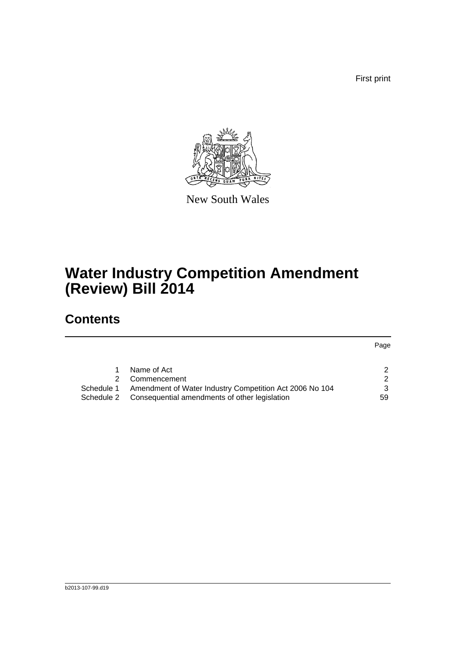First print

Page



New South Wales

# **Water Industry Competition Amendment (Review) Bill 2014**

## **Contents**

|            | Name of Act                                             |  |
|------------|---------------------------------------------------------|--|
|            | 2 Commencement                                          |  |
| Schedule 1 | Amendment of Water Industry Competition Act 2006 No 104 |  |

[Schedule 2 Consequential amendments of other legislation](#page-73-0) 59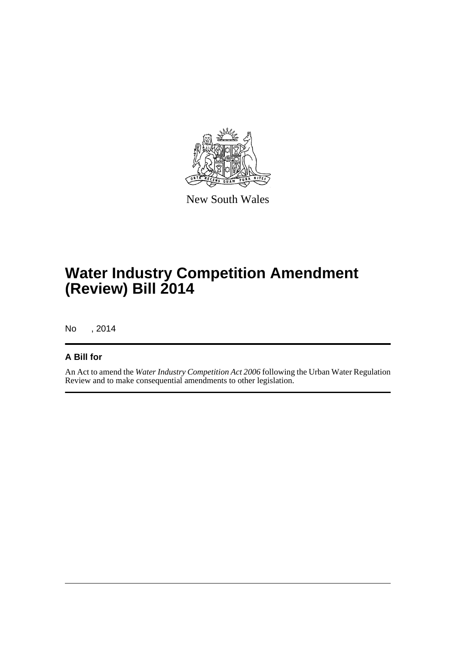

New South Wales

# **Water Industry Competition Amendment (Review) Bill 2014**

No , 2014

## **A Bill for**

An Act to amend the *Water Industry Competition Act 2006* following the Urban Water Regulation Review and to make consequential amendments to other legislation.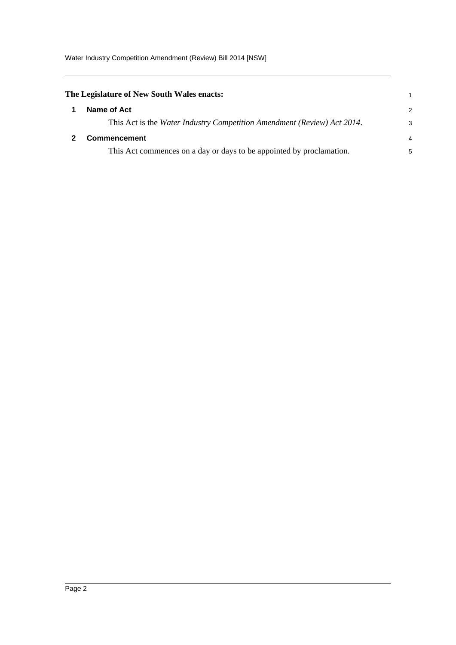Water Industry Competition Amendment (Review) Bill 2014 [NSW]

<span id="page-16-1"></span><span id="page-16-0"></span>

| The Legislature of New South Wales enacts:                              |                |
|-------------------------------------------------------------------------|----------------|
| Name of Act                                                             | 2              |
| This Act is the Water Industry Competition Amendment (Review) Act 2014. | 3              |
| <b>Commencement</b>                                                     | $\overline{4}$ |
| This Act commences on a day or days to be appointed by proclamation.    | 5              |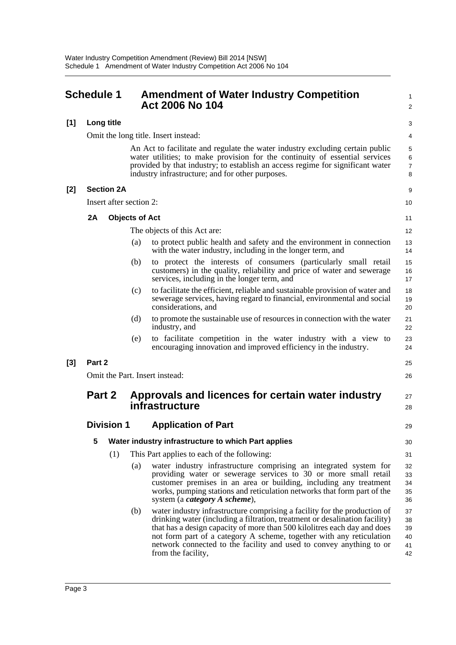<span id="page-17-0"></span>

|       | <b>Schedule 1</b> |                         |                       | <b>Amendment of Water Industry Competition</b><br>Act 2006 No 104                                                                                                                                                                                                                                                                                                                                         | 1<br>2                           |
|-------|-------------------|-------------------------|-----------------------|-----------------------------------------------------------------------------------------------------------------------------------------------------------------------------------------------------------------------------------------------------------------------------------------------------------------------------------------------------------------------------------------------------------|----------------------------------|
| [1]   |                   | Long title              |                       |                                                                                                                                                                                                                                                                                                                                                                                                           | 3                                |
|       |                   |                         |                       | Omit the long title. Insert instead:                                                                                                                                                                                                                                                                                                                                                                      | 4                                |
|       |                   |                         |                       | An Act to facilitate and regulate the water industry excluding certain public<br>water utilities; to make provision for the continuity of essential services<br>provided by that industry; to establish an access regime for significant water<br>industry infrastructure; and for other purposes.                                                                                                        | 5<br>6<br>$\overline{7}$<br>8    |
| [2]   |                   | <b>Section 2A</b>       |                       |                                                                                                                                                                                                                                                                                                                                                                                                           | 9                                |
|       |                   | Insert after section 2: |                       |                                                                                                                                                                                                                                                                                                                                                                                                           | 10                               |
|       | 2A                |                         | <b>Objects of Act</b> |                                                                                                                                                                                                                                                                                                                                                                                                           | 11                               |
|       |                   |                         |                       | The objects of this Act are:                                                                                                                                                                                                                                                                                                                                                                              | 12                               |
|       |                   |                         | (a)                   | to protect public health and safety and the environment in connection<br>with the water industry, including in the longer term, and                                                                                                                                                                                                                                                                       | 13<br>14                         |
|       |                   |                         | (b)                   | to protect the interests of consumers (particularly small retail<br>customers) in the quality, reliability and price of water and sewerage<br>services, including in the longer term, and                                                                                                                                                                                                                 | 15<br>16<br>17                   |
|       |                   |                         | (c)                   | to facilitate the efficient, reliable and sustainable provision of water and<br>sewerage services, having regard to financial, environmental and social<br>considerations, and                                                                                                                                                                                                                            | 18<br>19<br>20                   |
|       |                   |                         | (d)                   | to promote the sustainable use of resources in connection with the water<br>industry, and                                                                                                                                                                                                                                                                                                                 | 21<br>22                         |
|       |                   |                         | (e)                   | to facilitate competition in the water industry with a view to<br>encouraging innovation and improved efficiency in the industry.                                                                                                                                                                                                                                                                         | 23<br>24                         |
| $[3]$ | Part 2            |                         |                       |                                                                                                                                                                                                                                                                                                                                                                                                           | 25                               |
|       |                   |                         |                       | Omit the Part. Insert instead:                                                                                                                                                                                                                                                                                                                                                                            | 26                               |
|       |                   | Part 2                  |                       | Approvals and licences for certain water industry<br>infrastructure                                                                                                                                                                                                                                                                                                                                       | 27<br>28                         |
|       |                   | <b>Division 1</b>       |                       | <b>Application of Part</b>                                                                                                                                                                                                                                                                                                                                                                                | 29                               |
|       | 5                 |                         |                       | Water industry infrastructure to which Part applies                                                                                                                                                                                                                                                                                                                                                       | 30                               |
|       |                   | (1)                     |                       | This Part applies to each of the following:                                                                                                                                                                                                                                                                                                                                                               | 31                               |
|       |                   |                         | (a)                   | water industry infrastructure comprising an integrated system for<br>providing water or sewerage services to 30 or more small retail<br>customer premises in an area or building, including any treatment<br>works, pumping stations and reticulation networks that form part of the<br>system (a <i>category A scheme</i> ),                                                                             | 32<br>33<br>34<br>35<br>36       |
|       |                   |                         | (b)                   | water industry infrastructure comprising a facility for the production of<br>drinking water (including a filtration, treatment or desalination facility)<br>that has a design capacity of more than 500 kilolitres each day and does<br>not form part of a category A scheme, together with any reticulation<br>network connected to the facility and used to convey anything to or<br>from the facility, | 37<br>38<br>39<br>40<br>41<br>42 |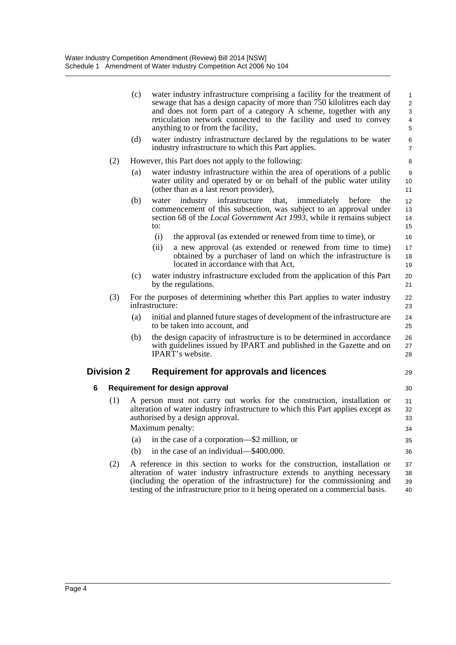|   |                   | (c) | water industry infrastructure comprising a facility for the treatment of<br>sewage that has a design capacity of more than 750 kilolitres each day<br>and does not form part of a category A scheme, together with any<br>reticulation network connected to the facility and used to convey<br>anything to or from the facility, | $\mathbf{1}$<br>$\overline{2}$<br>3<br>4<br>5 |
|---|-------------------|-----|----------------------------------------------------------------------------------------------------------------------------------------------------------------------------------------------------------------------------------------------------------------------------------------------------------------------------------|-----------------------------------------------|
|   |                   | (d) | water industry infrastructure declared by the regulations to be water<br>industry infrastructure to which this Part applies.                                                                                                                                                                                                     | 6<br>$\overline{7}$                           |
|   | (2)               |     | However, this Part does not apply to the following:                                                                                                                                                                                                                                                                              | 8                                             |
|   |                   | (a) | water industry infrastructure within the area of operations of a public<br>water utility and operated by or on behalf of the public water utility<br>(other than as a last resort provider),                                                                                                                                     | 9<br>10<br>11                                 |
|   |                   | (b) | water industry infrastructure<br>that,<br>immediately<br>the<br>before<br>commencement of this subsection, was subject to an approval under<br>section 68 of the <i>Local Government Act 1993</i> , while it remains subject<br>to:                                                                                              | 12<br>13<br>14<br>15                          |
|   |                   |     | (i)<br>the approval (as extended or renewed from time to time), or                                                                                                                                                                                                                                                               | 16                                            |
|   |                   |     | (ii)<br>a new approval (as extended or renewed from time to time)<br>obtained by a purchaser of land on which the infrastructure is<br>located in accordance with that Act,                                                                                                                                                      | 17<br>18<br>19                                |
|   |                   | (c) | water industry infrastructure excluded from the application of this Part<br>by the regulations.                                                                                                                                                                                                                                  | 20<br>21                                      |
|   | (3)               |     | For the purposes of determining whether this Part applies to water industry<br>infrastructure:                                                                                                                                                                                                                                   | 22<br>23                                      |
|   |                   | (a) | initial and planned future stages of development of the infrastructure are<br>to be taken into account, and                                                                                                                                                                                                                      | 24<br>25                                      |
|   |                   | (b) | the design capacity of infrastructure is to be determined in accordance<br>with guidelines issued by IPART and published in the Gazette and on<br><b>IPART's website.</b>                                                                                                                                                        | 26<br>27<br>28                                |
|   | <b>Division 2</b> |     | Requirement for approvals and licences                                                                                                                                                                                                                                                                                           | 29                                            |
| 6 |                   |     | Requirement for design approval                                                                                                                                                                                                                                                                                                  | 30                                            |
|   | (1)               |     | A person must not carry out works for the construction, installation or<br>alteration of water industry infrastructure to which this Part applies except as<br>authorised by a design approval.                                                                                                                                  | 31<br>32<br>33                                |
|   |                   |     | Maximum penalty:                                                                                                                                                                                                                                                                                                                 | 34                                            |
|   |                   | (a) | in the case of a corporation—\$2 million, or                                                                                                                                                                                                                                                                                     | 35                                            |
|   |                   | (b) | in the case of an individual—\$400,000.                                                                                                                                                                                                                                                                                          | 36                                            |
|   | (2)               |     | A reference in this section to works for the construction, installation or<br>alteration of water industry infrastructure extends to anything necessary<br>(including the operation of the infrastructure) for the commissioning and<br>testing of the infrastructure prior to it being operated on a commercial basis.          | 37<br>38<br>39<br>40                          |
|   |                   |     |                                                                                                                                                                                                                                                                                                                                  |                                               |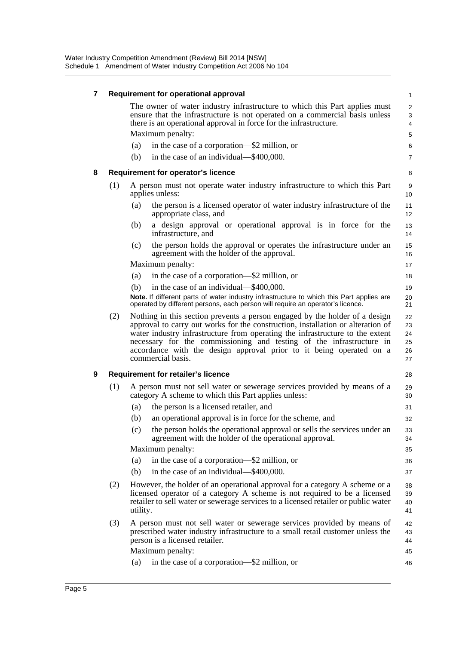| 7 |     |          | Requirement for operational approval                                                                                                                                                                                                                                                                                                                                                                                | 1                                |
|---|-----|----------|---------------------------------------------------------------------------------------------------------------------------------------------------------------------------------------------------------------------------------------------------------------------------------------------------------------------------------------------------------------------------------------------------------------------|----------------------------------|
|   |     |          | The owner of water industry infrastructure to which this Part applies must<br>ensure that the infrastructure is not operated on a commercial basis unless<br>there is an operational approval in force for the infrastructure.                                                                                                                                                                                      | $\overline{2}$<br>3<br>4         |
|   |     |          | Maximum penalty:                                                                                                                                                                                                                                                                                                                                                                                                    | 5                                |
|   |     | (a)      | in the case of a corporation—\$2 million, or                                                                                                                                                                                                                                                                                                                                                                        | 6                                |
|   |     | (b)      | in the case of an individual—\$400,000.                                                                                                                                                                                                                                                                                                                                                                             | $\overline{7}$                   |
| 8 |     |          | <b>Requirement for operator's licence</b>                                                                                                                                                                                                                                                                                                                                                                           | 8                                |
|   | (1) |          | A person must not operate water industry infrastructure to which this Part                                                                                                                                                                                                                                                                                                                                          | 9                                |
|   |     |          | applies unless:                                                                                                                                                                                                                                                                                                                                                                                                     | 10                               |
|   |     | (a)      | the person is a licensed operator of water industry infrastructure of the<br>appropriate class, and                                                                                                                                                                                                                                                                                                                 | 11<br>12                         |
|   |     | (b)      | a design approval or operational approval is in force for the<br>infrastructure, and                                                                                                                                                                                                                                                                                                                                | 13<br>14                         |
|   |     | (c)      | the person holds the approval or operates the infrastructure under an<br>agreement with the holder of the approval.                                                                                                                                                                                                                                                                                                 | 15<br>16                         |
|   |     |          | Maximum penalty:                                                                                                                                                                                                                                                                                                                                                                                                    | 17                               |
|   |     | (a)      | in the case of a corporation—\$2 million, or                                                                                                                                                                                                                                                                                                                                                                        | 18                               |
|   |     | (b)      | in the case of an individual—\$400,000.                                                                                                                                                                                                                                                                                                                                                                             | 19                               |
|   |     |          | Note. If different parts of water industry infrastructure to which this Part applies are<br>operated by different persons, each person will require an operator's licence.                                                                                                                                                                                                                                          | 20<br>21                         |
|   | (2) |          | Nothing in this section prevents a person engaged by the holder of a design<br>approval to carry out works for the construction, installation or alteration of<br>water industry infrastructure from operating the infrastructure to the extent<br>necessary for the commissioning and testing of the infrastructure in<br>accordance with the design approval prior to it being operated on a<br>commercial basis. | 22<br>23<br>24<br>25<br>26<br>27 |
| 9 |     |          | <b>Requirement for retailer's licence</b>                                                                                                                                                                                                                                                                                                                                                                           | 28                               |
|   | (1) |          | A person must not sell water or sewerage services provided by means of a<br>category A scheme to which this Part applies unless:                                                                                                                                                                                                                                                                                    | 29<br>30                         |
|   |     | (a)      | the person is a licensed retailer, and                                                                                                                                                                                                                                                                                                                                                                              | 31                               |
|   |     | (b)      | an operational approval is in force for the scheme, and                                                                                                                                                                                                                                                                                                                                                             | 32                               |
|   |     |          | (c) the person holds the operational approval or sells the services under an<br>agreement with the holder of the operational approval.                                                                                                                                                                                                                                                                              | 33<br>34                         |
|   |     |          | Maximum penalty:                                                                                                                                                                                                                                                                                                                                                                                                    | 35                               |
|   |     | (a)      | in the case of a corporation—\$2 million, or                                                                                                                                                                                                                                                                                                                                                                        | 36                               |
|   |     | (b)      | in the case of an individual—\$400,000.                                                                                                                                                                                                                                                                                                                                                                             | 37                               |
|   | (2) | utility. | However, the holder of an operational approval for a category A scheme or a<br>licensed operator of a category A scheme is not required to be a licensed<br>retailer to sell water or sewerage services to a licensed retailer or public water                                                                                                                                                                      | 38<br>39<br>40<br>41             |
|   | (3) |          | A person must not sell water or sewerage services provided by means of<br>prescribed water industry infrastructure to a small retail customer unless the<br>person is a licensed retailer.                                                                                                                                                                                                                          | 42<br>43<br>44                   |
|   |     |          | Maximum penalty:                                                                                                                                                                                                                                                                                                                                                                                                    | 45                               |
|   |     | (a)      | in the case of a corporation—\$2 million, or                                                                                                                                                                                                                                                                                                                                                                        | 46                               |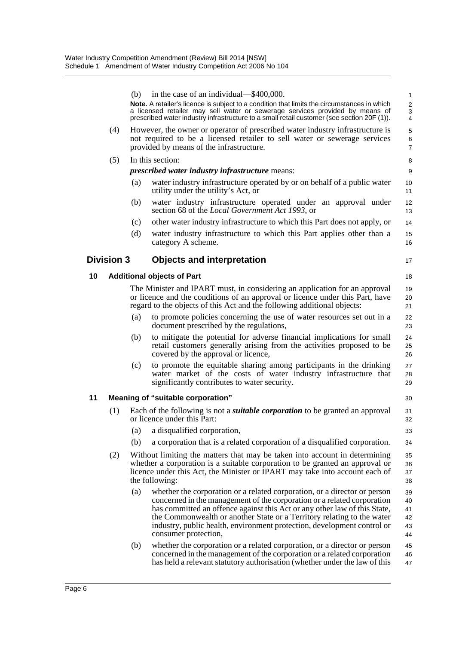|    |                   | (b) | in the case of an individual—\$400,000.                                                                                                                                                                                                                                                                                                                                                                        | 1                                |
|----|-------------------|-----|----------------------------------------------------------------------------------------------------------------------------------------------------------------------------------------------------------------------------------------------------------------------------------------------------------------------------------------------------------------------------------------------------------------|----------------------------------|
|    |                   |     | Note. A retailer's licence is subject to a condition that limits the circumstances in which<br>a licensed retailer may sell water or sewerage services provided by means of<br>prescribed water industry infrastructure to a small retail customer (see section 20F (1)).                                                                                                                                      | $\overline{c}$<br>3<br>4         |
|    | (4)               |     | However, the owner or operator of prescribed water industry infrastructure is                                                                                                                                                                                                                                                                                                                                  | 5                                |
|    |                   |     | not required to be a licensed retailer to sell water or sewerage services<br>provided by means of the infrastructure.                                                                                                                                                                                                                                                                                          | 6<br>$\overline{7}$              |
|    | (5)               |     | In this section:                                                                                                                                                                                                                                                                                                                                                                                               | 8                                |
|    |                   |     | <i>prescribed water industry infrastructure means:</i>                                                                                                                                                                                                                                                                                                                                                         | 9                                |
|    |                   | (a) | water industry infrastructure operated by or on behalf of a public water<br>utility under the utility's Act, or                                                                                                                                                                                                                                                                                                | 10<br>11                         |
|    |                   | (b) | water industry infrastructure operated under an approval under<br>section 68 of the <i>Local Government Act 1993</i> , or                                                                                                                                                                                                                                                                                      | 12<br>13                         |
|    |                   | (c) | other water industry infrastructure to which this Part does not apply, or                                                                                                                                                                                                                                                                                                                                      | 14                               |
|    |                   | (d) | water industry infrastructure to which this Part applies other than a<br>category A scheme.                                                                                                                                                                                                                                                                                                                    | 15<br>16                         |
|    | <b>Division 3</b> |     | <b>Objects and interpretation</b>                                                                                                                                                                                                                                                                                                                                                                              | 17                               |
| 10 |                   |     | <b>Additional objects of Part</b>                                                                                                                                                                                                                                                                                                                                                                              | 18                               |
|    |                   |     | The Minister and IPART must, in considering an application for an approval<br>or licence and the conditions of an approval or licence under this Part, have<br>regard to the objects of this Act and the following additional objects:                                                                                                                                                                         | 19<br>20<br>21                   |
|    |                   | (a) | to promote policies concerning the use of water resources set out in a<br>document prescribed by the regulations,                                                                                                                                                                                                                                                                                              | 22<br>23                         |
|    |                   | (b) | to mitigate the potential for adverse financial implications for small<br>retail customers generally arising from the activities proposed to be<br>covered by the approval or licence,                                                                                                                                                                                                                         | 24<br>25<br>26                   |
|    |                   | (c) | to promote the equitable sharing among participants in the drinking<br>water market of the costs of water industry infrastructure that<br>significantly contributes to water security.                                                                                                                                                                                                                         | 27<br>28<br>29                   |
| 11 |                   |     | <b>Meaning of "suitable corporation"</b>                                                                                                                                                                                                                                                                                                                                                                       | 30                               |
|    | (1)               |     | Each of the following is not a <i>suitable corporation</i> to be granted an approval<br>or licence under this Part:                                                                                                                                                                                                                                                                                            | 31<br>32                         |
|    |                   | (a) | a disqualified corporation,                                                                                                                                                                                                                                                                                                                                                                                    | 33                               |
|    |                   | (b) | a corporation that is a related corporation of a disqualified corporation.                                                                                                                                                                                                                                                                                                                                     | 34                               |
|    | (2)               |     | Without limiting the matters that may be taken into account in determining<br>whether a corporation is a suitable corporation to be granted an approval or<br>licence under this Act, the Minister or IPART may take into account each of<br>the following:                                                                                                                                                    | 35<br>36<br>37<br>38             |
|    |                   | (a) | whether the corporation or a related corporation, or a director or person<br>concerned in the management of the corporation or a related corporation<br>has committed an offence against this Act or any other law of this State,<br>the Commonwealth or another State or a Territory relating to the water<br>industry, public health, environment protection, development control or<br>consumer protection, | 39<br>40<br>41<br>42<br>43<br>44 |
|    |                   | (b) | whether the corporation or a related corporation, or a director or person<br>concerned in the management of the corporation or a related corporation<br>has held a relevant statutory authorisation (whether under the law of this                                                                                                                                                                             | 45<br>46<br>47                   |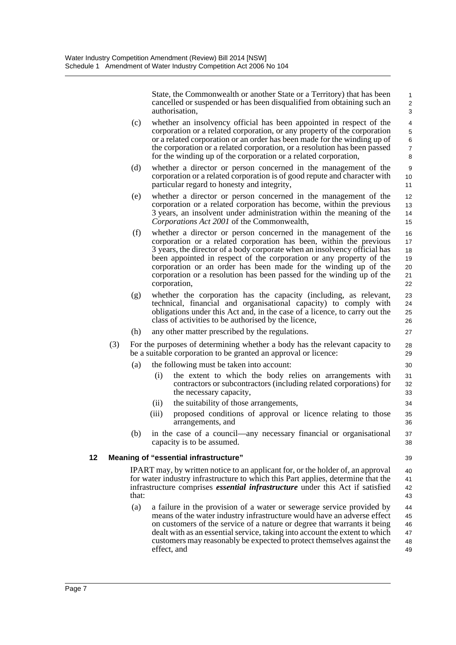State, the Commonwealth or another State or a Territory) that has been cancelled or suspended or has been disqualified from obtaining such an authorisation,

- (c) whether an insolvency official has been appointed in respect of the corporation or a related corporation, or any property of the corporation or a related corporation or an order has been made for the winding up of the corporation or a related corporation, or a resolution has been passed for the winding up of the corporation or a related corporation,
- (d) whether a director or person concerned in the management of the corporation or a related corporation is of good repute and character with particular regard to honesty and integrity,
- (e) whether a director or person concerned in the management of the corporation or a related corporation has become, within the previous 3 years, an insolvent under administration within the meaning of the *Corporations Act 2001* of the Commonwealth,
- (f) whether a director or person concerned in the management of the corporation or a related corporation has been, within the previous 3 years, the director of a body corporate when an insolvency official has been appointed in respect of the corporation or any property of the corporation or an order has been made for the winding up of the corporation or a resolution has been passed for the winding up of the corporation, 16 17 18 19 20 21 22
- (g) whether the corporation has the capacity (including, as relevant, technical, financial and organisational capacity) to comply with obligations under this Act and, in the case of a licence, to carry out the class of activities to be authorised by the licence,
- (h) any other matter prescribed by the regulations.
- (3) For the purposes of determining whether a body has the relevant capacity to be a suitable corporation to be granted an approval or licence:
	- (a) the following must be taken into account:
		- (i) the extent to which the body relies on arrangements with contractors or subcontractors (including related corporations) for the necessary capacity,
		- (ii) the suitability of those arrangements,
		- (iii) proposed conditions of approval or licence relating to those arrangements, and
	- (b) in the case of a council—any necessary financial or organisational capacity is to be assumed.

### **12 Meaning of "essential infrastructure"**

39 40

> 41 42 43

IPART may, by written notice to an applicant for, or the holder of, an approval for water industry infrastructure to which this Part applies, determine that the infrastructure comprises *essential infrastructure* under this Act if satisfied that:

(a) a failure in the provision of a water or sewerage service provided by means of the water industry infrastructure would have an adverse effect on customers of the service of a nature or degree that warrants it being dealt with as an essential service, taking into account the extent to which customers may reasonably be expected to protect themselves against the effect, and 44 45 46 47 48 49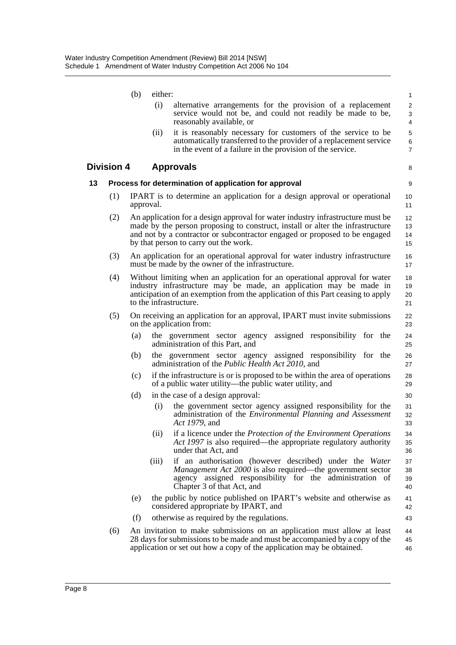|    |                   | (b)       | either: |                                                                                                                                                                                                                                                                                         | $\mathbf{1}$             |
|----|-------------------|-----------|---------|-----------------------------------------------------------------------------------------------------------------------------------------------------------------------------------------------------------------------------------------------------------------------------------------|--------------------------|
|    |                   |           | (i)     | alternative arrangements for the provision of a replacement<br>service would not be, and could not readily be made to be,<br>reasonably available, or                                                                                                                                   | 2<br>3<br>4              |
|    |                   |           | (ii)    | it is reasonably necessary for customers of the service to be<br>automatically transferred to the provider of a replacement service<br>in the event of a failure in the provision of the service.                                                                                       | 5<br>6<br>$\overline{7}$ |
|    | <b>Division 4</b> |           |         | <b>Approvals</b>                                                                                                                                                                                                                                                                        | 8                        |
| 13 |                   |           |         | Process for determination of application for approval                                                                                                                                                                                                                                   | 9                        |
|    | (1)               | approval. |         | IPART is to determine an application for a design approval or operational                                                                                                                                                                                                               | 10<br>11                 |
|    | (2)               |           |         | An application for a design approval for water industry infrastructure must be<br>made by the person proposing to construct, install or alter the infrastructure<br>and not by a contractor or subcontractor engaged or proposed to be engaged<br>by that person to carry out the work. | 12<br>13<br>14<br>15     |
|    | (3)               |           |         | An application for an operational approval for water industry infrastructure<br>must be made by the owner of the infrastructure.                                                                                                                                                        | 16<br>17                 |
|    | (4)               |           |         | Without limiting when an application for an operational approval for water<br>industry infrastructure may be made, an application may be made in<br>anticipation of an exemption from the application of this Part ceasing to apply<br>to the infrastructure.                           | 18<br>19<br>20<br>21     |
|    | (5)               |           |         | On receiving an application for an approval, IPART must invite submissions<br>on the application from:                                                                                                                                                                                  | 22<br>23                 |
|    |                   | (a)       |         | the government sector agency assigned responsibility for the<br>administration of this Part, and                                                                                                                                                                                        | 24<br>25                 |
|    |                   | (b)       |         | the government sector agency assigned responsibility for the<br>administration of the <i>Public Health Act 2010</i> , and                                                                                                                                                               | 26<br>27                 |
|    |                   | (c)       |         | if the infrastructure is or is proposed to be within the area of operations<br>of a public water utility—the public water utility, and                                                                                                                                                  | 28<br>29                 |
|    |                   | (d)       |         | in the case of a design approval:                                                                                                                                                                                                                                                       | 30                       |
|    |                   |           | (i)     | the government sector agency assigned responsibility for the<br>administration of the <i>Environmental Planning and Assessment</i><br>Act 1979, and                                                                                                                                     | 31<br>32<br>33           |
|    |                   |           | (ii)    | if a licence under the Protection of the Environment Operations<br>Act 1997 is also required—the appropriate regulatory authority<br>under that Act, and                                                                                                                                | 34<br>35<br>36           |
|    |                   |           | (iii)   | if an authorisation (however described) under the Water<br>Management Act 2000 is also required—the government sector<br>agency assigned responsibility for the administration of<br>Chapter 3 of that Act, and                                                                         | 37<br>38<br>39<br>40     |
|    |                   | (e)       |         | the public by notice published on IPART's website and otherwise as<br>considered appropriate by IPART, and                                                                                                                                                                              | 41<br>42                 |
|    |                   | (f)       |         | otherwise as required by the regulations.                                                                                                                                                                                                                                               | 43                       |
|    | (6)               |           |         | An invitation to make submissions on an application must allow at least<br>28 days for submissions to be made and must be accompanied by a copy of the<br>application or set out how a copy of the application may be obtained.                                                         | 44<br>45<br>46           |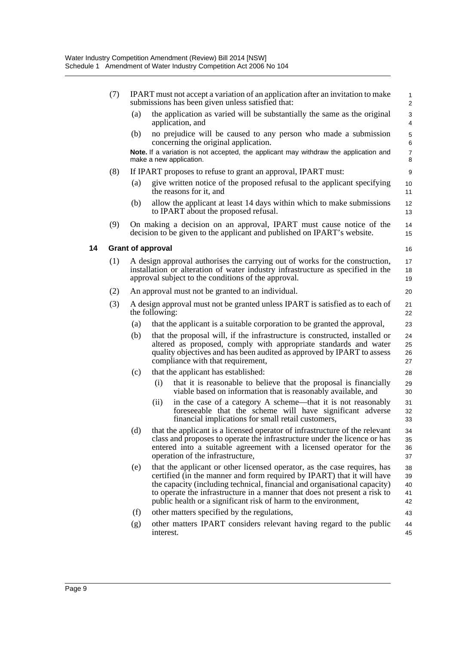| (7) |                                                                                                                                                                                                                        | IPART must not accept a variation of an application after an invitation to make<br>submissions has been given unless satisfied that:                                                                                                                                                                                                                                            | $\mathbf{1}$<br>$\overline{c}$ |  |
|-----|------------------------------------------------------------------------------------------------------------------------------------------------------------------------------------------------------------------------|---------------------------------------------------------------------------------------------------------------------------------------------------------------------------------------------------------------------------------------------------------------------------------------------------------------------------------------------------------------------------------|--------------------------------|--|
|     | (a)                                                                                                                                                                                                                    | the application as varied will be substantially the same as the original<br>application, and                                                                                                                                                                                                                                                                                    | 3<br>4                         |  |
|     | (b)                                                                                                                                                                                                                    | no prejudice will be caused to any person who made a submission<br>concerning the original application.                                                                                                                                                                                                                                                                         | 5<br>6                         |  |
|     |                                                                                                                                                                                                                        | Note. If a variation is not accepted, the applicant may withdraw the application and<br>make a new application.                                                                                                                                                                                                                                                                 | $\overline{7}$<br>8            |  |
| (8) |                                                                                                                                                                                                                        | If IPART proposes to refuse to grant an approval, IPART must:                                                                                                                                                                                                                                                                                                                   | 9                              |  |
|     | (a)                                                                                                                                                                                                                    | give written notice of the proposed refusal to the applicant specifying<br>the reasons for it, and                                                                                                                                                                                                                                                                              | 10<br>11                       |  |
|     | (b)                                                                                                                                                                                                                    | allow the applicant at least 14 days within which to make submissions<br>to IPART about the proposed refusal.                                                                                                                                                                                                                                                                   | 12<br>13                       |  |
| (9) | On making a decision on an approval, IPART must cause notice of the<br>decision to be given to the applicant and published on IPART's website.                                                                         |                                                                                                                                                                                                                                                                                                                                                                                 |                                |  |
|     |                                                                                                                                                                                                                        | <b>Grant of approval</b>                                                                                                                                                                                                                                                                                                                                                        | 16                             |  |
| (1) | A design approval authorises the carrying out of works for the construction,<br>installation or alteration of water industry infrastructure as specified in the<br>approval subject to the conditions of the approval. |                                                                                                                                                                                                                                                                                                                                                                                 |                                |  |
| (2) |                                                                                                                                                                                                                        | An approval must not be granted to an individual.                                                                                                                                                                                                                                                                                                                               | 20                             |  |
| (3) | A design approval must not be granted unless IPART is satisfied as to each of<br>the following:                                                                                                                        |                                                                                                                                                                                                                                                                                                                                                                                 |                                |  |
|     | (a)                                                                                                                                                                                                                    | that the applicant is a suitable corporation to be granted the approval,                                                                                                                                                                                                                                                                                                        | 23                             |  |
|     | (b)                                                                                                                                                                                                                    | that the proposal will, if the infrastructure is constructed, installed or<br>altered as proposed, comply with appropriate standards and water<br>quality objectives and has been audited as approved by IPART to assess<br>compliance with that requirement,                                                                                                                   | 24<br>25<br>26<br>27           |  |
|     | (c)                                                                                                                                                                                                                    | that the applicant has established:                                                                                                                                                                                                                                                                                                                                             | 28                             |  |
|     |                                                                                                                                                                                                                        | that it is reasonable to believe that the proposal is financially<br>(i)<br>viable based on information that is reasonably available, and                                                                                                                                                                                                                                       | 29<br>30                       |  |
|     |                                                                                                                                                                                                                        | in the case of a category A scheme—that it is not reasonably<br>(i)<br>foreseeable that the scheme will have significant adverse<br>financial implications for small retail customers,                                                                                                                                                                                          | 31<br>32<br>33                 |  |
|     |                                                                                                                                                                                                                        | (d) that the applicant is a licensed operator of infrastructure of the relevant<br>class and proposes to operate the infrastructure under the licence or has<br>entered into a suitable agreement with a licensed operator for the<br>operation of the infrastructure,                                                                                                          | 34<br>35<br>36<br>37           |  |
|     | (e)                                                                                                                                                                                                                    | that the applicant or other licensed operator, as the case requires, has<br>certified (in the manner and form required by IPART) that it will have<br>the capacity (including technical, financial and organisational capacity)<br>to operate the infrastructure in a manner that does not present a risk to<br>public health or a significant risk of harm to the environment, | 38<br>39<br>40<br>41<br>42     |  |
|     | (f)                                                                                                                                                                                                                    | other matters specified by the regulations,                                                                                                                                                                                                                                                                                                                                     | 43                             |  |
|     | (g)                                                                                                                                                                                                                    | other matters IPART considers relevant having regard to the public<br>interest.                                                                                                                                                                                                                                                                                                 | 44<br>45                       |  |

**14 Grant of approval**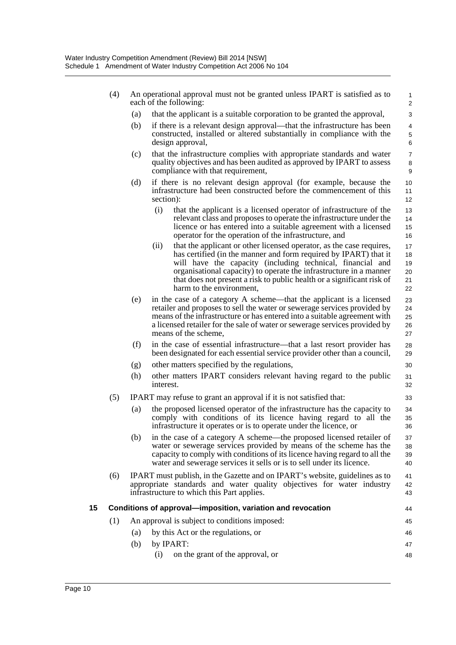- (4) An operational approval must not be granted unless IPART is satisfied as to each of the following:
	- (a) that the applicant is a suitable corporation to be granted the approval,
	- (b) if there is a relevant design approval—that the infrastructure has been constructed, installed or altered substantially in compliance with the design approval,

44 45 46

- (c) that the infrastructure complies with appropriate standards and water quality objectives and has been audited as approved by IPART to assess compliance with that requirement,
- (d) if there is no relevant design approval (for example, because the infrastructure had been constructed before the commencement of this section):
	- (i) that the applicant is a licensed operator of infrastructure of the relevant class and proposes to operate the infrastructure under the licence or has entered into a suitable agreement with a licensed operator for the operation of the infrastructure, and
	- (ii) that the applicant or other licensed operator, as the case requires, has certified (in the manner and form required by IPART) that it will have the capacity (including technical, financial and organisational capacity) to operate the infrastructure in a manner that does not present a risk to public health or a significant risk of harm to the environment, 17 18 19  $20$ 21  $22$
- (e) in the case of a category A scheme—that the applicant is a licensed retailer and proposes to sell the water or sewerage services provided by means of the infrastructure or has entered into a suitable agreement with a licensed retailer for the sale of water or sewerage services provided by means of the scheme,
- (f) in the case of essential infrastructure—that a last resort provider has been designated for each essential service provider other than a council,
- (g) other matters specified by the regulations,
- (h) other matters IPART considers relevant having regard to the public interest.
- (5) IPART may refuse to grant an approval if it is not satisfied that:
	- (a) the proposed licensed operator of the infrastructure has the capacity to comply with conditions of its licence having regard to all the infrastructure it operates or is to operate under the licence, or
	- (b) in the case of a category A scheme—the proposed licensed retailer of water or sewerage services provided by means of the scheme has the capacity to comply with conditions of its licence having regard to all the water and sewerage services it sells or is to sell under its licence. 37 38 39 40
- (6) IPART must publish, in the Gazette and on IPART's website, guidelines as to appropriate standards and water quality objectives for water industry infrastructure to which this Part applies. 41 42 43

## **15 Conditions of approval—imposition, variation and revocation**

- (1) An approval is subject to conditions imposed: (a) by this Act or the regulations, or
	- (b) by IPART: (i) on the grant of the approval, or 47 48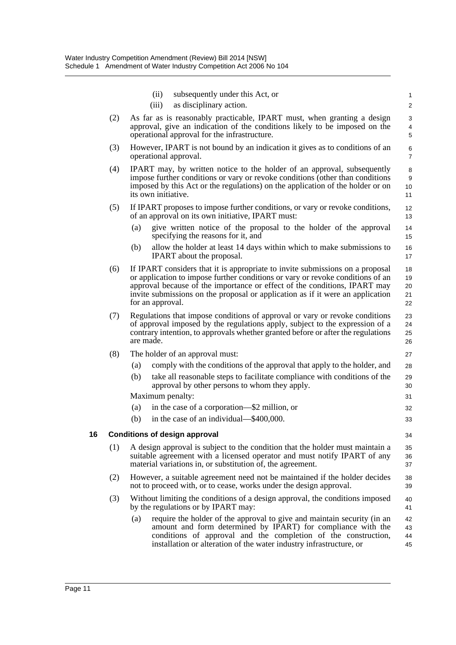|    |     | subsequently under this Act, or<br>(ii)<br>as disciplinary action.<br>(iii)                                                                                                                                                                                                                                                                        | 1                          |
|----|-----|----------------------------------------------------------------------------------------------------------------------------------------------------------------------------------------------------------------------------------------------------------------------------------------------------------------------------------------------------|----------------------------|
|    |     |                                                                                                                                                                                                                                                                                                                                                    | $\overline{\mathbf{c}}$    |
|    | (2) | As far as is reasonably practicable, IPART must, when granting a design<br>approval, give an indication of the conditions likely to be imposed on the                                                                                                                                                                                              | 3<br>4                     |
|    |     | operational approval for the infrastructure.                                                                                                                                                                                                                                                                                                       | 5                          |
|    | (3) | However, IPART is not bound by an indication it gives as to conditions of an<br>operational approval.                                                                                                                                                                                                                                              | 6<br>7                     |
|    | (4) | IPART may, by written notice to the holder of an approval, subsequently<br>impose further conditions or vary or revoke conditions (other than conditions<br>imposed by this Act or the regulations) on the application of the holder or on<br>its own initiative.                                                                                  | 8<br>9<br>10<br>11         |
|    | (5) | If IPART proposes to impose further conditions, or vary or revoke conditions,<br>of an approval on its own initiative, IPART must:                                                                                                                                                                                                                 | 12<br>13                   |
|    |     | (a)<br>give written notice of the proposal to the holder of the approval<br>specifying the reasons for it, and                                                                                                                                                                                                                                     | 14<br>15                   |
|    |     | allow the holder at least 14 days within which to make submissions to<br>(b)<br>IPART about the proposal.                                                                                                                                                                                                                                          | 16<br>17                   |
|    | (6) | If IPART considers that it is appropriate to invite submissions on a proposal<br>or application to impose further conditions or vary or revoke conditions of an<br>approval because of the importance or effect of the conditions, IPART may<br>invite submissions on the proposal or application as if it were an application<br>for an approval. | 18<br>19<br>20<br>21<br>22 |
|    | (7) | Regulations that impose conditions of approval or vary or revoke conditions<br>of approval imposed by the regulations apply, subject to the expression of a<br>contrary intention, to approvals whether granted before or after the regulations<br>are made.                                                                                       | 23<br>24<br>25<br>26       |
|    | (8) | The holder of an approval must:                                                                                                                                                                                                                                                                                                                    | 27                         |
|    |     | comply with the conditions of the approval that apply to the holder, and<br>(a)                                                                                                                                                                                                                                                                    | 28                         |
|    |     | take all reasonable steps to facilitate compliance with conditions of the<br>(b)<br>approval by other persons to whom they apply.                                                                                                                                                                                                                  | 29<br>30                   |
|    |     | Maximum penalty:                                                                                                                                                                                                                                                                                                                                   | 31                         |
|    |     | (a)<br>in the case of a corporation—\$2 million, or                                                                                                                                                                                                                                                                                                | 32                         |
|    |     | in the case of an individual—\$400,000.<br>(b)                                                                                                                                                                                                                                                                                                     | 33                         |
| 16 |     | <b>Conditions of design approval</b>                                                                                                                                                                                                                                                                                                               | 34                         |
|    | (1) | A design approval is subject to the condition that the holder must maintain a<br>suitable agreement with a licensed operator and must notify IPART of any<br>material variations in, or substitution of, the agreement.                                                                                                                            | 35<br>36<br>37             |
|    | (2) | However, a suitable agreement need not be maintained if the holder decides<br>not to proceed with, or to cease, works under the design approval.                                                                                                                                                                                                   | 38<br>39                   |
|    | (3) | Without limiting the conditions of a design approval, the conditions imposed<br>by the regulations or by IPART may:                                                                                                                                                                                                                                | 40<br>41                   |
|    |     | require the holder of the approval to give and maintain security (in an<br>(a)<br>amount and form determined by IPART) for compliance with the<br>conditions of approval and the completion of the construction,<br>installation or alteration of the water industry infrastructure, or                                                            | 42<br>43<br>44<br>45       |
|    |     |                                                                                                                                                                                                                                                                                                                                                    |                            |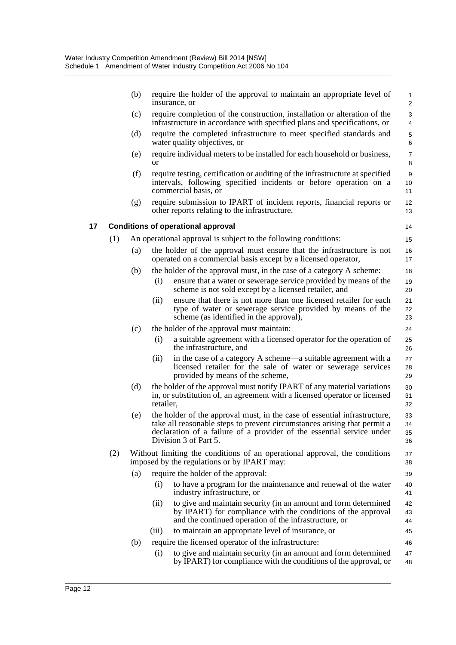|    |     | (b) | require the holder of the approval to maintain an appropriate level of<br>insurance, or                                                                                                                                                                 | $\mathbf{1}$<br>$\overline{2}$ |
|----|-----|-----|---------------------------------------------------------------------------------------------------------------------------------------------------------------------------------------------------------------------------------------------------------|--------------------------------|
|    |     | (c) | require completion of the construction, installation or alteration of the<br>infrastructure in accordance with specified plans and specifications, or                                                                                                   | 3<br>4                         |
|    |     | (d) | require the completed infrastructure to meet specified standards and<br>water quality objectives, or                                                                                                                                                    | 5<br>6                         |
|    |     | (e) | require individual meters to be installed for each household or business,<br><b>or</b>                                                                                                                                                                  | $\overline{7}$<br>8            |
|    |     | (f) | require testing, certification or auditing of the infrastructure at specified<br>intervals, following specified incidents or before operation on a<br>commercial basis, or                                                                              | $\boldsymbol{9}$<br>10<br>11   |
|    |     | (g) | require submission to IPART of incident reports, financial reports or<br>other reports relating to the infrastructure.                                                                                                                                  | 12<br>13                       |
| 17 |     |     | <b>Conditions of operational approval</b>                                                                                                                                                                                                               | 14                             |
|    | (1) |     | An operational approval is subject to the following conditions:                                                                                                                                                                                         | 15                             |
|    |     | (a) | the holder of the approval must ensure that the infrastructure is not<br>operated on a commercial basis except by a licensed operator,                                                                                                                  | 16<br>17                       |
|    |     | (b) | the holder of the approval must, in the case of a category A scheme:                                                                                                                                                                                    | 18                             |
|    |     |     | ensure that a water or sewerage service provided by means of the<br>(i)<br>scheme is not sold except by a licensed retailer, and                                                                                                                        | 19<br>20                       |
|    |     |     | ensure that there is not more than one licensed retailer for each<br>(ii)<br>type of water or sewerage service provided by means of the<br>scheme (as identified in the approval),                                                                      | 21<br>22<br>23                 |
|    |     | (c) | the holder of the approval must maintain:                                                                                                                                                                                                               | 24                             |
|    |     |     | a suitable agreement with a licensed operator for the operation of<br>(i)<br>the infrastructure, and                                                                                                                                                    | 25<br>26                       |
|    |     |     | in the case of a category A scheme—a suitable agreement with a<br>(ii)<br>licensed retailer for the sale of water or sewerage services<br>provided by means of the scheme,                                                                              | 27<br>28<br>29                 |
|    |     | (d) | the holder of the approval must notify IPART of any material variations<br>in, or substitution of, an agreement with a licensed operator or licensed<br>retailer,                                                                                       | 30<br>31<br>32                 |
|    |     | (e) | the holder of the approval must, in the case of essential infrastructure,<br>take all reasonable steps to prevent circumstances arising that permit a<br>declaration of a failure of a provider of the essential service under<br>Division 3 of Part 5. | 33<br>34<br>35<br>36           |
|    | (2) |     | Without limiting the conditions of an operational approval, the conditions<br>imposed by the regulations or by IPART may:                                                                                                                               | 37<br>38                       |
|    |     | (a) | require the holder of the approval:                                                                                                                                                                                                                     | 39                             |
|    |     |     | to have a program for the maintenance and renewal of the water<br>(i)<br>industry infrastructure, or                                                                                                                                                    | 40<br>41                       |
|    |     |     | (ii)<br>to give and maintain security (in an amount and form determined<br>by IPART) for compliance with the conditions of the approval<br>and the continued operation of the infrastructure, or                                                        | 42<br>43<br>44                 |
|    |     |     | to maintain an appropriate level of insurance, or<br>(iii)                                                                                                                                                                                              | 45                             |
|    |     | (b) | require the licensed operator of the infrastructure:                                                                                                                                                                                                    | 46                             |
|    |     |     | to give and maintain security (in an amount and form determined<br>(i)<br>by IPART) for compliance with the conditions of the approval, or                                                                                                              | 47<br>48                       |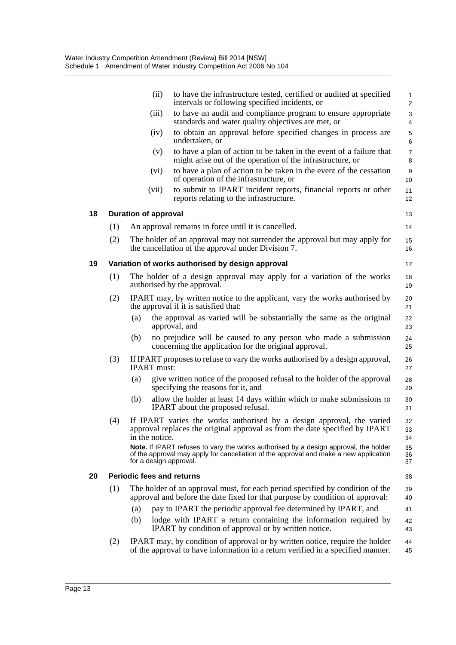|    |     | (ii)                             | to have the infrastructure tested, certified or audited at specified<br>intervals or following specified incidents, or                                                        | $\mathbf{1}$<br>$\overline{2}$ |
|----|-----|----------------------------------|-------------------------------------------------------------------------------------------------------------------------------------------------------------------------------|--------------------------------|
|    |     | (iii)                            | to have an audit and compliance program to ensure appropriate<br>standards and water quality objectives are met, or                                                           | 3<br>4                         |
|    |     | (iv)                             | to obtain an approval before specified changes in process are<br>undertaken, or                                                                                               | 5<br>6                         |
|    |     | (v)                              | to have a plan of action to be taken in the event of a failure that<br>might arise out of the operation of the infrastructure, or                                             | $\overline{7}$<br>8            |
|    |     | (vi)                             | to have a plan of action to be taken in the event of the cessation<br>of operation of the infrastructure, or                                                                  | $\boldsymbol{9}$<br>10         |
|    |     | (vii)                            | to submit to IPART incident reports, financial reports or other<br>reports relating to the infrastructure.                                                                    | 11<br>12                       |
| 18 |     | <b>Duration of approval</b>      |                                                                                                                                                                               | 13                             |
|    | (1) |                                  | An approval remains in force until it is cancelled.                                                                                                                           | 14                             |
|    | (2) |                                  | The holder of an approval may not surrender the approval but may apply for<br>the cancellation of the approval under Division 7.                                              | 15<br>16                       |
| 19 |     |                                  | Variation of works authorised by design approval                                                                                                                              | 17                             |
|    | (1) |                                  | The holder of a design approval may apply for a variation of the works<br>authorised by the approval.                                                                         | 18<br>19                       |
|    | (2) |                                  | IPART may, by written notice to the applicant, vary the works authorised by<br>the approval if it is satisfied that:                                                          | 20<br>21                       |
|    |     | (a)                              | the approval as varied will be substantially the same as the original<br>approval, and                                                                                        | 22<br>23                       |
|    |     | (b)                              | no prejudice will be caused to any person who made a submission<br>concerning the application for the original approval.                                                      | 24<br>25                       |
|    | (3) | <b>IPART</b> must:               | If IPART proposes to refuse to vary the works authorised by a design approval,                                                                                                | 26<br>27                       |
|    |     | (a)                              | give written notice of the proposed refusal to the holder of the approval<br>specifying the reasons for it, and                                                               | 28<br>29                       |
|    |     | (b)                              | allow the holder at least 14 days within which to make submissions to<br>IPART about the proposed refusal.                                                                    | 30<br>31                       |
|    | (4) | in the notice.                   | If IPART varies the works authorised by a design approval, the varied<br>approval replaces the original approval as from the date specified by IPART                          | 32<br>33<br>34                 |
|    |     | for a design approval.           | Note. If IPART refuses to vary the works authorised by a design approval, the holder<br>of the approval may apply for cancellation of the approval and make a new application | 35<br>36<br>37                 |
| 20 |     | <b>Periodic fees and returns</b> |                                                                                                                                                                               | 38                             |
|    | (1) |                                  | The holder of an approval must, for each period specified by condition of the<br>approval and before the date fixed for that purpose by condition of approval:                | 39<br>40                       |
|    |     | (a)                              | pay to IPART the periodic approval fee determined by IPART, and                                                                                                               | 41                             |
|    |     | (b)                              | lodge with IPART a return containing the information required by<br>IPART by condition of approval or by written notice.                                                      | 42<br>43                       |
|    | (2) |                                  | IPART may, by condition of approval or by written notice, require the holder<br>of the approval to have information in a return verified in a specified manner.               | 44<br>45                       |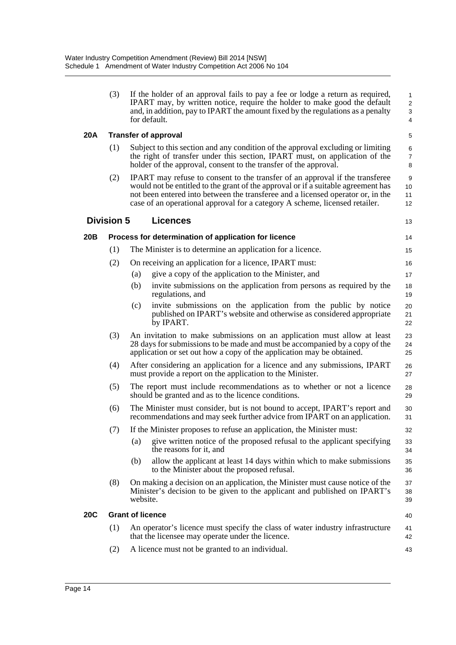| (3) | If the holder of an approval fails to pay a fee or lodge a return as required,  |
|-----|---------------------------------------------------------------------------------|
|     | IPART may, by written notice, require the holder to make good the default       |
|     | and, in addition, pay to IPART the amount fixed by the regulations as a penalty |
|     | for default.                                                                    |

13

### **20A Transfer of approval**

- (1) Subject to this section and any condition of the approval excluding or limiting the right of transfer under this section, IPART must, on application of the holder of the approval, consent to the transfer of the approval.
- (2) IPART may refuse to consent to the transfer of an approval if the transferee would not be entitled to the grant of the approval or if a suitable agreement has not been entered into between the transferee and a licensed operator or, in the case of an operational approval for a category A scheme, licensed retailer. 10 11 12

## **Division 5 Licences**

**20B Process for determination of application for licence** (1) The Minister is to determine an application for a licence. (2) On receiving an application for a licence, IPART must: (a) give a copy of the application to the Minister, and (b) invite submissions on the application from persons as required by the regulations, and (c) invite submissions on the application from the public by notice published on IPART's website and otherwise as considered appropriate by IPART. (3) An invitation to make submissions on an application must allow at least 28 days for submissions to be made and must be accompanied by a copy of the application or set out how a copy of the application may be obtained. (4) After considering an application for a licence and any submissions, IPART must provide a report on the application to the Minister. (5) The report must include recommendations as to whether or not a licence should be granted and as to the licence conditions. (6) The Minister must consider, but is not bound to accept, IPART's report and recommendations and may seek further advice from IPART on an application. (7) If the Minister proposes to refuse an application, the Minister must: (a) give written notice of the proposed refusal to the applicant specifying the reasons for it, and (b) allow the applicant at least 14 days within which to make submissions to the Minister about the proposed refusal. (8) On making a decision on an application, the Minister must cause notice of the Minister's decision to be given to the applicant and published on IPART's website. **20C Grant of licence** (1) An operator's licence must specify the class of water industry infrastructure that the licensee may operate under the licence. (2) A licence must not be granted to an individual. 14 15 16 17 18 19 20 21  $22$ 23 24 25 26 27 28 29 30 31 32 33 34 35 36 37 38 39 40 41 42 43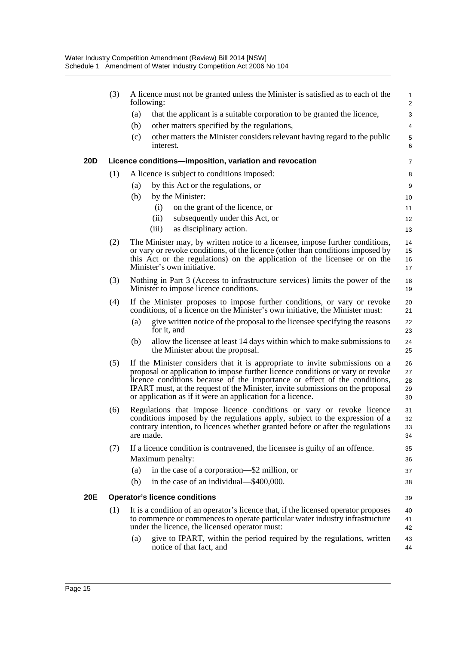|     | (3) |                                                                                                                                                                                                                                                                                                                                                                                            | A licence must not be granted unless the Minister is satisfied as to each of the<br>following:                                                                                                                       | $\mathbf{1}$<br>2 |
|-----|-----|--------------------------------------------------------------------------------------------------------------------------------------------------------------------------------------------------------------------------------------------------------------------------------------------------------------------------------------------------------------------------------------------|----------------------------------------------------------------------------------------------------------------------------------------------------------------------------------------------------------------------|-------------------|
|     |     | (a)                                                                                                                                                                                                                                                                                                                                                                                        | that the applicant is a suitable corporation to be granted the licence,                                                                                                                                              | 3                 |
|     |     | (b)                                                                                                                                                                                                                                                                                                                                                                                        | other matters specified by the regulations,                                                                                                                                                                          | 4                 |
|     |     | (c)                                                                                                                                                                                                                                                                                                                                                                                        | other matters the Minister considers relevant having regard to the public<br>interest.                                                                                                                               | 5<br>6            |
| 20D |     |                                                                                                                                                                                                                                                                                                                                                                                            | Licence conditions-imposition, variation and revocation                                                                                                                                                              | 7                 |
|     | (1) |                                                                                                                                                                                                                                                                                                                                                                                            | A licence is subject to conditions imposed:                                                                                                                                                                          | 8                 |
|     |     | (a)                                                                                                                                                                                                                                                                                                                                                                                        | by this Act or the regulations, or                                                                                                                                                                                   | 9                 |
|     |     | (b)                                                                                                                                                                                                                                                                                                                                                                                        | by the Minister:                                                                                                                                                                                                     | 10                |
|     |     |                                                                                                                                                                                                                                                                                                                                                                                            | on the grant of the licence, or<br>(i)                                                                                                                                                                               | 11                |
|     |     |                                                                                                                                                                                                                                                                                                                                                                                            | subsequently under this Act, or<br>(ii)                                                                                                                                                                              | 12                |
|     |     |                                                                                                                                                                                                                                                                                                                                                                                            | as disciplinary action.<br>(iii)                                                                                                                                                                                     | 13                |
|     | (2) |                                                                                                                                                                                                                                                                                                                                                                                            | The Minister may, by written notice to a licensee, impose further conditions,                                                                                                                                        | 14                |
|     |     |                                                                                                                                                                                                                                                                                                                                                                                            | or vary or revoke conditions, of the licence (other than conditions imposed by<br>this Act or the regulations) on the application of the licensee or on the                                                          | 15<br>16          |
|     |     |                                                                                                                                                                                                                                                                                                                                                                                            | Minister's own initiative.                                                                                                                                                                                           | 17                |
|     | (3) |                                                                                                                                                                                                                                                                                                                                                                                            | Nothing in Part 3 (Access to infrastructure services) limits the power of the                                                                                                                                        | 18                |
|     |     |                                                                                                                                                                                                                                                                                                                                                                                            | Minister to impose licence conditions.                                                                                                                                                                               | 19                |
|     | (4) |                                                                                                                                                                                                                                                                                                                                                                                            | If the Minister proposes to impose further conditions, or vary or revoke<br>conditions, of a licence on the Minister's own initiative, the Minister must:                                                            | 20<br>21          |
|     |     | (a)                                                                                                                                                                                                                                                                                                                                                                                        | give written notice of the proposal to the licensee specifying the reasons<br>for it, and                                                                                                                            | 22<br>23          |
|     |     | (b)                                                                                                                                                                                                                                                                                                                                                                                        | allow the licensee at least 14 days within which to make submissions to<br>the Minister about the proposal.                                                                                                          | 24<br>25          |
|     | (5) | If the Minister considers that it is appropriate to invite submissions on a<br>proposal or application to impose further licence conditions or vary or revoke<br>licence conditions because of the importance or effect of the conditions,<br>IPART must, at the request of the Minister, invite submissions on the proposal<br>or application as if it were an application for a licence. |                                                                                                                                                                                                                      |                   |
|     | (6) | Regulations that impose licence conditions or vary or revoke licence<br>conditions imposed by the regulations apply, subject to the expression of a<br>contrary intention, to licences whether granted before or after the regulations<br>are made.                                                                                                                                        |                                                                                                                                                                                                                      |                   |
|     | (7) |                                                                                                                                                                                                                                                                                                                                                                                            | If a licence condition is contravened, the licensee is guilty of an offence.                                                                                                                                         | 35                |
|     |     |                                                                                                                                                                                                                                                                                                                                                                                            | Maximum penalty:                                                                                                                                                                                                     | 36                |
|     |     | (a)                                                                                                                                                                                                                                                                                                                                                                                        | in the case of a corporation—\$2 million, or                                                                                                                                                                         | 37                |
|     |     | (b)                                                                                                                                                                                                                                                                                                                                                                                        | in the case of an individual—\$400,000.                                                                                                                                                                              | 38                |
| 20E |     |                                                                                                                                                                                                                                                                                                                                                                                            | <b>Operator's licence conditions</b>                                                                                                                                                                                 | 39                |
|     | (1) |                                                                                                                                                                                                                                                                                                                                                                                            | It is a condition of an operator's licence that, if the licensed operator proposes<br>to commence or commences to operate particular water industry infrastructure<br>under the licence, the licensed operator must: | 40<br>41<br>42    |
|     |     | (a)                                                                                                                                                                                                                                                                                                                                                                                        | give to IPART, within the period required by the regulations, written<br>notice of that fact, and                                                                                                                    | 43<br>44          |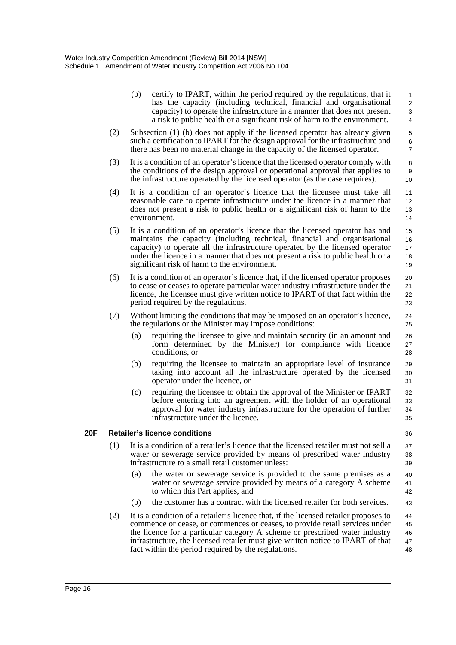|            |                                            | (b)                                                                                                                                                                                                                                                                                                                                                                             | certify to IPART, within the period required by the regulations, that it<br>has the capacity (including technical, financial and organisational<br>capacity) to operate the infrastructure in a manner that does not present<br>a risk to public health or a significant risk of harm to the environment.                                                                                    | $\mathbf{1}$<br>$\overline{2}$<br>3<br>$\overline{4}$ |  |
|------------|--------------------------------------------|---------------------------------------------------------------------------------------------------------------------------------------------------------------------------------------------------------------------------------------------------------------------------------------------------------------------------------------------------------------------------------|----------------------------------------------------------------------------------------------------------------------------------------------------------------------------------------------------------------------------------------------------------------------------------------------------------------------------------------------------------------------------------------------|-------------------------------------------------------|--|
| (2)        |                                            |                                                                                                                                                                                                                                                                                                                                                                                 | Subsection (1) (b) does not apply if the licensed operator has already given<br>such a certification to IPART for the design approval for the infrastructure and<br>there has been no material change in the capacity of the licensed operator.                                                                                                                                              | $\,$ 5 $\,$<br>6<br>$\overline{7}$                    |  |
|            | (3)                                        |                                                                                                                                                                                                                                                                                                                                                                                 | It is a condition of an operator's licence that the licensed operator comply with<br>the conditions of the design approval or operational approval that applies to<br>the infrastructure operated by the licensed operator (as the case requires).                                                                                                                                           | 8<br>9<br>10                                          |  |
|            | (4)                                        | It is a condition of an operator's licence that the licensee must take all<br>reasonable care to operate infrastructure under the licence in a manner that<br>does not present a risk to public health or a significant risk of harm to the<br>environment.                                                                                                                     |                                                                                                                                                                                                                                                                                                                                                                                              |                                                       |  |
|            | (5)                                        | It is a condition of an operator's licence that the licensed operator has and<br>maintains the capacity (including technical, financial and organisational<br>capacity) to operate all the infrastructure operated by the licensed operator<br>under the licence in a manner that does not present a risk to public health or a<br>significant risk of harm to the environment. |                                                                                                                                                                                                                                                                                                                                                                                              | 15<br>16<br>17<br>18<br>19                            |  |
|            | (6)                                        | It is a condition of an operator's licence that, if the licensed operator proposes<br>to cease or ceases to operate particular water industry infrastructure under the<br>licence, the licensee must give written notice to IPART of that fact within the<br>period required by the regulations.                                                                                |                                                                                                                                                                                                                                                                                                                                                                                              | 20<br>21<br>22<br>23                                  |  |
|            | (7)                                        |                                                                                                                                                                                                                                                                                                                                                                                 | Without limiting the conditions that may be imposed on an operator's licence,<br>the regulations or the Minister may impose conditions:                                                                                                                                                                                                                                                      | 24<br>25                                              |  |
|            |                                            | (a)                                                                                                                                                                                                                                                                                                                                                                             | requiring the licensee to give and maintain security (in an amount and<br>form determined by the Minister) for compliance with licence<br>conditions, or                                                                                                                                                                                                                                     | 26<br>27<br>28                                        |  |
|            |                                            | (b)                                                                                                                                                                                                                                                                                                                                                                             | requiring the licensee to maintain an appropriate level of insurance<br>taking into account all the infrastructure operated by the licensed<br>operator under the licence, or                                                                                                                                                                                                                | 29<br>30<br>31                                        |  |
|            |                                            | (c)                                                                                                                                                                                                                                                                                                                                                                             | requiring the licensee to obtain the approval of the Minister or IPART<br>before entering into an agreement with the holder of an operational<br>approval for water industry infrastructure for the operation of further<br>infrastructure under the licence.                                                                                                                                | 32<br>33<br>34<br>35                                  |  |
| <b>20F</b> | <b>Retailer's licence conditions</b><br>36 |                                                                                                                                                                                                                                                                                                                                                                                 |                                                                                                                                                                                                                                                                                                                                                                                              |                                                       |  |
|            | (1)                                        |                                                                                                                                                                                                                                                                                                                                                                                 | It is a condition of a retailer's licence that the licensed retailer must not sell a<br>water or sewerage service provided by means of prescribed water industry<br>infrastructure to a small retail customer unless:                                                                                                                                                                        | 37<br>38<br>39                                        |  |
|            |                                            | (a)                                                                                                                                                                                                                                                                                                                                                                             | the water or sewerage service is provided to the same premises as a<br>water or sewerage service provided by means of a category A scheme<br>to which this Part applies, and                                                                                                                                                                                                                 | 40<br>41<br>42                                        |  |
|            |                                            | (b)                                                                                                                                                                                                                                                                                                                                                                             | the customer has a contract with the licensed retailer for both services.                                                                                                                                                                                                                                                                                                                    | 43                                                    |  |
|            | (2)                                        |                                                                                                                                                                                                                                                                                                                                                                                 | It is a condition of a retailer's licence that, if the licensed retailer proposes to<br>commence or cease, or commences or ceases, to provide retail services under<br>the licence for a particular category A scheme or prescribed water industry<br>infrastructure, the licensed retailer must give written notice to IPART of that<br>fact within the period required by the regulations. | 44<br>45<br>46<br>47<br>48                            |  |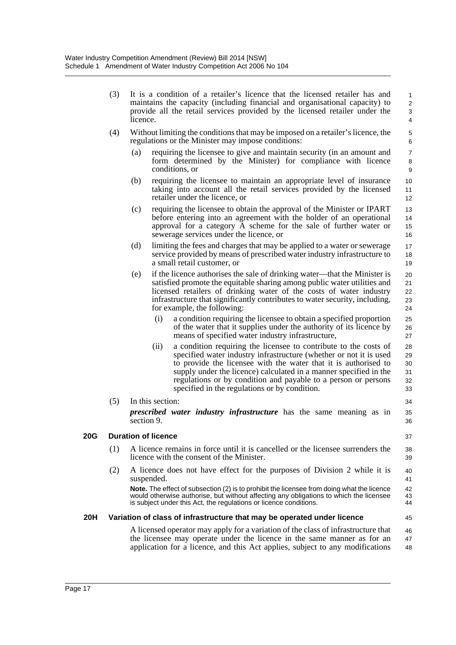| (3) | It is a condition of a retailer's licence that the licensed retailer has and                                                                                           |
|-----|------------------------------------------------------------------------------------------------------------------------------------------------------------------------|
|     | maintains the capacity (including financial and organisational capacity) to<br>provide all the retail services provided by the licensed retailer under the<br>licence. |

25 26 27

- (4) Without limiting the conditions that may be imposed on a retailer's licence, the regulations or the Minister may impose conditions:
	- (a) requiring the licensee to give and maintain security (in an amount and form determined by the Minister) for compliance with licence conditions, or
	- (b) requiring the licensee to maintain an appropriate level of insurance taking into account all the retail services provided by the licensed retailer under the licence, or
	- (c) requiring the licensee to obtain the approval of the Minister or IPART before entering into an agreement with the holder of an operational approval for a category A scheme for the sale of further water or sewerage services under the licence, or
	- (d) limiting the fees and charges that may be applied to a water or sewerage service provided by means of prescribed water industry infrastructure to a small retail customer, or
	- (e) if the licence authorises the sale of drinking water—that the Minister is satisfied promote the equitable sharing among public water utilities and licensed retailers of drinking water of the costs of water industry infrastructure that significantly contributes to water security, including, for example, the following: 20 21 22 23 24
		- (i) a condition requiring the licensee to obtain a specified proportion of the water that it supplies under the authority of its licence by means of specified water industry infrastructure,
		- (ii) a condition requiring the licensee to contribute to the costs of specified water industry infrastructure (whether or not it is used to provide the licensee with the water that it is authorised to supply under the licence) calculated in a manner specified in the regulations or by condition and payable to a person or persons specified in the regulations or by condition. 28  $29$ 30 31 32 33
- (5) In this section: *prescribed water industry infrastructure* has the same meaning as in section 9. 34 35 36

### **20G Duration of licence**

- (1) A licence remains in force until it is cancelled or the licensee surrenders the licence with the consent of the Minister.
- (2) A licence does not have effect for the purposes of Division 2 while it is suspended.

**Note.** The effect of subsection (2) is to prohibit the licensee from doing what the licence would otherwise authorise, but without affecting any obligations to which the licensee is subject under this Act, the regulations or licence conditions.

### **20H Variation of class of infrastructure that may be operated under licence**

A licensed operator may apply for a variation of the class of infrastructure that the licensee may operate under the licence in the same manner as for an application for a licence, and this Act applies, subject to any modifications 46 47 48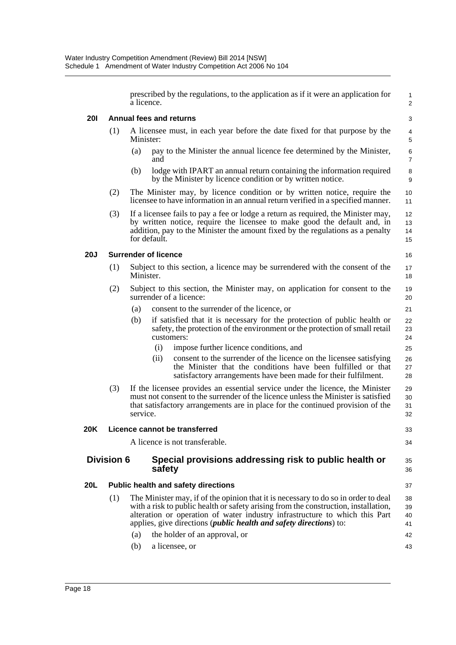prescribed by the regulations, to the application as if it were an application for a licence.

1 2

33  $34$ 

35 36

37

42 43

### **20I Annual fees and returns**

- (1) A licensee must, in each year before the date fixed for that purpose by the Minister:
	- (a) pay to the Minister the annual licence fee determined by the Minister, and
	- (b) lodge with IPART an annual return containing the information required by the Minister by licence condition or by written notice.
- (2) The Minister may, by licence condition or by written notice, require the licensee to have information in an annual return verified in a specified manner.
- (3) If a licensee fails to pay a fee or lodge a return as required, the Minister may, by written notice, require the licensee to make good the default and, in addition, pay to the Minister the amount fixed by the regulations as a penalty for default.

#### **20J Surrender of licence**

- (1) Subject to this section, a licence may be surrendered with the consent of the Minister.
- (2) Subject to this section, the Minister may, on application for consent to the surrender of a licence:
	- (a) consent to the surrender of the licence, or
	- (b) if satisfied that it is necessary for the protection of public health or safety, the protection of the environment or the protection of small retail customers:
		- (i) impose further licence conditions, and
		- (ii) consent to the surrender of the licence on the licensee satisfying the Minister that the conditions have been fulfilled or that satisfactory arrangements have been made for their fulfilment.
- (3) If the licensee provides an essential service under the licence, the Minister must not consent to the surrender of the licence unless the Minister is satisfied that satisfactory arrangements are in place for the continued provision of the service. 29 30 31 32

#### **20K Licence cannot be transferred**

A licence is not transferable.

## **Division 6 Special provisions addressing risk to public health or safety**

#### **20L Public health and safety directions**

- (1) The Minister may, if of the opinion that it is necessary to do so in order to deal with a risk to public health or safety arising from the construction, installation, alteration or operation of water industry infrastructure to which this Part applies, give directions (*public health and safety directions*) to: 38 39 40 41
	- (a) the holder of an approval, or
	- (b) a licensee, or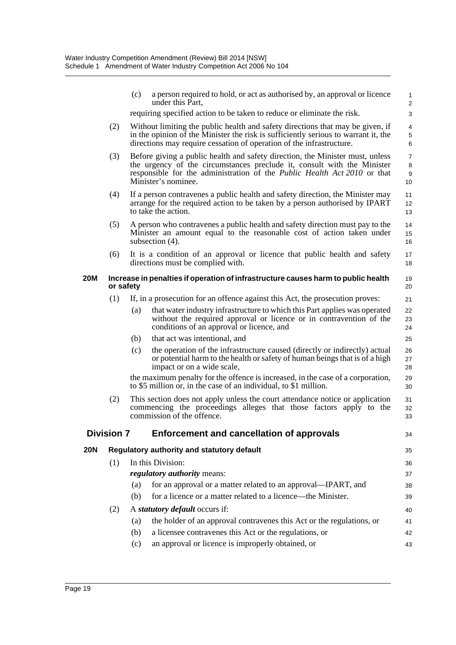|            |                                                                                                | (c)                                                                                                                                                 | a person required to hold, or act as authorised by, an approval or licence<br>under this Part,                                                                                                                                                                     | $\mathbf{1}$<br>2              |
|------------|------------------------------------------------------------------------------------------------|-----------------------------------------------------------------------------------------------------------------------------------------------------|--------------------------------------------------------------------------------------------------------------------------------------------------------------------------------------------------------------------------------------------------------------------|--------------------------------|
|            |                                                                                                |                                                                                                                                                     | requiring specified action to be taken to reduce or eliminate the risk.                                                                                                                                                                                            | 3                              |
|            | (2)                                                                                            |                                                                                                                                                     | Without limiting the public health and safety directions that may be given, if<br>in the opinion of the Minister the risk is sufficiently serious to warrant it, the<br>directions may require cessation of operation of the infrastructure.                       | 4<br>5<br>6                    |
|            | (3)                                                                                            |                                                                                                                                                     | Before giving a public health and safety direction, the Minister must, unless<br>the urgency of the circumstances preclude it, consult with the Minister<br>responsible for the administration of the <i>Public Health Act 2010</i> or that<br>Minister's nominee. | $\overline{7}$<br>8<br>9<br>10 |
|            | (4)                                                                                            |                                                                                                                                                     | If a person contravenes a public health and safety direction, the Minister may<br>arrange for the required action to be taken by a person authorised by IPART<br>to take the action.                                                                               | 11<br>12<br>13                 |
|            | (5)                                                                                            |                                                                                                                                                     | A person who contravenes a public health and safety direction must pay to the<br>Minister an amount equal to the reasonable cost of action taken under<br>subsection $(4)$ .                                                                                       | 14<br>15<br>16                 |
|            | (6)                                                                                            |                                                                                                                                                     | It is a condition of an approval or licence that public health and safety<br>directions must be complied with.                                                                                                                                                     | 17<br>18                       |
| 20M        | Increase in penalties if operation of infrastructure causes harm to public health<br>or safety |                                                                                                                                                     |                                                                                                                                                                                                                                                                    | 19<br>20                       |
|            | (1)                                                                                            |                                                                                                                                                     | If, in a prosecution for an offence against this Act, the prosecution proves:                                                                                                                                                                                      | 21                             |
|            |                                                                                                | (a)                                                                                                                                                 | that water industry infrastructure to which this Part applies was operated<br>without the required approval or licence or in contravention of the<br>conditions of an approval or licence, and                                                                     | 22<br>23<br>24                 |
|            |                                                                                                | (b)                                                                                                                                                 | that act was intentional, and                                                                                                                                                                                                                                      | 25                             |
|            |                                                                                                | (c)                                                                                                                                                 | the operation of the infrastructure caused (directly or indirectly) actual<br>or potential harm to the health or safety of human beings that is of a high<br>impact or on a wide scale,                                                                            | 26<br>27<br>28                 |
|            |                                                                                                | the maximum penalty for the offence is increased, in the case of a corporation,<br>to \$5 million or, in the case of an individual, to \$1 million. |                                                                                                                                                                                                                                                                    | 29<br>30                       |
|            | (2)                                                                                            |                                                                                                                                                     | This section does not apply unless the court attendance notice or application<br>commencing the proceedings alleges that those factors apply to the<br>commission of the offence.                                                                                  | 31<br>32<br>33                 |
|            | <b>Division 7</b>                                                                              |                                                                                                                                                     | <b>Enforcement and cancellation of approvals</b>                                                                                                                                                                                                                   | 34                             |
| <b>20N</b> |                                                                                                |                                                                                                                                                     | Regulatory authority and statutory default                                                                                                                                                                                                                         | 35                             |
|            | (1)                                                                                            |                                                                                                                                                     | In this Division:                                                                                                                                                                                                                                                  | 36                             |
|            |                                                                                                |                                                                                                                                                     | <i>regulatory authority means:</i>                                                                                                                                                                                                                                 | 37                             |
|            |                                                                                                | (a)                                                                                                                                                 | for an approval or a matter related to an approval—IPART, and                                                                                                                                                                                                      | 38                             |
|            |                                                                                                | (b)                                                                                                                                                 | for a licence or a matter related to a licence—the Minister.                                                                                                                                                                                                       | 39                             |
|            | (2)                                                                                            |                                                                                                                                                     | A statutory default occurs if:                                                                                                                                                                                                                                     | 40                             |
|            |                                                                                                | (a)                                                                                                                                                 | the holder of an approval contravenes this Act or the regulations, or                                                                                                                                                                                              | 41                             |
|            |                                                                                                | (b)                                                                                                                                                 | a licensee contravenes this Act or the regulations, or                                                                                                                                                                                                             | 42                             |
|            |                                                                                                | (c)                                                                                                                                                 | an approval or licence is improperly obtained, or                                                                                                                                                                                                                  | 43                             |
|            |                                                                                                |                                                                                                                                                     |                                                                                                                                                                                                                                                                    |                                |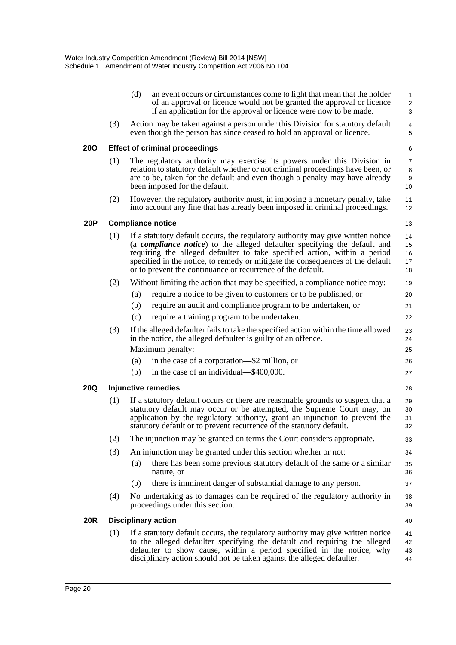|            |                                       | (d)<br>an event occurs or circumstances come to light that mean that the holder<br>of an approval or licence would not be granted the approval or licence<br>if an application for the approval or licence were now to be made.                                                                                                                                                                           | $\mathbf{1}$<br>2<br>3         |  |  |  |
|------------|---------------------------------------|-----------------------------------------------------------------------------------------------------------------------------------------------------------------------------------------------------------------------------------------------------------------------------------------------------------------------------------------------------------------------------------------------------------|--------------------------------|--|--|--|
|            | (3)                                   | Action may be taken against a person under this Division for statutory default<br>even though the person has since ceased to hold an approval or licence.                                                                                                                                                                                                                                                 | $\overline{4}$<br>5            |  |  |  |
| <b>200</b> | <b>Effect of criminal proceedings</b> |                                                                                                                                                                                                                                                                                                                                                                                                           |                                |  |  |  |
|            | (1)                                   | The regulatory authority may exercise its powers under this Division in<br>relation to statutory default whether or not criminal proceedings have been, or<br>are to be, taken for the default and even though a penalty may have already<br>been imposed for the default.                                                                                                                                | $\overline{7}$<br>8<br>9<br>10 |  |  |  |
|            | (2)                                   | However, the regulatory authority must, in imposing a monetary penalty, take<br>into account any fine that has already been imposed in criminal proceedings.                                                                                                                                                                                                                                              | 11<br>12                       |  |  |  |
| <b>20P</b> | <b>Compliance notice</b><br>13        |                                                                                                                                                                                                                                                                                                                                                                                                           |                                |  |  |  |
|            | (1)                                   | If a statutory default occurs, the regulatory authority may give written notice<br>(a <b><i>compliance notice</i></b> ) to the alleged defaulter specifying the default and<br>requiring the alleged defaulter to take specified action, within a period<br>specified in the notice, to remedy or mitigate the consequences of the default<br>or to prevent the continuance or recurrence of the default. | 14<br>15<br>16<br>17<br>18     |  |  |  |
|            | (2)                                   | Without limiting the action that may be specified, a compliance notice may:                                                                                                                                                                                                                                                                                                                               | 19                             |  |  |  |
|            |                                       | require a notice to be given to customers or to be published, or<br>(a)                                                                                                                                                                                                                                                                                                                                   | 20                             |  |  |  |
|            |                                       | (b)<br>require an audit and compliance program to be undertaken, or                                                                                                                                                                                                                                                                                                                                       | 21                             |  |  |  |
|            |                                       | (c)<br>require a training program to be undertaken.                                                                                                                                                                                                                                                                                                                                                       | 22                             |  |  |  |
|            | (3)                                   | If the alleged defaulter fails to take the specified action within the time allowed<br>in the notice, the alleged defaulter is guilty of an offence.                                                                                                                                                                                                                                                      | 23<br>24                       |  |  |  |
|            |                                       | Maximum penalty:                                                                                                                                                                                                                                                                                                                                                                                          | 25                             |  |  |  |
|            |                                       | in the case of a corporation-\$2 million, or<br>(a)                                                                                                                                                                                                                                                                                                                                                       | 26                             |  |  |  |
|            |                                       | in the case of an individual—\$400,000.<br>(b)                                                                                                                                                                                                                                                                                                                                                            | 27                             |  |  |  |
| <b>20Q</b> | <b>Injunctive remedies</b><br>28      |                                                                                                                                                                                                                                                                                                                                                                                                           |                                |  |  |  |
|            | (1)                                   | If a statutory default occurs or there are reasonable grounds to suspect that a<br>statutory default may occur or be attempted, the Supreme Court may, on<br>application by the regulatory authority, grant an injunction to prevent the<br>statutory default or to prevent recurrence of the statutory default.                                                                                          | 29<br>30<br>31<br>32           |  |  |  |
|            | (2)                                   | The injunction may be granted on terms the Court considers appropriate.                                                                                                                                                                                                                                                                                                                                   | 33                             |  |  |  |
|            | (3)                                   | An injunction may be granted under this section whether or not:                                                                                                                                                                                                                                                                                                                                           | 34                             |  |  |  |
|            |                                       | there has been some previous statutory default of the same or a similar<br>(a)<br>nature, or                                                                                                                                                                                                                                                                                                              | 35<br>36                       |  |  |  |
|            |                                       | there is imminent danger of substantial damage to any person.<br>(b)                                                                                                                                                                                                                                                                                                                                      | 37                             |  |  |  |
|            | (4)                                   | No undertaking as to damages can be required of the regulatory authority in<br>proceedings under this section.                                                                                                                                                                                                                                                                                            | 38<br>39                       |  |  |  |
| <b>20R</b> |                                       | <b>Disciplinary action</b>                                                                                                                                                                                                                                                                                                                                                                                | 40                             |  |  |  |
|            | (1)                                   | If a statutory default occurs, the regulatory authority may give written notice<br>to the alleged defaulter specifying the default and requiring the alleged<br>defaulter to show cause, within a period specified in the notice, why<br>disciplinary action should not be taken against the alleged defaulter.                                                                                           | 41<br>42<br>43<br>44           |  |  |  |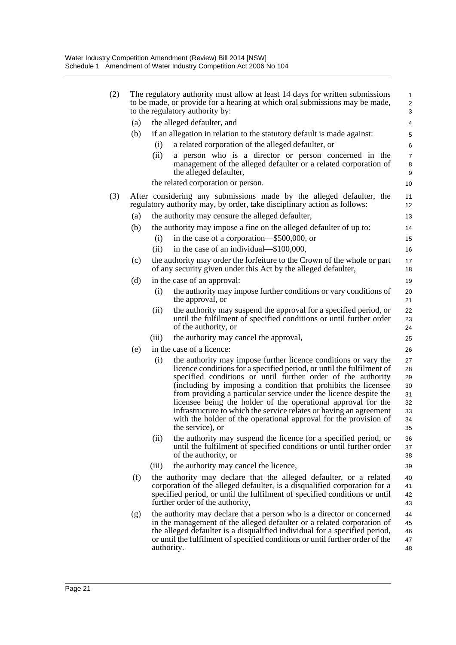| (2) | The regulatory authority must allow at least 14 days for written submissions<br>to be made, or provide for a hearing at which oral submissions may be made,<br>to the regulatory authority by: |                                                                                                                                                                                                                                                                                                                                                                                                                                                                                                                                                                                |                                                    |  |  |
|-----|------------------------------------------------------------------------------------------------------------------------------------------------------------------------------------------------|--------------------------------------------------------------------------------------------------------------------------------------------------------------------------------------------------------------------------------------------------------------------------------------------------------------------------------------------------------------------------------------------------------------------------------------------------------------------------------------------------------------------------------------------------------------------------------|----------------------------------------------------|--|--|
| (a) |                                                                                                                                                                                                | the alleged defaulter, and                                                                                                                                                                                                                                                                                                                                                                                                                                                                                                                                                     | 4                                                  |  |  |
| (b) |                                                                                                                                                                                                | if an allegation in relation to the statutory default is made against:                                                                                                                                                                                                                                                                                                                                                                                                                                                                                                         | 5                                                  |  |  |
|     | (i)                                                                                                                                                                                            | a related corporation of the alleged defaulter, or                                                                                                                                                                                                                                                                                                                                                                                                                                                                                                                             | 6                                                  |  |  |
|     | (ii)                                                                                                                                                                                           | a person who is a director or person concerned in the<br>management of the alleged defaulter or a related corporation of<br>the alleged defaulter,                                                                                                                                                                                                                                                                                                                                                                                                                             | $\overline{7}$<br>8<br>9                           |  |  |
|     |                                                                                                                                                                                                | the related corporation or person.                                                                                                                                                                                                                                                                                                                                                                                                                                                                                                                                             | 10                                                 |  |  |
| (3) | After considering any submissions made by the alleged defaulter, the<br>regulatory authority may, by order, take disciplinary action as follows:                                               |                                                                                                                                                                                                                                                                                                                                                                                                                                                                                                                                                                                |                                                    |  |  |
| (a) |                                                                                                                                                                                                | the authority may censure the alleged defaulter,                                                                                                                                                                                                                                                                                                                                                                                                                                                                                                                               | 13                                                 |  |  |
| (b) |                                                                                                                                                                                                | the authority may impose a fine on the alleged defaulter of up to:                                                                                                                                                                                                                                                                                                                                                                                                                                                                                                             | 14                                                 |  |  |
|     | (i)                                                                                                                                                                                            | in the case of a corporation—\$500,000, or                                                                                                                                                                                                                                                                                                                                                                                                                                                                                                                                     | 15                                                 |  |  |
|     | (ii)                                                                                                                                                                                           | in the case of an individual—\$100,000,                                                                                                                                                                                                                                                                                                                                                                                                                                                                                                                                        | 16                                                 |  |  |
| (c) |                                                                                                                                                                                                | the authority may order the forfeiture to the Crown of the whole or part<br>of any security given under this Act by the alleged defaulter,                                                                                                                                                                                                                                                                                                                                                                                                                                     | 17<br>18                                           |  |  |
| (d) |                                                                                                                                                                                                | in the case of an approval:                                                                                                                                                                                                                                                                                                                                                                                                                                                                                                                                                    | 19                                                 |  |  |
|     | (i)                                                                                                                                                                                            | the authority may impose further conditions or vary conditions of<br>the approval, or                                                                                                                                                                                                                                                                                                                                                                                                                                                                                          | 20<br>21                                           |  |  |
|     | (ii)                                                                                                                                                                                           | the authority may suspend the approval for a specified period, or<br>until the fulfilment of specified conditions or until further order<br>of the authority, or                                                                                                                                                                                                                                                                                                                                                                                                               | 22<br>23<br>24                                     |  |  |
|     | (iii)                                                                                                                                                                                          | the authority may cancel the approval,                                                                                                                                                                                                                                                                                                                                                                                                                                                                                                                                         | 25                                                 |  |  |
| (e) |                                                                                                                                                                                                | in the case of a licence:                                                                                                                                                                                                                                                                                                                                                                                                                                                                                                                                                      | 26                                                 |  |  |
|     | (i)                                                                                                                                                                                            | the authority may impose further licence conditions or vary the<br>licence conditions for a specified period, or until the fulfilment of<br>specified conditions or until further order of the authority<br>(including by imposing a condition that prohibits the licensee<br>from providing a particular service under the licence despite the<br>licensee being the holder of the operational approval for the<br>infrastructure to which the service relates or having an agreement<br>with the holder of the operational approval for the provision of<br>the service), or | 27<br>28<br>29<br>30<br>31<br>32<br>33<br>34<br>35 |  |  |
|     | (ii)                                                                                                                                                                                           | the authority may suspend the licence for a specified period, or<br>until the fulfilment of specified conditions or until further order<br>of the authority, or                                                                                                                                                                                                                                                                                                                                                                                                                | 36<br>37<br>38                                     |  |  |
|     | (iii)                                                                                                                                                                                          | the authority may cancel the licence,                                                                                                                                                                                                                                                                                                                                                                                                                                                                                                                                          | 39                                                 |  |  |
| (f) |                                                                                                                                                                                                | the authority may declare that the alleged defaulter, or a related<br>corporation of the alleged defaulter, is a disqualified corporation for a<br>specified period, or until the fulfilment of specified conditions or until<br>further order of the authority,                                                                                                                                                                                                                                                                                                               | 40<br>41<br>42<br>43                               |  |  |
| (g) |                                                                                                                                                                                                | the authority may declare that a person who is a director or concerned<br>in the management of the alleged defaulter or a related corporation of<br>the alleged defaulter is a disqualified individual for a specified period,<br>or until the fulfilment of specified conditions or until further order of the<br>authority.                                                                                                                                                                                                                                                  | 44<br>45<br>46<br>47<br>48                         |  |  |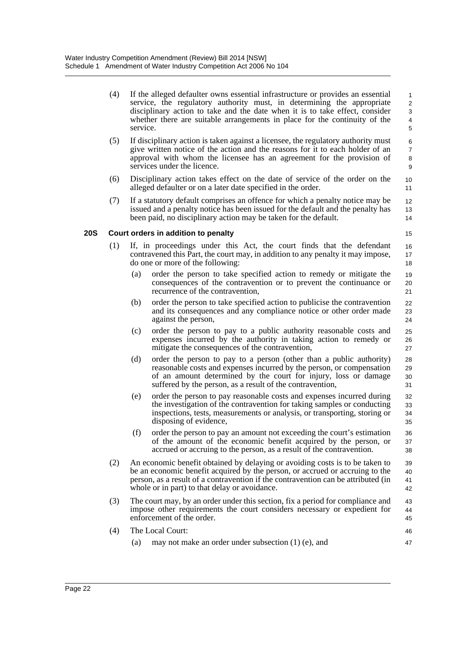- (4) If the alleged defaulter owns essential infrastructure or provides an essential service, the regulatory authority must, in determining the appropriate disciplinary action to take and the date when it is to take effect, consider whether there are suitable arrangements in place for the continuity of the service. 1 2 3 5
- (5) If disciplinary action is taken against a licensee, the regulatory authority must give written notice of the action and the reasons for it to each holder of an approval with whom the licensee has an agreement for the provision of services under the licence.
- (6) Disciplinary action takes effect on the date of service of the order on the alleged defaulter or on a later date specified in the order.
- (7) If a statutory default comprises an offence for which a penalty notice may be issued and a penalty notice has been issued for the default and the penalty has been paid, no disciplinary action may be taken for the default.

## **20S Court orders in addition to penalty**

14 15 16

4

- (1) If, in proceedings under this Act, the court finds that the defendant contravened this Part, the court may, in addition to any penalty it may impose, do one or more of the following:
	- (a) order the person to take specified action to remedy or mitigate the consequences of the contravention or to prevent the continuance or recurrence of the contravention,
	- (b) order the person to take specified action to publicise the contravention and its consequences and any compliance notice or other order made against the person,
	- (c) order the person to pay to a public authority reasonable costs and expenses incurred by the authority in taking action to remedy or mitigate the consequences of the contravention,
	- (d) order the person to pay to a person (other than a public authority) reasonable costs and expenses incurred by the person, or compensation of an amount determined by the court for injury, loss or damage suffered by the person, as a result of the contravention,
	- (e) order the person to pay reasonable costs and expenses incurred during the investigation of the contravention for taking samples or conducting inspections, tests, measurements or analysis, or transporting, storing or disposing of evidence,
	- (f) order the person to pay an amount not exceeding the court's estimation of the amount of the economic benefit acquired by the person, or accrued or accruing to the person, as a result of the contravention.
- (2) An economic benefit obtained by delaying or avoiding costs is to be taken to be an economic benefit acquired by the person, or accrued or accruing to the person, as a result of a contravention if the contravention can be attributed (in whole or in part) to that delay or avoidance. 39 40 41 42
- (3) The court may, by an order under this section, fix a period for compliance and impose other requirements the court considers necessary or expedient for enforcement of the order. 43 44 45
- (4) The Local Court: (a) may not make an order under subsection (1) (e), and 46 47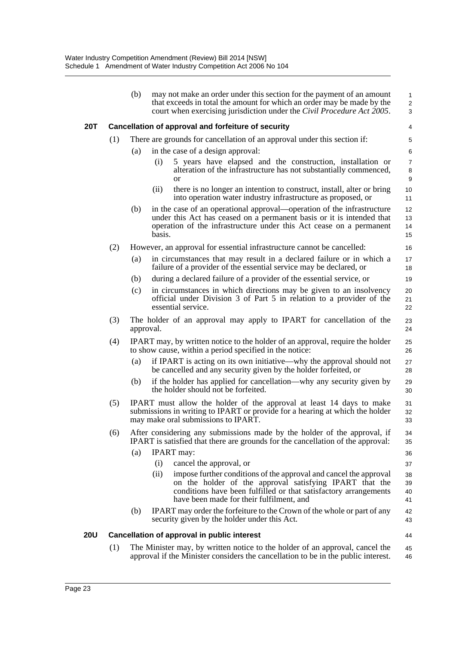|     |     | (b)       | may not make an order under this section for the payment of an amount<br>that exceeds in total the amount for which an order may be made by the<br>court when exercising jurisdiction under the <i>Civil Procedure Act 2005</i> .                    | 1<br>$\overline{\mathbf{c}}$<br>3 |
|-----|-----|-----------|------------------------------------------------------------------------------------------------------------------------------------------------------------------------------------------------------------------------------------------------------|-----------------------------------|
| 20T |     |           | Cancellation of approval and forfeiture of security                                                                                                                                                                                                  | 4                                 |
|     | (1) |           | There are grounds for cancellation of an approval under this section if:                                                                                                                                                                             | 5                                 |
|     |     | (a)       | in the case of a design approval:                                                                                                                                                                                                                    | 6                                 |
|     |     |           | 5 years have elapsed and the construction, installation or<br>(i)<br>alteration of the infrastructure has not substantially commenced,<br><b>or</b>                                                                                                  | 7<br>8<br>9                       |
|     |     |           | there is no longer an intention to construct, install, alter or bring<br>(ii)<br>into operation water industry infrastructure as proposed, or                                                                                                        | 10<br>11                          |
|     |     | (b)       | in the case of an operational approval—operation of the infrastructure<br>under this Act has ceased on a permanent basis or it is intended that<br>operation of the infrastructure under this Act cease on a permanent<br>basis.                     | 12<br>13<br>14<br>15              |
|     | (2) |           | However, an approval for essential infrastructure cannot be cancelled:                                                                                                                                                                               | 16                                |
|     |     | (a)       | in circumstances that may result in a declared failure or in which a<br>failure of a provider of the essential service may be declared, or                                                                                                           | 17<br>18                          |
|     |     | (b)       | during a declared failure of a provider of the essential service, or                                                                                                                                                                                 | 19                                |
|     |     | (c)       | in circumstances in which directions may be given to an insolvency<br>official under Division 3 of Part 5 in relation to a provider of the<br>essential service.                                                                                     | 20<br>21<br>22                    |
|     | (3) | approval. | The holder of an approval may apply to IPART for cancellation of the                                                                                                                                                                                 | 23<br>24                          |
|     | (4) |           | IPART may, by written notice to the holder of an approval, require the holder<br>to show cause, within a period specified in the notice:                                                                                                             | 25<br>26                          |
|     |     | (a)       | if IPART is acting on its own initiative—why the approval should not<br>be cancelled and any security given by the holder forfeited, or                                                                                                              | 27<br>28                          |
|     |     | (b)       | if the holder has applied for cancellation—why any security given by<br>the holder should not be forfeited.                                                                                                                                          | 29<br>30                          |
|     | (5) |           | IPART must allow the holder of the approval at least 14 days to make<br>submissions in writing to IPART or provide for a hearing at which the holder<br>may make oral submissions to IPART.                                                          | 31<br>32<br>33                    |
|     | (6) |           | After considering any submissions made by the holder of the approval, if<br>IPART is satisfied that there are grounds for the cancellation of the approval:                                                                                          | 34<br>35                          |
|     |     | (a)       | <b>IPART</b> may:                                                                                                                                                                                                                                    | 36                                |
|     |     |           | (i)<br>cancel the approval, or                                                                                                                                                                                                                       | 37                                |
|     |     |           | impose further conditions of the approval and cancel the approval<br>(ii)<br>on the holder of the approval satisfying IPART that the<br>conditions have been fulfilled or that satisfactory arrangements<br>have been made for their fulfilment, and | 38<br>39<br>40<br>41              |
|     |     | (b)       | IPART may order the forfeiture to the Crown of the whole or part of any<br>security given by the holder under this Act.                                                                                                                              | 42<br>43                          |
| 20U |     |           | <b>Cancellation of approval in public interest</b>                                                                                                                                                                                                   | 44                                |
|     | (1) |           | The Minister may, by written notice to the holder of an approval, cancel the<br>approval if the Minister considers the cancellation to be in the public interest.                                                                                    | 45<br>46                          |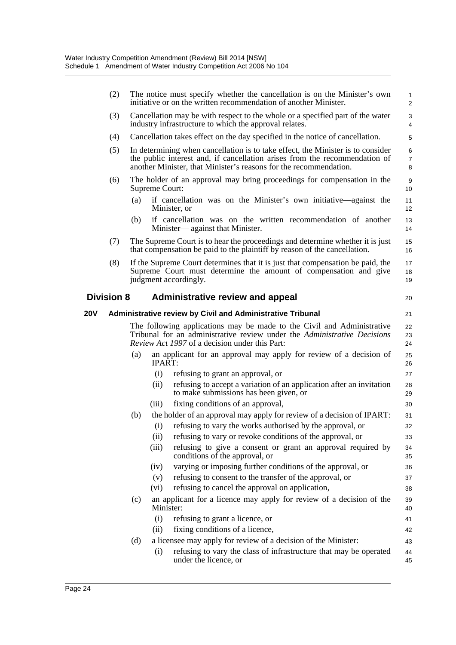|     | (2)               |     |                | The notice must specify whether the cancellation is on the Minister's own<br>initiative or on the written recommendation of another Minister.                                                                                      | $\mathbf{1}$<br>$\overline{2}$ |
|-----|-------------------|-----|----------------|------------------------------------------------------------------------------------------------------------------------------------------------------------------------------------------------------------------------------------|--------------------------------|
|     | (3)               |     |                | Cancellation may be with respect to the whole or a specified part of the water<br>industry infrastructure to which the approval relates.                                                                                           | 3<br>4                         |
|     | (4)               |     |                | Cancellation takes effect on the day specified in the notice of cancellation.                                                                                                                                                      | 5                              |
|     | (5)               |     |                | In determining when cancellation is to take effect, the Minister is to consider<br>the public interest and, if cancellation arises from the recommendation of<br>another Minister, that Minister's reasons for the recommendation. | 6<br>$\overline{7}$<br>8       |
|     | (6)               |     | Supreme Court: | The holder of an approval may bring proceedings for compensation in the                                                                                                                                                            | $\boldsymbol{9}$<br>10         |
|     |                   | (a) |                | if cancellation was on the Minister's own initiative—against the<br>Minister, or                                                                                                                                                   | 11<br>12                       |
|     |                   | (b) |                | if cancellation was on the written recommendation of another<br>Minister— against that Minister.                                                                                                                                   | 13<br>14                       |
|     | (7)               |     |                | The Supreme Court is to hear the proceedings and determine whether it is just<br>that compensation be paid to the plaintiff by reason of the cancellation.                                                                         | 15<br>16                       |
|     | (8)               |     |                | If the Supreme Court determines that it is just that compensation be paid, the<br>Supreme Court must determine the amount of compensation and give<br>judgment accordingly.                                                        | 17<br>18<br>19                 |
|     | <b>Division 8</b> |     |                | <b>Administrative review and appeal</b>                                                                                                                                                                                            | 20                             |
| 20V |                   |     |                | <b>Administrative review by Civil and Administrative Tribunal</b>                                                                                                                                                                  | 21                             |
|     |                   |     |                | The following applications may be made to the Civil and Administrative<br>Tribunal for an administrative review under the Administrative Decisions<br><i>Review Act 1997</i> of a decision under this Part:                        | 22<br>23<br>24                 |
|     |                   | (a) | IPART:         | an applicant for an approval may apply for review of a decision of                                                                                                                                                                 | 25<br>26                       |
|     |                   |     | (i)            | refusing to grant an approval, or                                                                                                                                                                                                  | 27                             |
|     |                   |     | (ii)           | refusing to accept a variation of an application after an invitation<br>to make submissions has been given, or                                                                                                                     | 28<br>29                       |
|     |                   |     | (iii)          | fixing conditions of an approval,                                                                                                                                                                                                  | 30                             |
|     |                   | (b) |                | the holder of an approval may apply for review of a decision of IPART:                                                                                                                                                             | 31                             |
|     |                   |     |                | (i) refusing to vary the works authorised by the approval, or                                                                                                                                                                      | 32                             |
|     |                   |     | (ii)           | refusing to vary or revoke conditions of the approval, or                                                                                                                                                                          | 33                             |
|     |                   |     | (iii)          | refusing to give a consent or grant an approval required by<br>conditions of the approval, or                                                                                                                                      | 34<br>35                       |
|     |                   |     | (iv)           | varying or imposing further conditions of the approval, or                                                                                                                                                                         | 36                             |
|     |                   |     | (v)            | refusing to consent to the transfer of the approval, or                                                                                                                                                                            | 37                             |
|     |                   |     | (vi)           | refusing to cancel the approval on application,                                                                                                                                                                                    | 38                             |
|     |                   | (c) | Minister:      | an applicant for a licence may apply for review of a decision of the                                                                                                                                                               | 39<br>40                       |
|     |                   |     | (i)            | refusing to grant a licence, or                                                                                                                                                                                                    | 41                             |
|     |                   |     | (ii)           | fixing conditions of a licence,                                                                                                                                                                                                    | 42                             |
|     |                   | (d) |                | a licensee may apply for review of a decision of the Minister:                                                                                                                                                                     | 43                             |
|     |                   |     | (i)            | refusing to vary the class of infrastructure that may be operated<br>under the licence, or                                                                                                                                         | 44<br>45                       |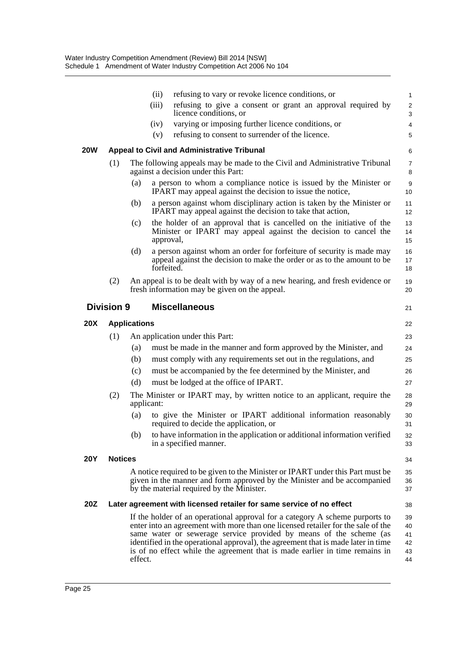|            |                   |                     | (ii)                                               | refusing to vary or revoke licence conditions, or                                                                                                                                                                                                                                                                                                                                                          | $\mathbf{1}$               |
|------------|-------------------|---------------------|----------------------------------------------------|------------------------------------------------------------------------------------------------------------------------------------------------------------------------------------------------------------------------------------------------------------------------------------------------------------------------------------------------------------------------------------------------------------|----------------------------|
|            |                   |                     | (iii)<br>licence conditions, or                    | refusing to give a consent or grant an approval required by                                                                                                                                                                                                                                                                                                                                                | 2<br>3                     |
|            |                   |                     | (iv)                                               | varying or imposing further licence conditions, or                                                                                                                                                                                                                                                                                                                                                         | $\overline{4}$             |
|            |                   |                     | (v)                                                | refusing to consent to surrender of the licence.                                                                                                                                                                                                                                                                                                                                                           | 5                          |
| 20W        |                   |                     | <b>Appeal to Civil and Administrative Tribunal</b> |                                                                                                                                                                                                                                                                                                                                                                                                            | 6                          |
|            | (1)               |                     | against a decision under this Part:                | The following appeals may be made to the Civil and Administrative Tribunal                                                                                                                                                                                                                                                                                                                                 | 7<br>8                     |
|            |                   | (a)                 |                                                    | a person to whom a compliance notice is issued by the Minister or<br>IPART may appeal against the decision to issue the notice,                                                                                                                                                                                                                                                                            | 9<br>10                    |
|            |                   | (b)                 |                                                    | a person against whom disciplinary action is taken by the Minister or<br>IPART may appeal against the decision to take that action,                                                                                                                                                                                                                                                                        | 11<br>12                   |
|            |                   | (c)                 | approval,                                          | the holder of an approval that is cancelled on the initiative of the<br>Minister or IPART may appeal against the decision to cancel the                                                                                                                                                                                                                                                                    | 13<br>14<br>15             |
|            |                   | (d)                 | forfeited.                                         | a person against whom an order for forfeiture of security is made may<br>appeal against the decision to make the order or as to the amount to be                                                                                                                                                                                                                                                           | 16<br>17<br>18             |
|            | (2)               |                     | fresh information may be given on the appeal.      | An appeal is to be dealt with by way of a new hearing, and fresh evidence or                                                                                                                                                                                                                                                                                                                               | 19<br>20                   |
|            | <b>Division 9</b> |                     | <b>Miscellaneous</b>                               |                                                                                                                                                                                                                                                                                                                                                                                                            | 21                         |
| <b>20X</b> |                   | <b>Applications</b> |                                                    |                                                                                                                                                                                                                                                                                                                                                                                                            | 22                         |
|            | (1)               |                     | An application under this Part:                    |                                                                                                                                                                                                                                                                                                                                                                                                            | 23                         |
|            |                   | (a)                 |                                                    | must be made in the manner and form approved by the Minister, and                                                                                                                                                                                                                                                                                                                                          | 24                         |
|            |                   | (b)                 |                                                    | must comply with any requirements set out in the regulations, and                                                                                                                                                                                                                                                                                                                                          | 25                         |
|            |                   | (c)                 |                                                    | must be accompanied by the fee determined by the Minister, and                                                                                                                                                                                                                                                                                                                                             | 26                         |
|            |                   | (d)                 | must be lodged at the office of IPART.             |                                                                                                                                                                                                                                                                                                                                                                                                            | 27                         |
|            | (2)               | applicant:          |                                                    | The Minister or IPART may, by written notice to an applicant, require the                                                                                                                                                                                                                                                                                                                                  | 28<br>29                   |
|            |                   | (a)                 | required to decide the application, or             | to give the Minister or IPART additional information reasonably                                                                                                                                                                                                                                                                                                                                            | 30<br>31                   |
|            |                   | (b)                 | in a specified manner.                             | to have information in the application or additional information verified                                                                                                                                                                                                                                                                                                                                  | 32<br>33                   |
| <b>20Y</b> | <b>Notices</b>    |                     |                                                    |                                                                                                                                                                                                                                                                                                                                                                                                            | 34                         |
|            |                   |                     | by the material required by the Minister.          | A notice required to be given to the Minister or IPART under this Part must be<br>given in the manner and form approved by the Minister and be accompanied                                                                                                                                                                                                                                                 | 35<br>36<br>37             |
| 20Z        |                   |                     |                                                    | Later agreement with licensed retailer for same service of no effect                                                                                                                                                                                                                                                                                                                                       | 38                         |
|            |                   |                     |                                                    | If the holder of an operational approval for a category A scheme purports to<br>enter into an agreement with more than one licensed retailer for the sale of the<br>same water or sewerage service provided by means of the scheme (as<br>identified in the operational approval), the agreement that is made later in time<br>is of no effect while the agreement that is made earlier in time remains in | 39<br>40<br>41<br>42<br>43 |

44

effect.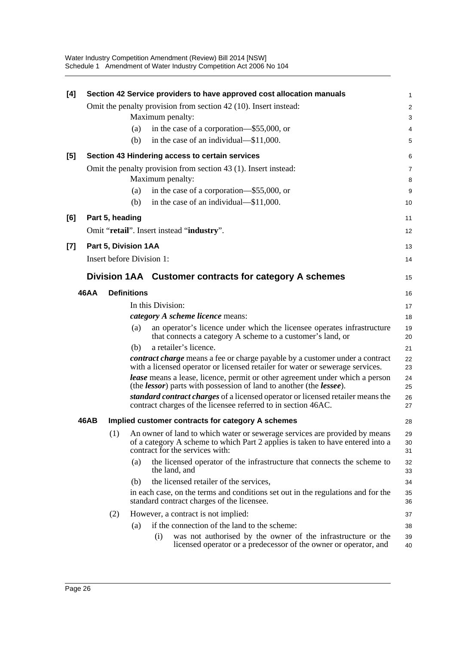Water Industry Competition Amendment (Review) Bill 2014 [NSW] Schedule 1 Amendment of Water Industry Competition Act 2006 No 104

| [4]   |             |                      |                    | Section 42 Service providers to have approved cost allocation manuals                                                                                                                           | 1              |
|-------|-------------|----------------------|--------------------|-------------------------------------------------------------------------------------------------------------------------------------------------------------------------------------------------|----------------|
|       |             |                      |                    | Omit the penalty provision from section 42 (10). Insert instead:                                                                                                                                | 2              |
|       |             |                      |                    | Maximum penalty:                                                                                                                                                                                | 3              |
|       |             |                      | (a)                | in the case of a corporation—\$55,000, or                                                                                                                                                       | 4              |
|       |             |                      | (b)                | in the case of an individual—\$11,000.                                                                                                                                                          | 5              |
| [5]   |             |                      |                    | Section 43 Hindering access to certain services                                                                                                                                                 | 6              |
|       |             |                      |                    | Omit the penalty provision from section 43 (1). Insert instead:                                                                                                                                 | 7              |
|       |             |                      |                    | Maximum penalty:                                                                                                                                                                                | 8              |
|       |             |                      | (a)                | in the case of a corporation—\$55,000, or                                                                                                                                                       | 9              |
|       |             |                      | (b)                | in the case of an individual—\$11,000.                                                                                                                                                          | 10             |
| [6]   |             | Part 5, heading      |                    |                                                                                                                                                                                                 | 11             |
|       |             |                      |                    | Omit "retail". Insert instead "industry".                                                                                                                                                       | 12             |
| $[7]$ |             | Part 5, Division 1AA |                    |                                                                                                                                                                                                 | 13             |
|       |             |                      |                    | Insert before Division 1:                                                                                                                                                                       | 14             |
|       |             |                      |                    | Division 1AA Customer contracts for category A schemes                                                                                                                                          | 15             |
|       | <b>46AA</b> |                      | <b>Definitions</b> |                                                                                                                                                                                                 | 16             |
|       |             |                      |                    | In this Division:                                                                                                                                                                               | 17             |
|       |             |                      |                    | <i>category A scheme licence</i> means:                                                                                                                                                         | 18             |
|       |             |                      | (a)                | an operator's licence under which the licensee operates infrastructure<br>that connects a category A scheme to a customer's land, or                                                            | 19<br>20       |
|       |             |                      | (b)                | a retailer's licence.                                                                                                                                                                           | 21             |
|       |             |                      |                    | contract charge means a fee or charge payable by a customer under a contract<br>with a licensed operator or licensed retailer for water or sewerage services.                                   | 22<br>23       |
|       |             |                      |                    | <b>lease</b> means a lease, licence, permit or other agreement under which a person                                                                                                             | 24             |
|       |             |                      |                    | (the <i>lessor</i> ) parts with possession of land to another (the <i>lessee</i> ).                                                                                                             | 25             |
|       |             |                      |                    | standard contract charges of a licensed operator or licensed retailer means the<br>contract charges of the licensee referred to in section 46AC.                                                | 26<br>27       |
|       | 46AB        |                      |                    | Implied customer contracts for category A schemes                                                                                                                                               | 28             |
|       |             | (1)                  |                    | An owner of land to which water or sewerage services are provided by means<br>of a category A scheme to which Part 2 applies is taken to have entered into a<br>contract for the services with: | 29<br>30<br>31 |
|       |             |                      | (a)                | the licensed operator of the infrastructure that connects the scheme to<br>the land, and                                                                                                        | 32<br>33       |
|       |             |                      | (b)                | the licensed retailer of the services,                                                                                                                                                          | 34             |
|       |             |                      |                    | in each case, on the terms and conditions set out in the regulations and for the<br>standard contract charges of the licensee.                                                                  | 35<br>36       |
|       |             | (2)                  |                    | However, a contract is not implied:                                                                                                                                                             | 37             |
|       |             |                      | (a)                | if the connection of the land to the scheme:                                                                                                                                                    | 38             |
|       |             |                      |                    | was not authorised by the owner of the infrastructure or the<br>(i)<br>licensed operator or a predecessor of the owner or operator, and                                                         | 39<br>40       |
|       |             |                      |                    |                                                                                                                                                                                                 |                |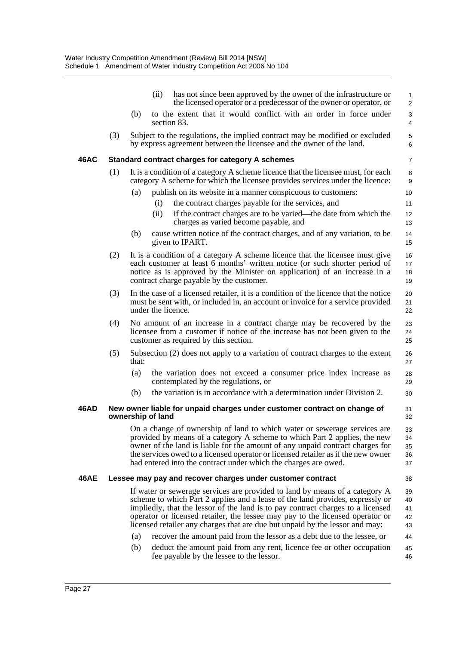|             |     | (ii)<br>has not since been approved by the owner of the infrastructure or<br>the licensed operator or a predecessor of the owner or operator, or                                                                                                                                                                                                                                                                                                                                                   | $\mathbf{1}$<br>$\overline{2}$   |
|-------------|-----|----------------------------------------------------------------------------------------------------------------------------------------------------------------------------------------------------------------------------------------------------------------------------------------------------------------------------------------------------------------------------------------------------------------------------------------------------------------------------------------------------|----------------------------------|
|             |     | to the extent that it would conflict with an order in force under<br>(b)<br>section 83.                                                                                                                                                                                                                                                                                                                                                                                                            | 3<br>4                           |
|             | (3) | Subject to the regulations, the implied contract may be modified or excluded<br>by express agreement between the licensee and the owner of the land.                                                                                                                                                                                                                                                                                                                                               | 5<br>6                           |
| 46AC        |     | Standard contract charges for category A schemes                                                                                                                                                                                                                                                                                                                                                                                                                                                   | $\overline{7}$                   |
|             | (1) | It is a condition of a category A scheme licence that the licensee must, for each<br>category A scheme for which the licensee provides services under the licence:                                                                                                                                                                                                                                                                                                                                 | 8<br>9                           |
|             |     | (a)<br>publish on its website in a manner conspicuous to customers:                                                                                                                                                                                                                                                                                                                                                                                                                                | 10 <sup>°</sup>                  |
|             |     | the contract charges payable for the services, and<br>(i)                                                                                                                                                                                                                                                                                                                                                                                                                                          | 11                               |
|             |     | (ii)<br>if the contract charges are to be varied—the date from which the<br>charges as varied become payable, and                                                                                                                                                                                                                                                                                                                                                                                  | 12<br>13                         |
|             |     | cause written notice of the contract charges, and of any variation, to be<br>(b)<br>given to IPART.                                                                                                                                                                                                                                                                                                                                                                                                | 14<br>15                         |
|             | (2) | It is a condition of a category A scheme licence that the licensee must give<br>each customer at least 6 months' written notice (or such shorter period of<br>notice as is approved by the Minister on application) of an increase in a<br>contract charge payable by the customer.                                                                                                                                                                                                                | 16<br>17<br>18<br>19             |
|             | (3) | In the case of a licensed retailer, it is a condition of the licence that the notice<br>must be sent with, or included in, an account or invoice for a service provided<br>under the licence.                                                                                                                                                                                                                                                                                                      | 20<br>21<br>22                   |
|             | (4) | No amount of an increase in a contract charge may be recovered by the<br>licensee from a customer if notice of the increase has not been given to the<br>customer as required by this section.                                                                                                                                                                                                                                                                                                     | 23<br>24<br>25                   |
|             | (5) | Subsection (2) does not apply to a variation of contract charges to the extent<br>that:                                                                                                                                                                                                                                                                                                                                                                                                            | 26<br>27                         |
|             |     | the variation does not exceed a consumer price index increase as<br>(a)<br>contemplated by the regulations, or                                                                                                                                                                                                                                                                                                                                                                                     | 28<br>29                         |
|             |     | the variation is in accordance with a determination under Division 2.<br>(b)                                                                                                                                                                                                                                                                                                                                                                                                                       | 30                               |
| 46AD        |     | New owner liable for unpaid charges under customer contract on change of<br>ownership of land                                                                                                                                                                                                                                                                                                                                                                                                      | 31<br>32                         |
|             |     | On a change of ownership of land to which water or sewerage services are<br>provided by means of a category A scheme to which Part 2 applies, the new<br>owner of the land is liable for the amount of any unpaid contract charges for<br>the services owed to a licensed operator or licensed retailer as if the new owner<br>had entered into the contract under which the charges are owed.                                                                                                     | 33<br>34<br>35<br>36<br>37       |
| <b>46AE</b> |     | Lessee may pay and recover charges under customer contract                                                                                                                                                                                                                                                                                                                                                                                                                                         | 38                               |
|             |     | If water or sewerage services are provided to land by means of a category A<br>scheme to which Part 2 applies and a lease of the land provides, expressly or<br>impliedly, that the lessor of the land is to pay contract charges to a licensed<br>operator or licensed retailer, the lessee may pay to the licensed operator or<br>licensed retailer any charges that are due but unpaid by the lessor and may:<br>recover the amount paid from the lessor as a debt due to the lessee, or<br>(a) | 39<br>40<br>41<br>42<br>43<br>44 |
|             |     | (b)<br>deduct the amount paid from any rent, licence fee or other occupation<br>fee payable by the lessee to the lessor.                                                                                                                                                                                                                                                                                                                                                                           | 45<br>46                         |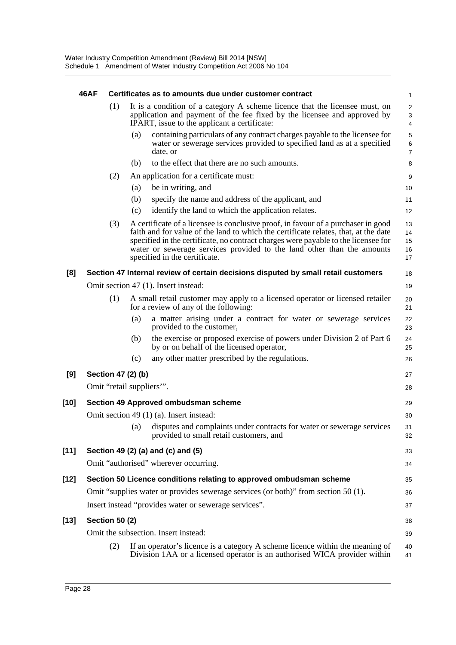|        | <b>46AF</b> |                       |                    | Certificates as to amounts due under customer contract                                                                                                                                                                                                                                                                                                                    | $\mathbf{1}$                                     |
|--------|-------------|-----------------------|--------------------|---------------------------------------------------------------------------------------------------------------------------------------------------------------------------------------------------------------------------------------------------------------------------------------------------------------------------------------------------------------------------|--------------------------------------------------|
|        |             | (1)                   |                    | It is a condition of a category A scheme licence that the licensee must, on<br>application and payment of the fee fixed by the licensee and approved by<br>IPART, issue to the applicant a certificate:                                                                                                                                                                   | $\overline{2}$<br>$\ensuremath{\mathsf{3}}$<br>4 |
|        |             |                       | (a)                | containing particulars of any contract charges payable to the licensee for<br>water or sewerage services provided to specified land as at a specified<br>date, or                                                                                                                                                                                                         | 5<br>$\,6\,$<br>$\boldsymbol{7}$                 |
|        |             |                       | (b)                | to the effect that there are no such amounts.                                                                                                                                                                                                                                                                                                                             | 8                                                |
|        |             | (2)                   |                    | An application for a certificate must:                                                                                                                                                                                                                                                                                                                                    | 9                                                |
|        |             |                       | (a)                | be in writing, and                                                                                                                                                                                                                                                                                                                                                        | 10                                               |
|        |             |                       | (b)                | specify the name and address of the applicant, and                                                                                                                                                                                                                                                                                                                        | 11                                               |
|        |             |                       | (c)                | identify the land to which the application relates.                                                                                                                                                                                                                                                                                                                       | 12                                               |
|        |             | (3)                   |                    | A certificate of a licensee is conclusive proof, in favour of a purchaser in good<br>faith and for value of the land to which the certificate relates, that, at the date<br>specified in the certificate, no contract charges were payable to the licensee for<br>water or sewerage services provided to the land other than the amounts<br>specified in the certificate. | 13<br>14<br>15<br>16<br>17                       |
| [8]    |             |                       |                    | Section 47 Internal review of certain decisions disputed by small retail customers                                                                                                                                                                                                                                                                                        | 18                                               |
|        |             |                       |                    | Omit section 47 (1). Insert instead:                                                                                                                                                                                                                                                                                                                                      | 19                                               |
|        |             | (1)                   |                    | A small retail customer may apply to a licensed operator or licensed retailer<br>for a review of any of the following:                                                                                                                                                                                                                                                    | 20<br>21                                         |
|        |             |                       | (a)                | a matter arising under a contract for water or sewerage services<br>provided to the customer,                                                                                                                                                                                                                                                                             | 22<br>23                                         |
|        |             |                       | (b)                | the exercise or proposed exercise of powers under Division 2 of Part 6<br>by or on behalf of the licensed operator,                                                                                                                                                                                                                                                       | 24<br>25                                         |
|        |             |                       | (c)                | any other matter prescribed by the regulations.                                                                                                                                                                                                                                                                                                                           | 26                                               |
| [9]    |             |                       | Section 47 (2) (b) |                                                                                                                                                                                                                                                                                                                                                                           | 27                                               |
|        |             |                       |                    | Omit "retail suppliers".                                                                                                                                                                                                                                                                                                                                                  | 28                                               |
| $[10]$ |             |                       |                    | Section 49 Approved ombudsman scheme                                                                                                                                                                                                                                                                                                                                      | 29                                               |
|        |             |                       |                    | Omit section 49 (1) (a). Insert instead:                                                                                                                                                                                                                                                                                                                                  | 30                                               |
|        |             |                       | $\left( a\right)$  | disputes and complaints under contracts for water or sewerage services<br>provided to small retail customers, and                                                                                                                                                                                                                                                         | 31<br>32                                         |
| $[11]$ |             |                       |                    | Section 49 (2) (a) and (c) and (5)                                                                                                                                                                                                                                                                                                                                        | 33                                               |
|        |             |                       |                    | Omit "authorised" wherever occurring.                                                                                                                                                                                                                                                                                                                                     | 34                                               |
| $[12]$ |             |                       |                    | Section 50 Licence conditions relating to approved ombudsman scheme                                                                                                                                                                                                                                                                                                       | 35                                               |
|        |             |                       |                    | Omit "supplies water or provides sewerage services (or both)" from section 50 (1).                                                                                                                                                                                                                                                                                        | 36                                               |
|        |             |                       |                    | Insert instead "provides water or sewerage services".                                                                                                                                                                                                                                                                                                                     | 37                                               |
| $[13]$ |             | <b>Section 50 (2)</b> |                    |                                                                                                                                                                                                                                                                                                                                                                           | 38                                               |
|        |             |                       |                    | Omit the subsection. Insert instead:                                                                                                                                                                                                                                                                                                                                      | 39                                               |
|        |             | (2)                   |                    | If an operator's licence is a category A scheme licence within the meaning of                                                                                                                                                                                                                                                                                             | 40                                               |
|        |             |                       |                    | Division 1AA or a licensed operator is an authorised WICA provider within                                                                                                                                                                                                                                                                                                 | 41                                               |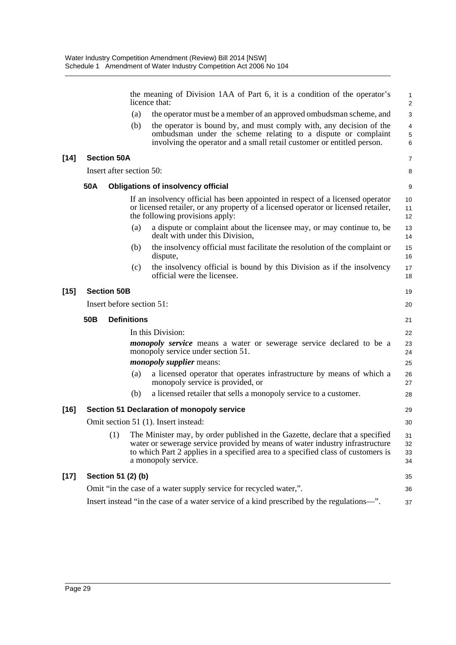|        |                 |                           |     | the meaning of Division 1AA of Part 6, it is a condition of the operator's<br>licence that:                                                                                                                                                                              | $\mathbf{1}$<br>$\overline{2}$ |
|--------|-----------------|---------------------------|-----|--------------------------------------------------------------------------------------------------------------------------------------------------------------------------------------------------------------------------------------------------------------------------|--------------------------------|
|        |                 |                           | (a) | the operator must be a member of an approved ombudsman scheme, and                                                                                                                                                                                                       | 3                              |
|        |                 |                           | (b) | the operator is bound by, and must comply with, any decision of the<br>ombudsman under the scheme relating to a dispute or complaint<br>involving the operator and a small retail customer or entitled person.                                                           | 4<br>$\mathbf 5$<br>6          |
| $[14]$ |                 | <b>Section 50A</b>        |     |                                                                                                                                                                                                                                                                          | 7                              |
|        |                 | Insert after section 50:  |     |                                                                                                                                                                                                                                                                          | 8                              |
|        | 50A             |                           |     | <b>Obligations of insolvency official</b>                                                                                                                                                                                                                                | 9                              |
|        |                 |                           |     | If an insolvency official has been appointed in respect of a licensed operator<br>or licensed retailer, or any property of a licensed operator or licensed retailer,<br>the following provisions apply:                                                                  | 10<br>11<br>12                 |
|        |                 |                           | (a) | a dispute or complaint about the licensee may, or may continue to, be<br>dealt with under this Division,                                                                                                                                                                 | 13<br>14                       |
|        |                 |                           | (b) | the insolvency official must facilitate the resolution of the complaint or<br>dispute,                                                                                                                                                                                   | 15<br>16                       |
|        |                 |                           | (c) | the insolvency official is bound by this Division as if the insolvency<br>official were the licensee.                                                                                                                                                                    | 17<br>18                       |
| $[15]$ |                 | <b>Section 50B</b>        |     |                                                                                                                                                                                                                                                                          | 19                             |
|        |                 | Insert before section 51: |     |                                                                                                                                                                                                                                                                          | 20                             |
|        | 50 <sub>B</sub> | <b>Definitions</b>        |     |                                                                                                                                                                                                                                                                          | 21                             |
|        |                 |                           |     | In this Division:                                                                                                                                                                                                                                                        | 22                             |
|        |                 |                           |     | <i>monopoly service</i> means a water or sewerage service declared to be a<br>monopoly service under section 51.                                                                                                                                                         | 23<br>24                       |
|        |                 |                           |     | <i>monopoly supplier means:</i>                                                                                                                                                                                                                                          | 25                             |
|        |                 |                           | (a) | a licensed operator that operates infrastructure by means of which a<br>monopoly service is provided, or                                                                                                                                                                 | 26<br>27                       |
|        |                 |                           | (b) | a licensed retailer that sells a monopoly service to a customer.                                                                                                                                                                                                         | 28                             |
| $[16]$ |                 |                           |     | Section 51 Declaration of monopoly service                                                                                                                                                                                                                               | 29                             |
|        |                 |                           |     | Omit section 51 (1). Insert instead:                                                                                                                                                                                                                                     | 30                             |
|        |                 | (1)                       |     | The Minister may, by order published in the Gazette, declare that a specified<br>water or sewerage service provided by means of water industry infrastructure<br>to which Part 2 applies in a specified area to a specified class of customers is<br>a monopoly service. | 31<br>32<br>33<br>34           |
| $[17]$ |                 | Section 51 (2) (b)        |     |                                                                                                                                                                                                                                                                          | 35                             |
|        |                 |                           |     | Omit "in the case of a water supply service for recycled water,".                                                                                                                                                                                                        | 36                             |
|        |                 |                           |     | Insert instead "in the case of a water service of a kind prescribed by the regulations-".                                                                                                                                                                                | 37                             |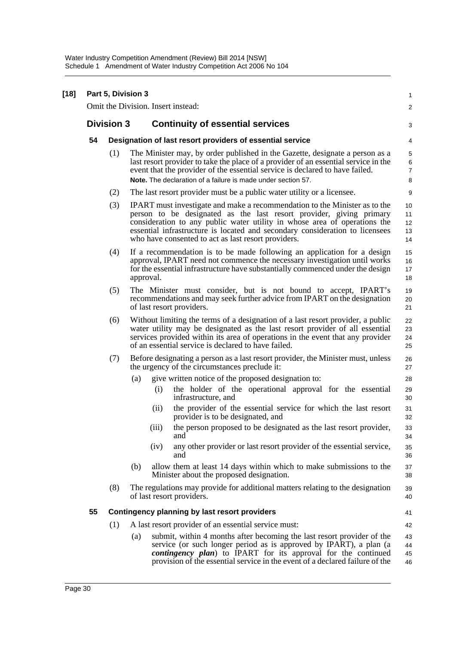| $[18]$ | Part 5, Division 3 |                   |                                                                                                                                                                                                                                                                                                                                                                              |                                     |  |  |  |
|--------|--------------------|-------------------|------------------------------------------------------------------------------------------------------------------------------------------------------------------------------------------------------------------------------------------------------------------------------------------------------------------------------------------------------------------------------|-------------------------------------|--|--|--|
|        |                    |                   | Omit the Division. Insert instead:                                                                                                                                                                                                                                                                                                                                           | 2                                   |  |  |  |
|        |                    | <b>Division 3</b> | <b>Continuity of essential services</b>                                                                                                                                                                                                                                                                                                                                      | 3                                   |  |  |  |
|        | 54                 |                   | Designation of last resort providers of essential service                                                                                                                                                                                                                                                                                                                    | 4                                   |  |  |  |
|        |                    | (1)               | The Minister may, by order published in the Gazette, designate a person as a<br>last resort provider to take the place of a provider of an essential service in the<br>event that the provider of the essential service is declared to have failed.<br>Note. The declaration of a failure is made under section 57.                                                          | 5<br>$\,6\,$<br>$\overline{7}$<br>8 |  |  |  |
|        |                    | (2)               | The last resort provider must be a public water utility or a licensee.                                                                                                                                                                                                                                                                                                       | 9                                   |  |  |  |
|        |                    | (3)               | <b>IPART</b> must investigate and make a recommendation to the Minister as to the<br>person to be designated as the last resort provider, giving primary<br>consideration to any public water utility in whose area of operations the<br>essential infrastructure is located and secondary consideration to licensees<br>who have consented to act as last resort providers. | 10<br>11<br>12<br>13<br>14          |  |  |  |
|        |                    | (4)               | If a recommendation is to be made following an application for a design<br>approval, IPART need not commence the necessary investigation until works<br>for the essential infrastructure have substantially commenced under the design<br>approval.                                                                                                                          | 15<br>16<br>17<br>18                |  |  |  |
|        |                    | (5)               | The Minister must consider, but is not bound to accept, IPART's<br>recommendations and may seek further advice from IPART on the designation<br>of last resort providers.                                                                                                                                                                                                    | 19<br>20<br>21                      |  |  |  |
|        |                    | (6)               | Without limiting the terms of a designation of a last resort provider, a public<br>water utility may be designated as the last resort provider of all essential<br>services provided within its area of operations in the event that any provider<br>of an essential service is declared to have failed.                                                                     | 22<br>23<br>24<br>25                |  |  |  |
|        |                    | (7)               | Before designating a person as a last resort provider, the Minister must, unless<br>the urgency of the circumstances preclude it:                                                                                                                                                                                                                                            | 26<br>27                            |  |  |  |
|        |                    |                   | give written notice of the proposed designation to:<br>(a)                                                                                                                                                                                                                                                                                                                   | 28                                  |  |  |  |
|        |                    |                   | the holder of the operational approval for the essential<br>(i)<br>infrastructure, and                                                                                                                                                                                                                                                                                       | 29<br>30                            |  |  |  |
|        |                    |                   | the provider of the essential service for which the last resort<br>(ii)<br>provider is to be designated, and                                                                                                                                                                                                                                                                 | 31<br>32                            |  |  |  |
|        |                    |                   | (iii)<br>the person proposed to be designated as the last resort provider,<br>and                                                                                                                                                                                                                                                                                            | 33<br>34                            |  |  |  |
|        |                    |                   | any other provider or last resort provider of the essential service,<br>(iv)<br>and                                                                                                                                                                                                                                                                                          | 35<br>36                            |  |  |  |
|        |                    |                   | allow them at least 14 days within which to make submissions to the<br>(b)<br>Minister about the proposed designation.                                                                                                                                                                                                                                                       | 37<br>38                            |  |  |  |
|        |                    | (8)               | The regulations may provide for additional matters relating to the designation<br>of last resort providers.                                                                                                                                                                                                                                                                  | 39<br>40                            |  |  |  |
|        | 55                 |                   | <b>Contingency planning by last resort providers</b>                                                                                                                                                                                                                                                                                                                         | 41                                  |  |  |  |
|        |                    | (1)               | A last resort provider of an essential service must:                                                                                                                                                                                                                                                                                                                         | 42                                  |  |  |  |
|        |                    |                   | submit, within 4 months after becoming the last resort provider of the<br>(a)<br>service (or such longer period as is approved by IPART), a plan (a<br>contingency plan) to IPART for its approval for the continued<br>provision of the essential service in the event of a declared failure of the                                                                         | 43<br>44<br>45<br>46                |  |  |  |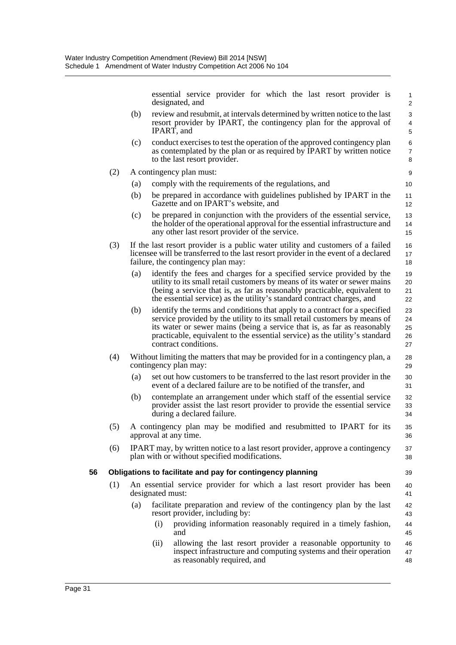essential service provider for which the last resort provider is designated, and (b) review and resubmit, at intervals determined by written notice to the last resort provider by IPART, the contingency plan for the approval of IPART, and (c) conduct exercises to test the operation of the approved contingency plan as contemplated by the plan or as required by IPART by written notice to the last resort provider. (2) A contingency plan must: (a) comply with the requirements of the regulations, and (b) be prepared in accordance with guidelines published by IPART in the Gazette and on IPART's website, and (c) be prepared in conjunction with the providers of the essential service, the holder of the operational approval for the essential infrastructure and any other last resort provider of the service. (3) If the last resort provider is a public water utility and customers of a failed licensee will be transferred to the last resort provider in the event of a declared failure, the contingency plan may: (a) identify the fees and charges for a specified service provided by the utility to its small retail customers by means of its water or sewer mains (being a service that is, as far as reasonably practicable, equivalent to the essential service) as the utility's standard contract charges, and (b) identify the terms and conditions that apply to a contract for a specified service provided by the utility to its small retail customers by means of its water or sewer mains (being a service that is, as far as reasonably practicable, equivalent to the essential service) as the utility's standard contract conditions. (4) Without limiting the matters that may be provided for in a contingency plan, a contingency plan may: (a) set out how customers to be transferred to the last resort provider in the event of a declared failure are to be notified of the transfer, and (b) contemplate an arrangement under which staff of the essential service provider assist the last resort provider to provide the essential service during a declared failure. (5) A contingency plan may be modified and resubmitted to IPART for its approval at any time. (6) IPART may, by written notice to a last resort provider, approve a contingency plan with or without specified modifications. **56 Obligations to facilitate and pay for contingency planning** (1) An essential service provider for which a last resort provider has been designated must: (a) facilitate preparation and review of the contingency plan by the last resort provider, including by: (i) providing information reasonably required in a timely fashion, and 1 2 3 4 5 6 7 8 9 10 11 12 13 14 15 16 17 18 19 20 21 22 23 24 25 26 27 28 29 30 31 32 33 34 35 36 37 38 39 40 41 42 43 44 45 46

(ii) allowing the last resort provider a reasonable opportunity to inspect infrastructure and computing systems and their operation as reasonably required, and 47 48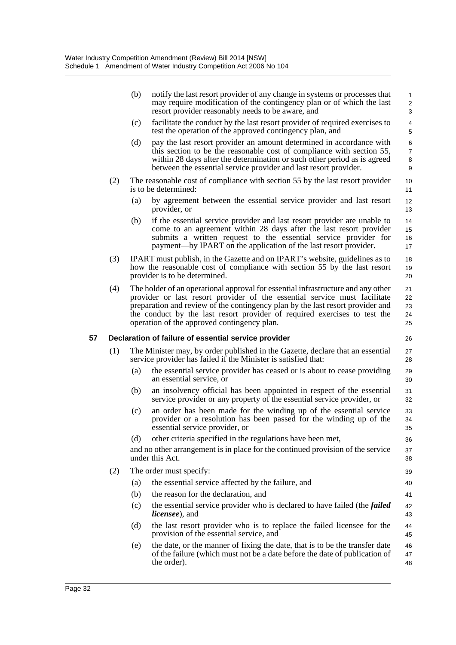|    |     | (b) | notify the last resort provider of any change in systems or processes that<br>may require modification of the contingency plan or of which the last<br>resort provider reasonably needs to be aware, and                                                                                                                                                                    | 1<br>$\overline{\mathbf{c}}$<br>3 |
|----|-----|-----|-----------------------------------------------------------------------------------------------------------------------------------------------------------------------------------------------------------------------------------------------------------------------------------------------------------------------------------------------------------------------------|-----------------------------------|
|    |     | (c) | facilitate the conduct by the last resort provider of required exercises to<br>test the operation of the approved contingency plan, and                                                                                                                                                                                                                                     | 4<br>5                            |
|    |     | (d) | pay the last resort provider an amount determined in accordance with<br>this section to be the reasonable cost of compliance with section 55,<br>within 28 days after the determination or such other period as is agreed<br>between the essential service provider and last resort provider.                                                                               | 6<br>$\overline{7}$<br>8<br>9     |
|    | (2) |     | The reasonable cost of compliance with section 55 by the last resort provider<br>is to be determined:                                                                                                                                                                                                                                                                       | 10<br>11                          |
|    |     | (a) | by agreement between the essential service provider and last resort<br>provider, or                                                                                                                                                                                                                                                                                         | 12<br>13                          |
|    |     | (b) | if the essential service provider and last resort provider are unable to<br>come to an agreement within 28 days after the last resort provider<br>submits a written request to the essential service provider for<br>payment—by IPART on the application of the last resort provider.                                                                                       | 14<br>15<br>16<br>17              |
|    | (3) |     | IPART must publish, in the Gazette and on IPART's website, guidelines as to<br>how the reasonable cost of compliance with section 55 by the last resort<br>provider is to be determined.                                                                                                                                                                                    | 18<br>19<br>20                    |
|    | (4) |     | The holder of an operational approval for essential infrastructure and any other<br>provider or last resort provider of the essential service must facilitate<br>preparation and review of the contingency plan by the last resort provider and<br>the conduct by the last resort provider of required exercises to test the<br>operation of the approved contingency plan. | 21<br>22<br>23<br>24<br>25        |
| 57 |     |     | Declaration of failure of essential service provider                                                                                                                                                                                                                                                                                                                        | 26                                |
|    | (1) |     | The Minister may, by order published in the Gazette, declare that an essential<br>service provider has failed if the Minister is satisfied that:                                                                                                                                                                                                                            | 27<br>28                          |
|    |     | (a) |                                                                                                                                                                                                                                                                                                                                                                             |                                   |
|    |     |     | the essential service provider has ceased or is about to cease providing<br>an essential service, or                                                                                                                                                                                                                                                                        | 29<br>30                          |
|    |     | (b) | an insolvency official has been appointed in respect of the essential<br>service provider or any property of the essential service provider, or                                                                                                                                                                                                                             | 31<br>32                          |
|    |     | (c) | an order has been made for the winding up of the essential service<br>provider or a resolution has been passed for the winding up of the<br>essential service provider, or                                                                                                                                                                                                  | 33<br>34<br>35                    |
|    |     | (d) | other criteria specified in the regulations have been met,                                                                                                                                                                                                                                                                                                                  | 36                                |
|    |     |     | and no other arrangement is in place for the continued provision of the service<br>under this Act.                                                                                                                                                                                                                                                                          | 37<br>38                          |
|    | (2) |     | The order must specify:                                                                                                                                                                                                                                                                                                                                                     | 39                                |
|    |     | (a) | the essential service affected by the failure, and                                                                                                                                                                                                                                                                                                                          | 40                                |
|    |     | (b) | the reason for the declaration, and                                                                                                                                                                                                                                                                                                                                         | 41                                |
|    |     | (c) | the essential service provider who is declared to have failed (the <i>failed</i><br><i>licensee</i> ), and                                                                                                                                                                                                                                                                  | 42<br>43                          |
|    |     | (d) | the last resort provider who is to replace the failed licensee for the<br>provision of the essential service, and                                                                                                                                                                                                                                                           | 44<br>45                          |
|    |     | (e) | the date, or the manner of fixing the date, that is to be the transfer date<br>of the failure (which must not be a date before the date of publication of<br>the order).                                                                                                                                                                                                    | 46<br>47<br>48                    |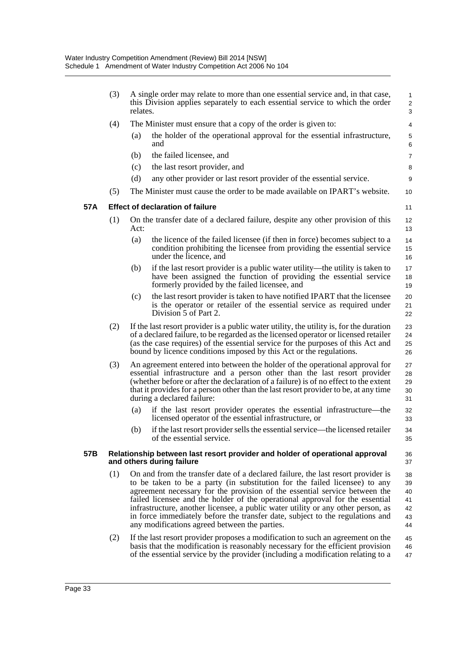|     | (3) | relates. | A single order may relate to more than one essential service and, in that case,<br>this Division applies separately to each essential service to which the order                                                                                                                                                                                                                                                                                                                                                                                   | 1<br>$\overline{\mathbf{c}}$<br>3      |
|-----|-----|----------|----------------------------------------------------------------------------------------------------------------------------------------------------------------------------------------------------------------------------------------------------------------------------------------------------------------------------------------------------------------------------------------------------------------------------------------------------------------------------------------------------------------------------------------------------|----------------------------------------|
|     | (4) |          | The Minister must ensure that a copy of the order is given to:                                                                                                                                                                                                                                                                                                                                                                                                                                                                                     | 4                                      |
|     |     | (a)      | the holder of the operational approval for the essential infrastructure,<br>and                                                                                                                                                                                                                                                                                                                                                                                                                                                                    | 5<br>6                                 |
|     |     | (b)      | the failed licensee, and                                                                                                                                                                                                                                                                                                                                                                                                                                                                                                                           | 7                                      |
|     |     | (c)      | the last resort provider, and                                                                                                                                                                                                                                                                                                                                                                                                                                                                                                                      | 8                                      |
|     |     | (d)      | any other provider or last resort provider of the essential service.                                                                                                                                                                                                                                                                                                                                                                                                                                                                               | 9                                      |
|     | (5) |          | The Minister must cause the order to be made available on IPART's website.                                                                                                                                                                                                                                                                                                                                                                                                                                                                         | 10                                     |
| 57A |     |          | <b>Effect of declaration of failure</b>                                                                                                                                                                                                                                                                                                                                                                                                                                                                                                            | 11                                     |
|     | (1) | Act:     | On the transfer date of a declared failure, despite any other provision of this                                                                                                                                                                                                                                                                                                                                                                                                                                                                    | 12<br>13                               |
|     |     | (a)      | the licence of the failed licensee (if then in force) becomes subject to a<br>condition prohibiting the licensee from providing the essential service<br>under the licence, and                                                                                                                                                                                                                                                                                                                                                                    | 14<br>15<br>16                         |
|     |     | (b)      | if the last resort provider is a public water utility—the utility is taken to<br>have been assigned the function of providing the essential service<br>formerly provided by the failed licensee, and                                                                                                                                                                                                                                                                                                                                               | 17<br>18<br>19                         |
|     |     | (c)      | the last resort provider is taken to have notified IPART that the licensee<br>is the operator or retailer of the essential service as required under<br>Division 5 of Part 2.                                                                                                                                                                                                                                                                                                                                                                      | 20<br>21<br>22                         |
|     | (2) |          | If the last resort provider is a public water utility, the utility is, for the duration<br>of a declared failure, to be regarded as the licensed operator or licensed retailer<br>(as the case requires) of the essential service for the purposes of this Act and<br>bound by licence conditions imposed by this Act or the regulations.                                                                                                                                                                                                          | 23<br>24<br>25<br>26                   |
|     | (3) |          | An agreement entered into between the holder of the operational approval for<br>essential infrastructure and a person other than the last resort provider<br>(whether before or after the declaration of a failure) is of no effect to the extent<br>that it provides for a person other than the last resort provider to be, at any time<br>during a declared failure:                                                                                                                                                                            | 27<br>28<br>29<br>30<br>31             |
|     |     | (a)      | if the last resort provider operates the essential infrastructure—the<br>licensed operator of the essential infrastructure, or                                                                                                                                                                                                                                                                                                                                                                                                                     | 32<br>33                               |
|     |     | (b)      | if the last resort provider sells the essential service—the licensed retailer<br>of the essential service.                                                                                                                                                                                                                                                                                                                                                                                                                                         | 34<br>35                               |
| 57B |     |          | Relationship between last resort provider and holder of operational approval<br>and others during failure                                                                                                                                                                                                                                                                                                                                                                                                                                          | 36<br>37                               |
|     | (1) |          | On and from the transfer date of a declared failure, the last resort provider is<br>to be taken to be a party (in substitution for the failed licensee) to any<br>agreement necessary for the provision of the essential service between the<br>failed licensee and the holder of the operational approval for the essential<br>infrastructure, another licensee, a public water utility or any other person, as<br>in force immediately before the transfer date, subject to the regulations and<br>any modifications agreed between the parties. | 38<br>39<br>40<br>41<br>42<br>43<br>44 |
|     | (2) |          | If the last resort provider proposes a modification to such an agreement on the<br>basis that the modification is reasonably necessary for the efficient provision<br>of the essential service by the provider (including a modification relating to a                                                                                                                                                                                                                                                                                             | 45<br>46<br>47                         |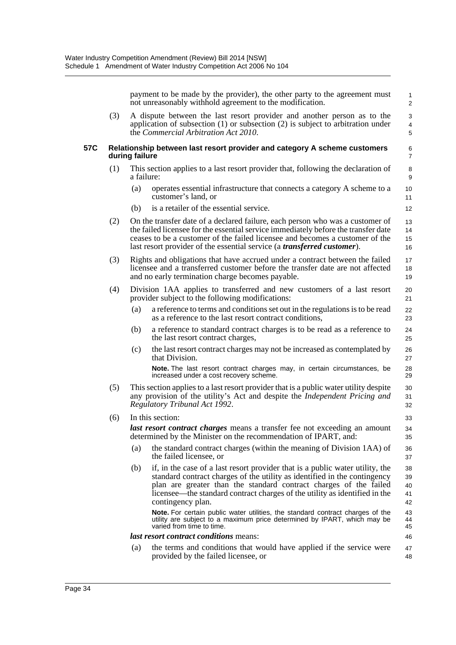payment to be made by the provider), the other party to the agreement must not unreasonably withhold agreement to the modification.

36 37

(3) A dispute between the last resort provider and another person as to the application of subsection (1) or subsection (2) is subject to arbitration under the *Commercial Arbitration Act 2010*.

#### **57C Relationship between last resort provider and category A scheme customers during failure**

- (1) This section applies to a last resort provider that, following the declaration of a failure:
	- (a) operates essential infrastructure that connects a category A scheme to a customer's land, or
	- (b) is a retailer of the essential service.
- (2) On the transfer date of a declared failure, each person who was a customer of the failed licensee for the essential service immediately before the transfer date ceases to be a customer of the failed licensee and becomes a customer of the last resort provider of the essential service (a *transferred customer*). 13 14 15 16
- (3) Rights and obligations that have accrued under a contract between the failed licensee and a transferred customer before the transfer date are not affected and no early termination charge becomes payable. 17 18 19
- (4) Division 1AA applies to transferred and new customers of a last resort provider subject to the following modifications: 20 21
	- (a) a reference to terms and conditions set out in the regulations is to be read as a reference to the last resort contract conditions,
	- (b) a reference to standard contract charges is to be read as a reference to the last resort contract charges,
	- (c) the last resort contract charges may not be increased as contemplated by that Division.

**Note.** The last resort contract charges may, in certain circumstances, be increased under a cost recovery scheme.

- (5) This section applies to a last resort provider that is a public water utility despite any provision of the utility's Act and despite the *Independent Pricing and Regulatory Tribunal Act 1992*.
- (6) In this section: *last resort contract charges* means a transfer fee not exceeding an amount determined by the Minister on the recommendation of IPART, and: 33 34 35
	- (a) the standard contract charges (within the meaning of Division 1AA) of the failed licensee, or
	- (b) if, in the case of a last resort provider that is a public water utility, the standard contract charges of the utility as identified in the contingency plan are greater than the standard contract charges of the failed licensee—the standard contract charges of the utility as identified in the contingency plan. 38 39 40 41 42

**Note.** For certain public water utilities, the standard contract charges of the utility are subject to a maximum price determined by IPART, which may be varied from time to time.

### *last resort contract conditions* means:

(a) the terms and conditions that would have applied if the service were provided by the failed licensee, or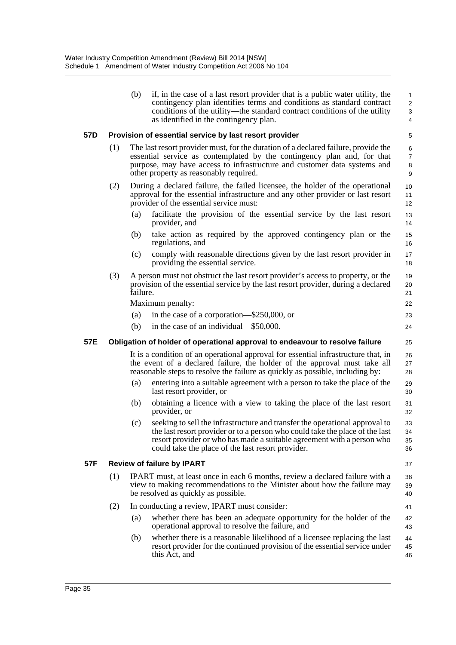(b) if, in the case of a last resort provider that is a public water utility, the contingency plan identifies terms and conditions as standard contract conditions of the utility—the standard contract conditions of the utility as identified in the contingency plan.

### **57D Provision of essential service by last resort provider**

- (1) The last resort provider must, for the duration of a declared failure, provide the essential service as contemplated by the contingency plan and, for that purpose, may have access to infrastructure and customer data systems and other property as reasonably required.
- (2) During a declared failure, the failed licensee, the holder of the operational approval for the essential infrastructure and any other provider or last resort provider of the essential service must:
	- (a) facilitate the provision of the essential service by the last resort provider, and
	- (b) take action as required by the approved contingency plan or the regulations, and
	- (c) comply with reasonable directions given by the last resort provider in providing the essential service.
- (3) A person must not obstruct the last resort provider's access to property, or the provision of the essential service by the last resort provider, during a declared failure. 19 20  $21$

Maximum penalty:

|  | (a) in the case of a corporation— $$250,000$ , or |  |
|--|---------------------------------------------------|--|
|--|---------------------------------------------------|--|

(b) in the case of an individual—\$50,000.

## **57E Obligation of holder of operational approval to endeavour to resolve failure**

It is a condition of an operational approval for essential infrastructure that, in the event of a declared failure, the holder of the approval must take all reasonable steps to resolve the failure as quickly as possible, including by: 26 27 28

- (a) entering into a suitable agreement with a person to take the place of the last resort provider, or
- (b) obtaining a licence with a view to taking the place of the last resort provider, or
- (c) seeking to sell the infrastructure and transfer the operational approval to the last resort provider or to a person who could take the place of the last resort provider or who has made a suitable agreement with a person who could take the place of the last resort provider.

## **57F Review of failure by IPART**

37

41 42 43

22

24 25

- (1) IPART must, at least once in each 6 months, review a declared failure with a view to making recommendations to the Minister about how the failure may be resolved as quickly as possible. 38 39 40
- (2) In conducting a review, IPART must consider:
	- (a) whether there has been an adequate opportunity for the holder of the operational approval to resolve the failure, and
	- (b) whether there is a reasonable likelihood of a licensee replacing the last resort provider for the continued provision of the essential service under this Act, and 44 45 46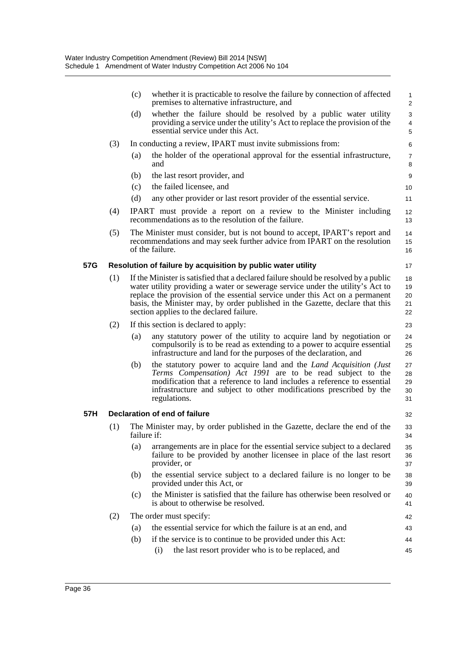|     |     | (c)         | whether it is practicable to resolve the failure by connection of affected<br>premises to alternative infrastructure, and                                                                                                                                                                                                                                                          | $\mathbf{1}$<br>2                 |
|-----|-----|-------------|------------------------------------------------------------------------------------------------------------------------------------------------------------------------------------------------------------------------------------------------------------------------------------------------------------------------------------------------------------------------------------|-----------------------------------|
|     |     | (d)         | whether the failure should be resolved by a public water utility<br>providing a service under the utility's Act to replace the provision of the<br>essential service under this Act.                                                                                                                                                                                               | 3<br>$\overline{\mathbf{4}}$<br>5 |
|     | (3) |             | In conducting a review, IPART must invite submissions from:                                                                                                                                                                                                                                                                                                                        | 6                                 |
|     |     | (a)         | the holder of the operational approval for the essential infrastructure,<br>and                                                                                                                                                                                                                                                                                                    | $\overline{7}$<br>8               |
|     |     | (b)         | the last resort provider, and                                                                                                                                                                                                                                                                                                                                                      | 9                                 |
|     |     | (c)         | the failed licensee, and                                                                                                                                                                                                                                                                                                                                                           | 10                                |
|     |     | (d)         | any other provider or last resort provider of the essential service.                                                                                                                                                                                                                                                                                                               | 11                                |
|     | (4) |             | IPART must provide a report on a review to the Minister including<br>recommendations as to the resolution of the failure.                                                                                                                                                                                                                                                          | 12<br>13                          |
|     | (5) |             | The Minister must consider, but is not bound to accept, IPART's report and<br>recommendations and may seek further advice from IPART on the resolution<br>of the failure.                                                                                                                                                                                                          | 14<br>15<br>16                    |
| 57G |     |             | Resolution of failure by acquisition by public water utility                                                                                                                                                                                                                                                                                                                       | 17                                |
|     | (1) |             | If the Minister is satisfied that a declared failure should be resolved by a public<br>water utility providing a water or sewerage service under the utility's Act to<br>replace the provision of the essential service under this Act on a permanent<br>basis, the Minister may, by order published in the Gazette, declare that this<br>section applies to the declared failure. | 18<br>19<br>20<br>21<br>22        |
|     | (2) |             | If this section is declared to apply:                                                                                                                                                                                                                                                                                                                                              | 23                                |
|     |     | (a)         | any statutory power of the utility to acquire land by negotiation or<br>compulsorily is to be read as extending to a power to acquire essential<br>infrastructure and land for the purposes of the declaration, and                                                                                                                                                                | 24<br>25<br>26                    |
|     |     | (b)         | the statutory power to acquire land and the Land Acquisition (Just<br>Terms Compensation) Act 1991 are to be read subject to the<br>modification that a reference to land includes a reference to essential<br>infrastructure and subject to other modifications prescribed by the<br>regulations.                                                                                 | 27<br>28<br>29<br>30<br>31        |
| 57H |     |             | Declaration of end of failure                                                                                                                                                                                                                                                                                                                                                      | 32                                |
|     | (1) | failure if: | The Minister may, by order published in the Gazette, declare the end of the                                                                                                                                                                                                                                                                                                        | 33<br>34                          |
|     |     | (a)         | arrangements are in place for the essential service subject to a declared<br>failure to be provided by another licensee in place of the last resort<br>provider, or                                                                                                                                                                                                                | 35<br>36<br>37                    |
|     |     | (b)         | the essential service subject to a declared failure is no longer to be<br>provided under this Act, or                                                                                                                                                                                                                                                                              | 38<br>39                          |
|     |     | (c)         | the Minister is satisfied that the failure has otherwise been resolved or<br>is about to otherwise be resolved.                                                                                                                                                                                                                                                                    | 40<br>41                          |
|     | (2) |             | The order must specify:                                                                                                                                                                                                                                                                                                                                                            | 42                                |
|     |     | (a)         | the essential service for which the failure is at an end, and                                                                                                                                                                                                                                                                                                                      | 43                                |
|     |     | (b)         | if the service is to continue to be provided under this Act:<br>the last resort provider who is to be replaced, and<br>(i)                                                                                                                                                                                                                                                         | 44<br>45                          |
|     |     |             |                                                                                                                                                                                                                                                                                                                                                                                    |                                   |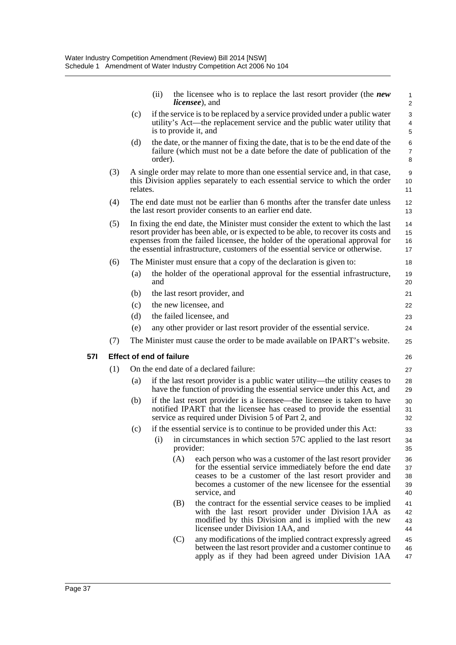|     |                                                                                                                                                                                                                                                                                                                                          | (ii)                            | the licensee who is to replace the last resort provider (the new<br><i>licensee</i> ), and                                                                                                                                                                     | $\mathbf{1}$<br>2          |  |  |
|-----|------------------------------------------------------------------------------------------------------------------------------------------------------------------------------------------------------------------------------------------------------------------------------------------------------------------------------------------|---------------------------------|----------------------------------------------------------------------------------------------------------------------------------------------------------------------------------------------------------------------------------------------------------------|----------------------------|--|--|
|     | (c)                                                                                                                                                                                                                                                                                                                                      | is to provide it, and           | if the service is to be replaced by a service provided under a public water<br>utility's Act—the replacement service and the public water utility that                                                                                                         | 3<br>$\overline{4}$<br>5   |  |  |
|     | (d)                                                                                                                                                                                                                                                                                                                                      | order).                         | the date, or the manner of fixing the date, that is to be the end date of the<br>failure (which must not be a date before the date of publication of the                                                                                                       | 6<br>$\overline{7}$<br>8   |  |  |
| (3) | relates.                                                                                                                                                                                                                                                                                                                                 |                                 | A single order may relate to more than one essential service and, in that case,<br>this Division applies separately to each essential service to which the order                                                                                               | 9<br>10<br>11              |  |  |
| (4) |                                                                                                                                                                                                                                                                                                                                          |                                 | The end date must not be earlier than 6 months after the transfer date unless<br>the last resort provider consents to an earlier end date.                                                                                                                     | 12<br>13                   |  |  |
| (5) | In fixing the end date, the Minister must consider the extent to which the last<br>resort provider has been able, or is expected to be able, to recover its costs and<br>expenses from the failed licensee, the holder of the operational approval for<br>the essential infrastructure, customers of the essential service or otherwise. |                                 |                                                                                                                                                                                                                                                                |                            |  |  |
| (6) |                                                                                                                                                                                                                                                                                                                                          |                                 | The Minister must ensure that a copy of the declaration is given to:                                                                                                                                                                                           | 18                         |  |  |
|     | (a)                                                                                                                                                                                                                                                                                                                                      | and                             | the holder of the operational approval for the essential infrastructure,                                                                                                                                                                                       | 19<br>20                   |  |  |
|     | (b)                                                                                                                                                                                                                                                                                                                                      |                                 | the last resort provider, and                                                                                                                                                                                                                                  | 21                         |  |  |
|     | (c)                                                                                                                                                                                                                                                                                                                                      |                                 | the new licensee, and                                                                                                                                                                                                                                          | 22                         |  |  |
|     | (d)                                                                                                                                                                                                                                                                                                                                      |                                 | the failed licensee, and                                                                                                                                                                                                                                       | 23                         |  |  |
|     | (e)                                                                                                                                                                                                                                                                                                                                      |                                 | any other provider or last resort provider of the essential service.                                                                                                                                                                                           | 24                         |  |  |
| (7) |                                                                                                                                                                                                                                                                                                                                          |                                 | The Minister must cause the order to be made available on IPART's website.                                                                                                                                                                                     | 25                         |  |  |
|     |                                                                                                                                                                                                                                                                                                                                          | <b>Effect of end of failure</b> |                                                                                                                                                                                                                                                                | 26                         |  |  |
| (1) |                                                                                                                                                                                                                                                                                                                                          |                                 | On the end date of a declared failure:                                                                                                                                                                                                                         | 27                         |  |  |
|     | (a)                                                                                                                                                                                                                                                                                                                                      |                                 | if the last resort provider is a public water utility—the utility ceases to<br>have the function of providing the essential service under this Act, and                                                                                                        | 28<br>29                   |  |  |
|     | (b)                                                                                                                                                                                                                                                                                                                                      |                                 | if the last resort provider is a licensee—the licensee is taken to have<br>notified IPART that the licensee has ceased to provide the essential<br>service as required under Division 5 of Part 2, and                                                         | 30<br>31<br>32             |  |  |
|     |                                                                                                                                                                                                                                                                                                                                          |                                 | (c) if the essential service is to continue to be provided under this Act:                                                                                                                                                                                     | 33                         |  |  |
|     |                                                                                                                                                                                                                                                                                                                                          | (i)                             | in circumstances in which section 57C applied to the last resort<br>provider:                                                                                                                                                                                  | 34<br>35                   |  |  |
|     |                                                                                                                                                                                                                                                                                                                                          | (A)                             | each person who was a customer of the last resort provider<br>for the essential service immediately before the end date<br>ceases to be a customer of the last resort provider and<br>becomes a customer of the new licensee for the essential<br>service, and | 36<br>37<br>38<br>39<br>40 |  |  |
|     |                                                                                                                                                                                                                                                                                                                                          | (B)                             | the contract for the essential service ceases to be implied<br>with the last resort provider under Division 1AA as<br>modified by this Division and is implied with the new<br>licensee under Division 1AA, and                                                | 41<br>42<br>43<br>44       |  |  |
|     |                                                                                                                                                                                                                                                                                                                                          | (C)                             | any modifications of the implied contract expressly agreed<br>between the last resort provider and a customer continue to<br>apply as if they had been agreed under Division 1AA                                                                               | 45<br>46<br>47             |  |  |

**57I Effect of end of failure**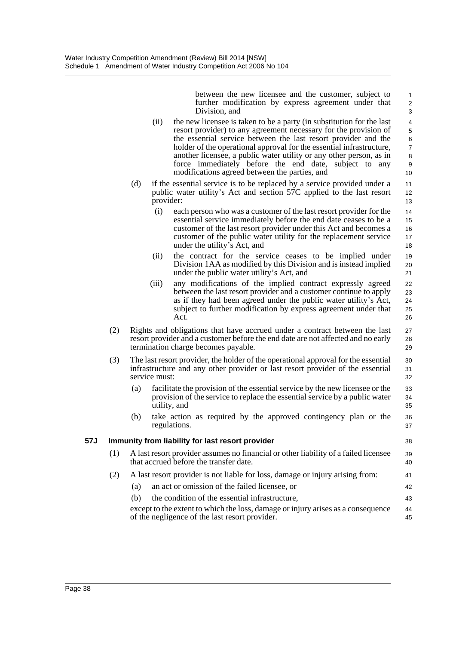between the new licensee and the customer, subject to further modification by express agreement under that Division, and

19 20 21

27 28 29

36 37

38

41 42 43

- (ii) the new licensee is taken to be a party (in substitution for the last resort provider) to any agreement necessary for the provision of the essential service between the last resort provider and the holder of the operational approval for the essential infrastructure, another licensee, a public water utility or any other person, as in force immediately before the end date, subject to any modifications agreed between the parties, and
- (d) if the essential service is to be replaced by a service provided under a public water utility's Act and section 57C applied to the last resort provider:
	- (i) each person who was a customer of the last resort provider for the essential service immediately before the end date ceases to be a customer of the last resort provider under this Act and becomes a customer of the public water utility for the replacement service under the utility's Act, and 14 15 16 17 18
	- (ii) the contract for the service ceases to be implied under Division 1AA as modified by this Division and is instead implied under the public water utility's Act, and
	- (iii) any modifications of the implied contract expressly agreed between the last resort provider and a customer continue to apply as if they had been agreed under the public water utility's Act, subject to further modification by express agreement under that Act. 22 23 24 25 26
- (2) Rights and obligations that have accrued under a contract between the last resort provider and a customer before the end date are not affected and no early termination charge becomes payable.
- (3) The last resort provider, the holder of the operational approval for the essential infrastructure and any other provider or last resort provider of the essential service must: 30 31 32
	- (a) facilitate the provision of the essential service by the new licensee or the provision of the service to replace the essential service by a public water utility, and 33 34 35
	- (b) take action as required by the approved contingency plan or the regulations.

## **57J Immunity from liability for last resort provider**

- (1) A last resort provider assumes no financial or other liability of a failed licensee that accrued before the transfer date. 39 40
- (2) A last resort provider is not liable for loss, damage or injury arising from:
	- (a) an act or omission of the failed licensee, or
	- (b) the condition of the essential infrastructure,

except to the extent to which the loss, damage or injury arises as a consequence of the negligence of the last resort provider. 44 45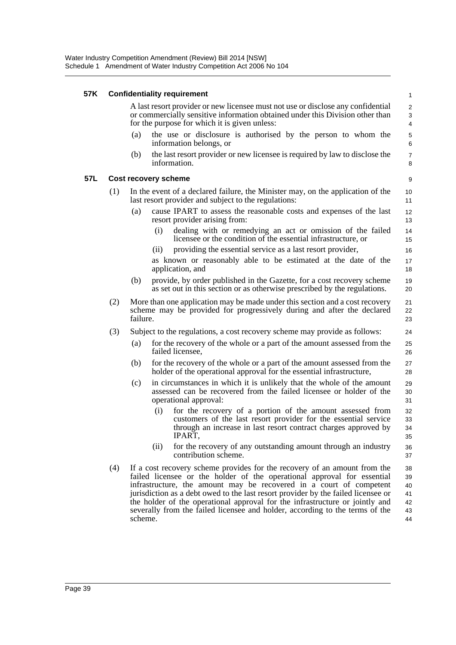### **57K Confidentiality requirement**

A last resort provider or new licensee must not use or disclose any confidential or commercially sensitive information obtained under this Division other than for the purpose for which it is given unless:

- (a) the use or disclosure is authorised by the person to whom the information belongs, or
- (b) the last resort provider or new licensee is required by law to disclose the information.

### **57L Cost recovery scheme**

- (1) In the event of a declared failure, the Minister may, on the application of the last resort provider and subject to the regulations:
	- (a) cause IPART to assess the reasonable costs and expenses of the last resort provider arising from:
		- (i) dealing with or remedying an act or omission of the failed licensee or the condition of the essential infrastructure, or
		- (ii) providing the essential service as a last resort provider,

as known or reasonably able to be estimated at the date of the application, and

- (b) provide, by order published in the Gazette, for a cost recovery scheme as set out in this section or as otherwise prescribed by the regulations.
- (2) More than one application may be made under this section and a cost recovery scheme may be provided for progressively during and after the declared failure.
- (3) Subject to the regulations, a cost recovery scheme may provide as follows:
	- (a) for the recovery of the whole or a part of the amount assessed from the failed licensee,
	- (b) for the recovery of the whole or a part of the amount assessed from the holder of the operational approval for the essential infrastructure,
	- (c) in circumstances in which it is unlikely that the whole of the amount assessed can be recovered from the failed licensee or holder of the operational approval:
		- (i) for the recovery of a portion of the amount assessed from customers of the last resort provider for the essential service through an increase in last resort contract charges approved by IPART,
		- (ii) for the recovery of any outstanding amount through an industry contribution scheme.
- (4) If a cost recovery scheme provides for the recovery of an amount from the failed licensee or the holder of the operational approval for essential infrastructure, the amount may be recovered in a court of competent jurisdiction as a debt owed to the last resort provider by the failed licensee or the holder of the operational approval for the infrastructure or jointly and severally from the failed licensee and holder, according to the terms of the scheme. 38 39 40 41 42 43 44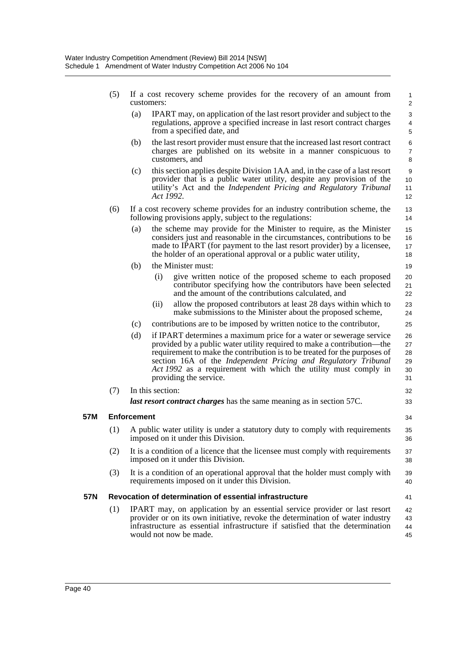| (5) If a cost recovery scheme provides for the recovery of an amount from |  |  |  |  |  |
|---------------------------------------------------------------------------|--|--|--|--|--|
| customers:                                                                |  |  |  |  |  |

(a) IPART may, on application of the last resort provider and subject to the regulations, approve a specified increase in last resort contract charges from a specified date, and

33

34 35 36

41

- (b) the last resort provider must ensure that the increased last resort contract charges are published on its website in a manner conspicuous to customers, and
- (c) this section applies despite Division 1AA and, in the case of a last resort provider that is a public water utility, despite any provision of the utility's Act and the *Independent Pricing and Regulatory Tribunal Act 1992*.
- (6) If a cost recovery scheme provides for an industry contribution scheme, the following provisions apply, subject to the regulations:
	- (a) the scheme may provide for the Minister to require, as the Minister considers just and reasonable in the circumstances, contributions to be made to IPART (for payment to the last resort provider) by a licensee, the holder of an operational approval or a public water utility,
	- (b) the Minister must:
		- (i) give written notice of the proposed scheme to each proposed contributor specifying how the contributors have been selected and the amount of the contributions calculated, and
		- (ii) allow the proposed contributors at least 28 days within which to make submissions to the Minister about the proposed scheme,
	- (c) contributions are to be imposed by written notice to the contributor,
	- (d) if IPART determines a maximum price for a water or sewerage service provided by a public water utility required to make a contribution—the requirement to make the contribution is to be treated for the purposes of section 16A of the *Independent Pricing and Regulatory Tribunal Act 1992* as a requirement with which the utility must comply in providing the service. 26 27 28 29 30 31 32
- (7) In this section: *last resort contract charges* has the same meaning as in section 57C.

### **57M Enforcement**

- (1) A public water utility is under a statutory duty to comply with requirements imposed on it under this Division.
- (2) It is a condition of a licence that the licensee must comply with requirements imposed on it under this Division. 37 38
- (3) It is a condition of an operational approval that the holder must comply with requirements imposed on it under this Division. 39 40

### **57N Revocation of determination of essential infrastructure**

(1) IPART may, on application by an essential service provider or last resort provider or on its own initiative, revoke the determination of water industry infrastructure as essential infrastructure if satisfied that the determination would not now be made. 42 43 44 45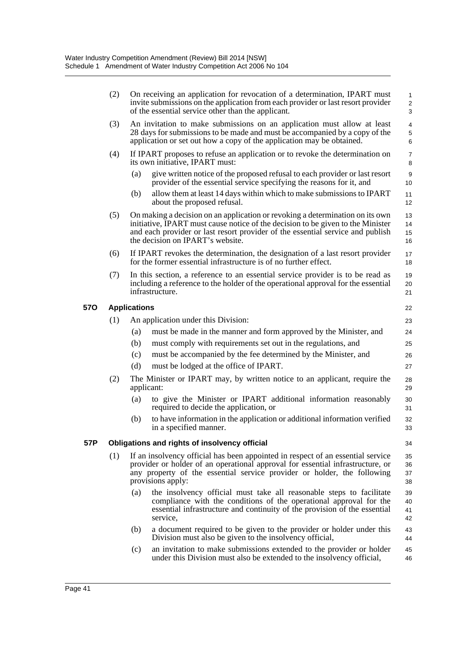|            | (2) |                     | On receiving an application for revocation of a determination, IPART must<br>invite submissions on the application from each provider or last resort provider<br>of the essential service other than the applicant.                                                                    | $\mathbf{1}$<br>2<br>$\mathbf{3}$  |
|------------|-----|---------------------|----------------------------------------------------------------------------------------------------------------------------------------------------------------------------------------------------------------------------------------------------------------------------------------|------------------------------------|
|            | (3) |                     | An invitation to make submissions on an application must allow at least<br>28 days for submissions to be made and must be accompanied by a copy of the<br>application or set out how a copy of the application may be obtained.                                                        | $\overline{4}$<br>$\mathbf 5$<br>6 |
|            | (4) |                     | If IPART proposes to refuse an application or to revoke the determination on<br>its own initiative, IPART must:                                                                                                                                                                        | $\overline{7}$<br>8                |
|            |     | (a)                 | give written notice of the proposed refusal to each provider or last resort<br>provider of the essential service specifying the reasons for it, and                                                                                                                                    | $\boldsymbol{9}$<br>10             |
|            |     | (b)                 | allow them at least 14 days within which to make submissions to IPART<br>about the proposed refusal.                                                                                                                                                                                   | 11<br>12                           |
|            | (5) |                     | On making a decision on an application or revoking a determination on its own<br>initiative, IPART must cause notice of the decision to be given to the Minister<br>and each provider or last resort provider of the essential service and publish<br>the decision on IPART's website. | 13<br>14<br>15<br>16               |
|            | (6) |                     | If IPART revokes the determination, the designation of a last resort provider<br>for the former essential infrastructure is of no further effect.                                                                                                                                      | 17<br>18                           |
|            | (7) |                     | In this section, a reference to an essential service provider is to be read as<br>including a reference to the holder of the operational approval for the essential<br>infrastructure.                                                                                                 | 19<br>20<br>21                     |
| <b>570</b> |     | <b>Applications</b> |                                                                                                                                                                                                                                                                                        | 22                                 |
|            | (1) |                     | An application under this Division:                                                                                                                                                                                                                                                    | 23                                 |
|            |     | (a)                 | must be made in the manner and form approved by the Minister, and                                                                                                                                                                                                                      | 24                                 |
|            |     | (b)                 | must comply with requirements set out in the regulations, and                                                                                                                                                                                                                          | 25                                 |
|            |     | (c)                 | must be accompanied by the fee determined by the Minister, and                                                                                                                                                                                                                         | 26                                 |
|            |     | (d)                 | must be lodged at the office of IPART.                                                                                                                                                                                                                                                 | 27                                 |
|            | (2) | applicant:          | The Minister or IPART may, by written notice to an applicant, require the                                                                                                                                                                                                              | 28<br>29                           |
|            |     | (a)                 | to give the Minister or IPART additional information reasonably<br>required to decide the application, or                                                                                                                                                                              | 30<br>31                           |
|            |     | (b)                 | to have information in the application or additional information verified<br>in a specified manner.                                                                                                                                                                                    | 32<br>33                           |
| 57P        |     |                     | Obligations and rights of insolvency official                                                                                                                                                                                                                                          | 34                                 |
|            | (1) |                     | If an insolvency official has been appointed in respect of an essential service<br>provider or holder of an operational approval for essential infrastructure, or<br>any property of the essential service provider or holder, the following<br>provisions apply:                      | 35<br>36<br>37<br>38               |
|            |     | (a)                 | the insolvency official must take all reasonable steps to facilitate<br>compliance with the conditions of the operational approval for the<br>essential infrastructure and continuity of the provision of the essential<br>service,                                                    | 39<br>40<br>41<br>42               |
|            |     | (b)                 | a document required to be given to the provider or holder under this<br>Division must also be given to the insolvency official,                                                                                                                                                        | 43<br>44                           |
|            |     | (c)                 | an invitation to make submissions extended to the provider or holder<br>under this Division must also be extended to the insolvency official,                                                                                                                                          | 45<br>46                           |
|            |     |                     |                                                                                                                                                                                                                                                                                        |                                    |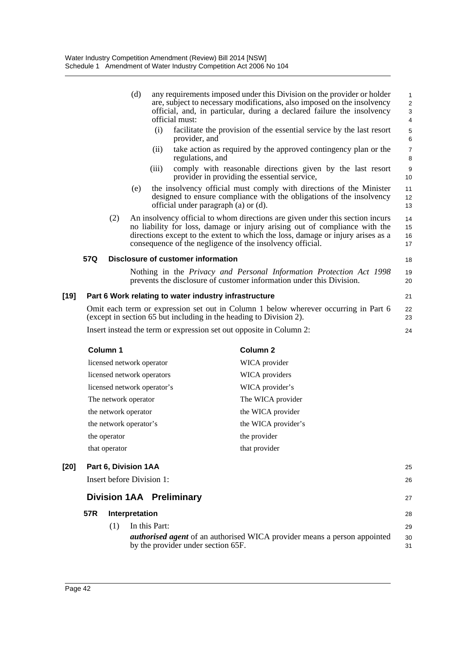|                 |     | (d)                         | any requirements imposed under this Division on the provider or holder<br>are, subject to necessary modifications, also imposed on the insolvency<br>official, and, in particular, during a declared failure the insolvency<br>official must:                                                               | $\mathbf{1}$<br>$\overline{c}$<br>3<br>$\overline{4}$ |
|-----------------|-----|-----------------------------|-------------------------------------------------------------------------------------------------------------------------------------------------------------------------------------------------------------------------------------------------------------------------------------------------------------|-------------------------------------------------------|
|                 |     | (i)                         | facilitate the provision of the essential service by the last resort<br>provider, and                                                                                                                                                                                                                       | 5<br>6                                                |
|                 |     | (i)                         | take action as required by the approved contingency plan or the<br>regulations, and                                                                                                                                                                                                                         | $\overline{7}$<br>8                                   |
|                 |     | (iii)                       | comply with reasonable directions given by the last resort<br>provider in providing the essential service,                                                                                                                                                                                                  | 9<br>10                                               |
|                 |     | (e)                         | the insolvency official must comply with directions of the Minister<br>designed to ensure compliance with the obligations of the insolvency<br>official under paragraph (a) or (d).                                                                                                                         | 11<br>12<br>13                                        |
|                 | (2) |                             | An insolvency official to whom directions are given under this section incurs<br>no liability for loss, damage or injury arising out of compliance with the<br>directions except to the extent to which the loss, damage or injury arises as a<br>consequence of the negligence of the insolvency official. | 14<br>15<br>16<br>17                                  |
| 57Q             |     |                             | Disclosure of customer information                                                                                                                                                                                                                                                                          | 18                                                    |
|                 |     |                             | Nothing in the Privacy and Personal Information Protection Act 1998<br>prevents the disclosure of customer information under this Division.                                                                                                                                                                 | 19<br>20                                              |
|                 |     |                             | Part 6 Work relating to water industry infrastructure                                                                                                                                                                                                                                                       | 21                                                    |
|                 |     |                             | Omit each term or expression set out in Column 1 below wherever occurring in Part 6<br>(except in section 65 but including in the heading to Division 2).                                                                                                                                                   | 22<br>23                                              |
|                 |     |                             | Insert instead the term or expression set out opposite in Column 2:                                                                                                                                                                                                                                         | 24                                                    |
| <b>Column 1</b> |     |                             | <b>Column 2</b>                                                                                                                                                                                                                                                                                             |                                                       |
|                 |     | licensed network operator   | WICA provider                                                                                                                                                                                                                                                                                               |                                                       |
|                 |     | licensed network operators  | <b>WICA</b> providers                                                                                                                                                                                                                                                                                       |                                                       |
|                 |     | licansed natwork operator's | $WIC \wedge \text{provided} \text{er}$                                                                                                                                                                                                                                                                      |                                                       |

# **[19] Part 6 Work relating to water industry infrastructure**

| Column 1                    | Column 2            |
|-----------------------------|---------------------|
| licensed network operator   | WICA provider       |
| licensed network operators  | WICA providers      |
| licensed network operator's | WICA provider's     |
| The network operator        | The WICA provider   |
| the network operator        | the WICA provider   |
| the network operator's      | the WICA provider's |
| the operator                | the provider        |
| that operator               | that provider       |

| [20] | Part 6, Division 1AA<br>25<br>Insert before Division 1:<br>26 |     |                                                                                                                                        |                |  |  |  |
|------|---------------------------------------------------------------|-----|----------------------------------------------------------------------------------------------------------------------------------------|----------------|--|--|--|
|      | <b>Division 1AA Preliminary</b>                               |     |                                                                                                                                        |                |  |  |  |
|      | 57R                                                           |     | Interpretation                                                                                                                         | 28             |  |  |  |
|      |                                                               | (1) | In this Part:<br><i>authorised agent</i> of an authorised WICA provider means a person appointed<br>by the provider under section 65F. | 29<br>30<br>31 |  |  |  |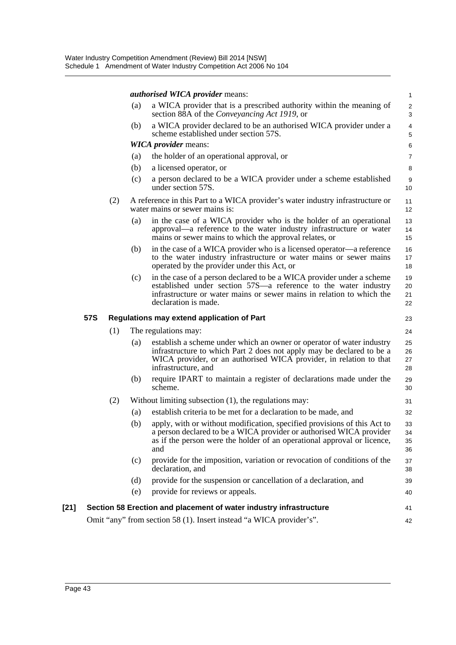|        |            |     |     | <i>authorised WICA provider means:</i>                                                                                                                                                                                                      | $\mathbf{1}$         |
|--------|------------|-----|-----|---------------------------------------------------------------------------------------------------------------------------------------------------------------------------------------------------------------------------------------------|----------------------|
|        |            |     | (a) | a WICA provider that is a prescribed authority within the meaning of<br>section 88A of the Conveyancing Act 1919, or                                                                                                                        | $\overline{c}$<br>3  |
|        |            |     | (b) | a WICA provider declared to be an authorised WICA provider under a<br>scheme established under section 57S.                                                                                                                                 | $\overline{4}$<br>5  |
|        |            |     |     | <b>WICA</b> <i>provider</i> means:                                                                                                                                                                                                          | 6                    |
|        |            |     | (a) | the holder of an operational approval, or                                                                                                                                                                                                   | 7                    |
|        |            |     | (b) | a licensed operator, or                                                                                                                                                                                                                     | 8                    |
|        |            |     | (c) | a person declared to be a WICA provider under a scheme established<br>under section 57S.                                                                                                                                                    | 9<br>10              |
|        |            | (2) |     | A reference in this Part to a WICA provider's water industry infrastructure or<br>water mains or sewer mains is:                                                                                                                            | 11<br>12             |
|        |            |     | (a) | in the case of a WICA provider who is the holder of an operational<br>approval—a reference to the water industry infrastructure or water<br>mains or sewer mains to which the approval relates, or                                          | 13<br>14<br>15       |
|        |            |     | (b) | in the case of a WICA provider who is a licensed operator—a reference<br>to the water industry infrastructure or water mains or sewer mains<br>operated by the provider under this Act, or                                                  | 16<br>17<br>18       |
|        |            |     | (c) | in the case of a person declared to be a WICA provider under a scheme<br>established under section 57S—a reference to the water industry<br>infrastructure or water mains or sewer mains in relation to which the<br>declaration is made.   | 19<br>20<br>21<br>22 |
|        |            |     |     |                                                                                                                                                                                                                                             |                      |
|        | <b>57S</b> |     |     | Regulations may extend application of Part                                                                                                                                                                                                  | 23                   |
|        |            | (1) |     | The regulations may:                                                                                                                                                                                                                        | 24                   |
|        |            |     | (a) | establish a scheme under which an owner or operator of water industry<br>infrastructure to which Part 2 does not apply may be declared to be a<br>WICA provider, or an authorised WICA provider, in relation to that<br>infrastructure, and | 25<br>26<br>27<br>28 |
|        |            |     | (b) | require IPART to maintain a register of declarations made under the<br>scheme.                                                                                                                                                              | 29<br>30             |
|        |            | (2) |     | Without limiting subsection $(1)$ , the regulations may:                                                                                                                                                                                    | 31                   |
|        |            |     | (a) | establish criteria to be met for a declaration to be made, and                                                                                                                                                                              | 32                   |
|        |            |     | (b) | apply, with or without modification, specified provisions of this Act to<br>a person declared to be a WICA provider or authorised WICA provider<br>as if the person were the holder of an operational approval or licence,<br>and           | 33<br>34<br>35<br>36 |
|        |            |     | (c) | provide for the imposition, variation or revocation of conditions of the<br>declaration, and                                                                                                                                                | 37<br>38             |
|        |            |     | (d) | provide for the suspension or cancellation of a declaration, and                                                                                                                                                                            | 39                   |
|        |            |     | (e) | provide for reviews or appeals.                                                                                                                                                                                                             | 40                   |
| $[21]$ |            |     |     | Section 58 Erection and placement of water industry infrastructure                                                                                                                                                                          | 41                   |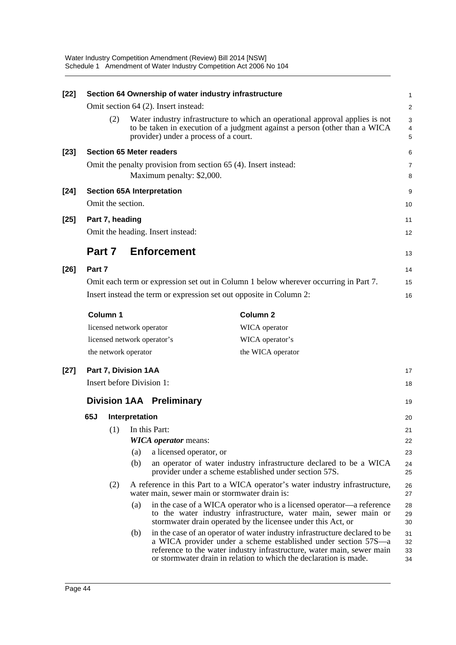| $[22]$ |        |                      |                | Section 64 Ownership of water industry infrastructure                                                                                                                                                                                                                                       | $\mathbf{1}$         |
|--------|--------|----------------------|----------------|---------------------------------------------------------------------------------------------------------------------------------------------------------------------------------------------------------------------------------------------------------------------------------------------|----------------------|
|        |        |                      |                | Omit section 64 (2). Insert instead:                                                                                                                                                                                                                                                        | 2                    |
|        |        | (2)                  |                | Water industry infrastructure to which an operational approval applies is not<br>to be taken in execution of a judgment against a person (other than a WICA<br>provider) under a process of a court.                                                                                        | 3<br>4<br>5          |
| $[23]$ |        |                      |                | <b>Section 65 Meter readers</b>                                                                                                                                                                                                                                                             | 6                    |
|        |        |                      |                | Omit the penalty provision from section 65 (4). Insert instead:<br>Maximum penalty: \$2,000.                                                                                                                                                                                                | $\overline{7}$<br>8  |
| $[24]$ |        |                      |                | <b>Section 65A Interpretation</b>                                                                                                                                                                                                                                                           | 9                    |
|        |        | Omit the section.    |                |                                                                                                                                                                                                                                                                                             | 10                   |
| $[25]$ |        | Part 7, heading      |                | Omit the heading. Insert instead:                                                                                                                                                                                                                                                           | 11<br>12             |
|        | Part 7 |                      |                | <b>Enforcement</b>                                                                                                                                                                                                                                                                          | 13                   |
| $[26]$ | Part 7 |                      |                |                                                                                                                                                                                                                                                                                             | 14                   |
|        |        |                      |                | Omit each term or expression set out in Column 1 below wherever occurring in Part 7.                                                                                                                                                                                                        | 15                   |
|        |        |                      |                | Insert instead the term or expression set out opposite in Column 2:                                                                                                                                                                                                                         | 16                   |
|        |        | Column 1             |                | <b>Column 2</b>                                                                                                                                                                                                                                                                             |                      |
|        |        |                      |                | licensed network operator<br>WICA operator                                                                                                                                                                                                                                                  |                      |
|        |        |                      |                | WICA operator's<br>licensed network operator's                                                                                                                                                                                                                                              |                      |
|        |        | the network operator |                | the WICA operator                                                                                                                                                                                                                                                                           |                      |
| $[27]$ |        | Part 7, Division 1AA |                |                                                                                                                                                                                                                                                                                             | 17                   |
|        |        |                      |                | Insert before Division 1:                                                                                                                                                                                                                                                                   | 18                   |
|        |        |                      |                | <b>Division 1AA Preliminary</b>                                                                                                                                                                                                                                                             | 19                   |
|        | 65J    |                      | Interpretation |                                                                                                                                                                                                                                                                                             | 20                   |
|        |        |                      |                | $(1)$ In this Part:                                                                                                                                                                                                                                                                         | 21                   |
|        |        |                      |                | <b>WICA</b> operator means:                                                                                                                                                                                                                                                                 | 22                   |
|        |        |                      | (a)<br>(b)     | a licensed operator, or<br>an operator of water industry infrastructure declared to be a WICA                                                                                                                                                                                               | 23<br>24             |
|        |        |                      |                | provider under a scheme established under section 57S.                                                                                                                                                                                                                                      | 25                   |
|        |        | (2)                  |                | A reference in this Part to a WICA operator's water industry infrastructure,<br>water main, sewer main or stormwater drain is:                                                                                                                                                              | 26<br>27             |
|        |        |                      | (a)            | in the case of a WICA operator who is a licensed operator—a reference<br>to the water industry infrastructure, water main, sewer main or<br>stormwater drain operated by the licensee under this Act, or                                                                                    | 28<br>29<br>30       |
|        |        |                      | (b)            | in the case of an operator of water industry infrastructure declared to be<br>a WICA provider under a scheme established under section 57S—a<br>reference to the water industry infrastructure, water main, sewer main<br>or stormwater drain in relation to which the declaration is made. | 31<br>32<br>33<br>34 |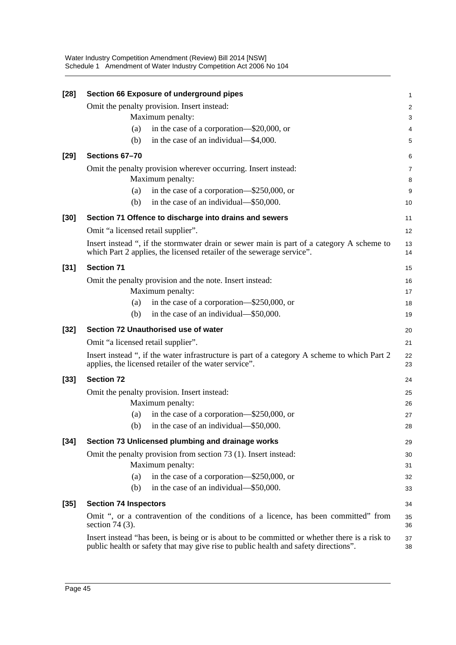| $[28]$ | Section 66 Exposure of underground pipes                                                                                                                           | $\mathbf{1}$   |
|--------|--------------------------------------------------------------------------------------------------------------------------------------------------------------------|----------------|
|        | Omit the penalty provision. Insert instead:                                                                                                                        | $\overline{c}$ |
|        | Maximum penalty:                                                                                                                                                   | 3              |
|        | in the case of a corporation—\$20,000, or<br>(a)                                                                                                                   | 4              |
|        | in the case of an individual—\$4,000.<br>(b)                                                                                                                       | 5              |
| $[29]$ | Sections 67-70                                                                                                                                                     | 6              |
|        | Omit the penalty provision wherever occurring. Insert instead:<br>Maximum penalty:                                                                                 | 7<br>8         |
|        | in the case of a corporation—\$250,000, or<br>(a)                                                                                                                  | 9              |
|        | in the case of an individual—\$50,000.<br>(b)                                                                                                                      | 10             |
| $[30]$ | Section 71 Offence to discharge into drains and sewers                                                                                                             | 11             |
|        | Omit "a licensed retail supplier".                                                                                                                                 | 12             |
|        | Insert instead ", if the stormwater drain or sewer main is part of a category A scheme to<br>which Part 2 applies, the licensed retailer of the sewerage service". | 13<br>14       |
| $[31]$ | <b>Section 71</b>                                                                                                                                                  | 15             |
|        | Omit the penalty provision and the note. Insert instead:                                                                                                           | 16             |
|        | Maximum penalty:                                                                                                                                                   | 17             |
|        | in the case of a corporation—\$250,000, or<br>(a)                                                                                                                  | 18             |
|        | in the case of an individual—\$50,000.<br>(b)                                                                                                                      | 19             |
|        |                                                                                                                                                                    |                |
| $[32]$ | Section 72 Unauthorised use of water                                                                                                                               | 20             |
|        | Omit "a licensed retail supplier".                                                                                                                                 | 21             |
|        | Insert instead ", if the water infrastructure is part of a category A scheme to which Part 2<br>applies, the licensed retailer of the water service".              | 22<br>23       |
| $[33]$ | <b>Section 72</b>                                                                                                                                                  | 24             |
|        | Omit the penalty provision. Insert instead:                                                                                                                        | 25             |
|        | Maximum penalty:                                                                                                                                                   | 26             |
|        | in the case of a corporation—\$250,000, or<br>(a)                                                                                                                  | 27             |
|        | in the case of an individual—\$50,000.<br>(b)                                                                                                                      | 28             |
| $[34]$ | Section 73 Unlicensed plumbing and drainage works                                                                                                                  | 29             |
|        | Omit the penalty provision from section 73 (1). Insert instead:                                                                                                    | 30             |
|        | Maximum penalty:                                                                                                                                                   | 31             |
|        | in the case of a corporation—\$250,000, or<br>(a)                                                                                                                  | 32             |
|        | in the case of an individual—\$50,000.<br>(b)                                                                                                                      | 33             |
| $[35]$ | <b>Section 74 Inspectors</b>                                                                                                                                       | 34             |
|        | Omit ", or a contravention of the conditions of a licence, has been committed" from<br>section 74 $(3)$ .                                                          | 35<br>36       |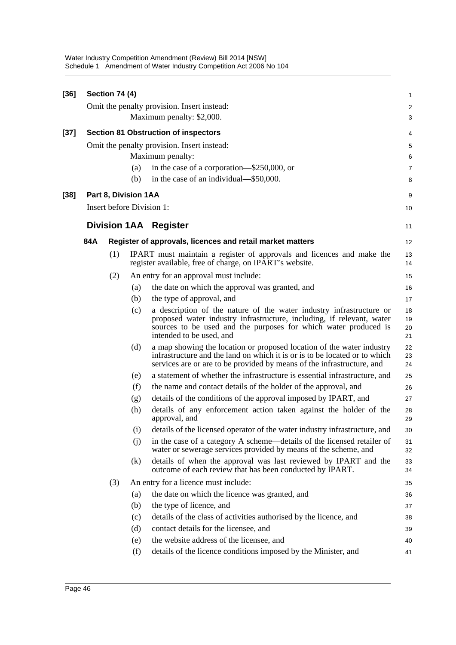| $[36]$ |     | Section 74 (4) |                      |                                                                                                                                                                                                                                             | 1                       |
|--------|-----|----------------|----------------------|---------------------------------------------------------------------------------------------------------------------------------------------------------------------------------------------------------------------------------------------|-------------------------|
|        |     |                |                      | Omit the penalty provision. Insert instead:                                                                                                                                                                                                 | $\overline{\mathbf{c}}$ |
|        |     |                |                      | Maximum penalty: \$2,000.                                                                                                                                                                                                                   | 3                       |
| [37]   |     |                |                      | <b>Section 81 Obstruction of inspectors</b>                                                                                                                                                                                                 | 4                       |
|        |     |                |                      | Omit the penalty provision. Insert instead:                                                                                                                                                                                                 | 5                       |
|        |     |                |                      | Maximum penalty:                                                                                                                                                                                                                            | 6                       |
|        |     |                | (a)                  | in the case of a corporation—\$250,000, or                                                                                                                                                                                                  | 7                       |
|        |     |                | (b)                  | in the case of an individual—\$50,000.                                                                                                                                                                                                      | 8                       |
| [38]   |     |                | Part 8, Division 1AA |                                                                                                                                                                                                                                             | 9                       |
|        |     |                |                      | Insert before Division 1:                                                                                                                                                                                                                   | 10                      |
|        |     |                |                      | <b>Division 1AA Register</b>                                                                                                                                                                                                                | 11                      |
|        | 84A |                |                      | Register of approvals, licences and retail market matters                                                                                                                                                                                   | 12                      |
|        |     | (1)            |                      | IPART must maintain a register of approvals and licences and make the<br>register available, free of charge, on IPART's website.                                                                                                            | 13<br>14                |
|        |     | (2)            |                      | An entry for an approval must include:                                                                                                                                                                                                      | 15                      |
|        |     |                | (a)                  | the date on which the approval was granted, and                                                                                                                                                                                             | 16                      |
|        |     |                | (b)                  | the type of approval, and                                                                                                                                                                                                                   | 17                      |
|        |     |                | (c)                  | a description of the nature of the water industry infrastructure or<br>proposed water industry infrastructure, including, if relevant, water<br>sources to be used and the purposes for which water produced is<br>intended to be used, and | 18<br>19<br>20<br>21    |
|        |     |                | (d)                  | a map showing the location or proposed location of the water industry<br>infrastructure and the land on which it is or is to be located or to which<br>services are or are to be provided by means of the infrastructure, and               | 22<br>23<br>24          |
|        |     |                | (e)                  | a statement of whether the infrastructure is essential infrastructure, and                                                                                                                                                                  | 25                      |
|        |     |                | (f)                  | the name and contact details of the holder of the approval, and                                                                                                                                                                             | 26                      |
|        |     |                | (g)                  | details of the conditions of the approval imposed by IPART, and                                                                                                                                                                             | 27                      |
|        |     |                | (h)                  | details of any enforcement action taken against the holder of the<br>approval, and                                                                                                                                                          | 28<br>29                |
|        |     |                | (i)                  | details of the licensed operator of the water industry infrastructure, and                                                                                                                                                                  | 30                      |
|        |     |                | (i)                  | in the case of a category A scheme—details of the licensed retailer of<br>water or sewerage services provided by means of the scheme, and                                                                                                   | 31<br>32                |
|        |     |                | (k)                  | details of when the approval was last reviewed by IPART and the<br>outcome of each review that has been conducted by IPART.                                                                                                                 | 33<br>34                |
|        |     | (3)            |                      | An entry for a licence must include:                                                                                                                                                                                                        | 35                      |
|        |     |                | (a)                  | the date on which the licence was granted, and                                                                                                                                                                                              | 36                      |
|        |     |                | (b)                  | the type of licence, and                                                                                                                                                                                                                    | 37                      |
|        |     |                | (c)                  | details of the class of activities authorised by the licence, and                                                                                                                                                                           | 38                      |
|        |     |                | (d)                  | contact details for the licensee, and                                                                                                                                                                                                       | 39                      |
|        |     |                | (e)                  | the website address of the licensee, and                                                                                                                                                                                                    | 40                      |
|        |     |                | (f)                  | details of the licence conditions imposed by the Minister, and                                                                                                                                                                              | 41                      |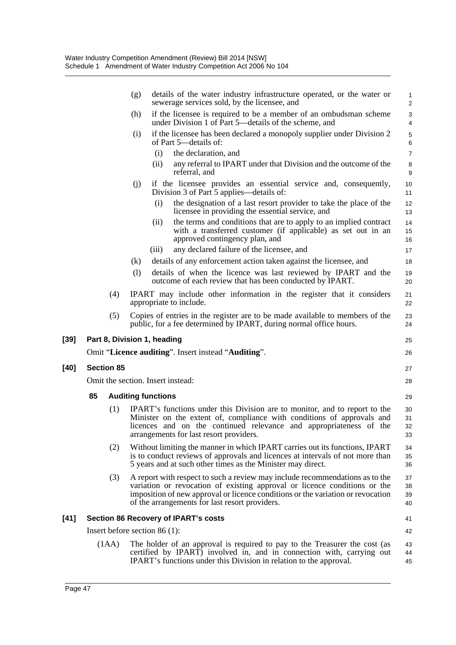|        |                   |       | (g)<br>sewerage services sold, by the licensee, and                | details of the water industry infrastructure operated, or the water or                                                                                                                                                                       | 1<br>$\overline{c}$  |
|--------|-------------------|-------|--------------------------------------------------------------------|----------------------------------------------------------------------------------------------------------------------------------------------------------------------------------------------------------------------------------------------|----------------------|
|        |                   |       | (h)<br>under Division 1 of Part 5—details of the scheme, and       | if the licensee is required to be a member of an ombudsman scheme                                                                                                                                                                            | 3<br>4               |
|        |                   |       | (i)<br>of Part 5—details of:                                       | if the licensee has been declared a monopoly supplier under Division 2                                                                                                                                                                       | 5<br>6               |
|        |                   |       | the declaration, and<br>(i)                                        |                                                                                                                                                                                                                                              | $\overline{7}$       |
|        |                   |       | (ii)<br>referral, and                                              | any referral to IPART under that Division and the outcome of the                                                                                                                                                                             | 8<br>9               |
|        |                   |       | (j)<br>Division 3 of Part 5 applies—details of:                    | if the licensee provides an essential service and, consequently,                                                                                                                                                                             | 10<br>11             |
|        |                   |       | (i)                                                                | the designation of a last resort provider to take the place of the<br>licensee in providing the essential service, and                                                                                                                       | 12<br>13             |
|        |                   |       | (i)<br>approved contingency plan, and                              | the terms and conditions that are to apply to an implied contract<br>with a transferred customer (if applicable) as set out in an                                                                                                            | 14<br>15<br>16       |
|        |                   |       | any declared failure of the licensee, and<br>(111)                 |                                                                                                                                                                                                                                              | 17                   |
|        |                   |       | (k)                                                                | details of any enforcement action taken against the licensee, and                                                                                                                                                                            | 18                   |
|        |                   |       | (1)                                                                | details of when the licence was last reviewed by IPART and the<br>outcome of each review that has been conducted by IPART.                                                                                                                   | 19<br>20             |
|        |                   | (4)   | appropriate to include.                                            | IPART may include other information in the register that it considers                                                                                                                                                                        | 21<br>22             |
|        |                   | (5)   | public, for a fee determined by IPART, during normal office hours. | Copies of entries in the register are to be made available to members of the                                                                                                                                                                 | 23<br>24             |
| $[39]$ |                   |       | Part 8, Division 1, heading                                        |                                                                                                                                                                                                                                              | 25                   |
|        |                   |       | Omit "Licence auditing". Insert instead "Auditing".                |                                                                                                                                                                                                                                              | 26                   |
| $[40]$ | <b>Section 85</b> |       |                                                                    |                                                                                                                                                                                                                                              | 27                   |
|        |                   |       | Omit the section. Insert instead:                                  |                                                                                                                                                                                                                                              | 28                   |
|        | 85                |       | <b>Auditing functions</b>                                          |                                                                                                                                                                                                                                              | 29                   |
|        |                   | (1)   | arrangements for last resort providers.                            | IPART's functions under this Division are to monitor, and to report to the<br>Minister on the extent of, compliance with conditions of approvals and<br>licences and on the continued relevance and appropriateness of the                   | 30<br>31<br>32<br>33 |
|        |                   | (2)   | 5 years and at such other times as the Minister may direct.        | Without limiting the manner in which IPART carries out its functions, IPART<br>is to conduct reviews of approvals and licences at intervals of not more than                                                                                 | 34<br>35<br>36       |
|        |                   | (3)   | of the arrangements for last resort providers.                     | A report with respect to such a review may include recommendations as to the<br>variation or revocation of existing approval or licence conditions or the<br>imposition of new approval or licence conditions or the variation or revocation | 37<br>38<br>39<br>40 |
| $[41]$ |                   |       | <b>Section 86 Recovery of IPART's costs</b>                        |                                                                                                                                                                                                                                              | 41                   |
|        |                   |       | Insert before section $86(1)$ :                                    |                                                                                                                                                                                                                                              | 42                   |
|        |                   | (1AA) | IPART's functions under this Division in relation to the approval. | The holder of an approval is required to pay to the Treasurer the cost (as<br>certified by IPART) involved in, and in connection with, carrying out                                                                                          | 43<br>44<br>45       |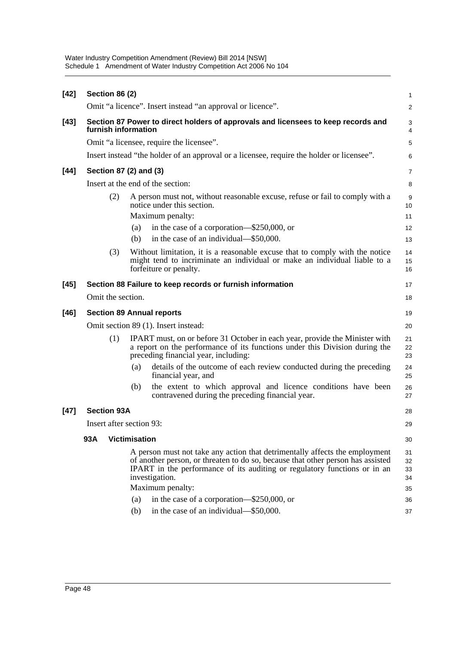| $[42]$ | <b>Section 86 (2)</b> |                                                                                                                                                                                                                                                               | 1                         |
|--------|-----------------------|---------------------------------------------------------------------------------------------------------------------------------------------------------------------------------------------------------------------------------------------------------------|---------------------------|
|        |                       | Omit "a licence". Insert instead "an approval or licence".                                                                                                                                                                                                    | 2                         |
| $[43]$ |                       | Section 87 Power to direct holders of approvals and licensees to keep records and<br>furnish information                                                                                                                                                      | 3<br>4                    |
|        |                       | Omit "a licensee, require the licensee".                                                                                                                                                                                                                      | 5                         |
|        |                       | Insert instead "the holder of an approval or a licensee, require the holder or licensee".                                                                                                                                                                     | 6                         |
| $[44]$ |                       | Section 87 (2) and (3)                                                                                                                                                                                                                                        | $\overline{7}$            |
|        |                       | Insert at the end of the section:                                                                                                                                                                                                                             | 8                         |
|        | (2)                   | A person must not, without reasonable excuse, refuse or fail to comply with a<br>notice under this section.<br>Maximum penalty:<br>in the case of a corporation—\$250,000, or<br>(a)<br>in the case of an individual—\$50,000.<br>(b)                         | 9<br>10<br>11<br>12<br>13 |
|        | (3)                   | Without limitation, it is a reasonable excuse that to comply with the notice<br>might tend to incriminate an individual or make an individual liable to a<br>forfeiture or penalty.                                                                           | 14<br>15<br>16            |
| $[45]$ |                       | Section 88 Failure to keep records or furnish information                                                                                                                                                                                                     | 17                        |
|        | Omit the section.     |                                                                                                                                                                                                                                                               | 18                        |
| $[46]$ |                       | <b>Section 89 Annual reports</b>                                                                                                                                                                                                                              | 19                        |
|        |                       | Omit section 89 (1). Insert instead:                                                                                                                                                                                                                          | 20                        |
|        | (1)                   | IPART must, on or before 31 October in each year, provide the Minister with<br>a report on the performance of its functions under this Division during the<br>preceding financial year, including:                                                            | 21<br>22<br>23            |
|        |                       | details of the outcome of each review conducted during the preceding<br>(a)<br>financial year, and                                                                                                                                                            | 24<br>25                  |
|        |                       | the extent to which approval and licence conditions have been<br>(b)<br>contravened during the preceding financial year.                                                                                                                                      | 26<br>27                  |
| $[47]$ | <b>Section 93A</b>    |                                                                                                                                                                                                                                                               | 28                        |
|        |                       | Insert after section 93:                                                                                                                                                                                                                                      | 29                        |
|        | 93A                   | <b>Victimisation</b>                                                                                                                                                                                                                                          | 30                        |
|        |                       | A person must not take any action that detrimentally affects the employment<br>of another person, or threaten to do so, because that other person has assisted<br>IPART in the performance of its auditing or regulatory functions or in an<br>investigation. | 31<br>32<br>33<br>34      |
|        |                       | Maximum penalty:                                                                                                                                                                                                                                              | 35                        |
|        |                       | in the case of a corporation—\$250,000, or<br>(a)<br>in the case of an individual—\$50,000.<br>(b)                                                                                                                                                            | 36                        |
|        |                       |                                                                                                                                                                                                                                                               | 37                        |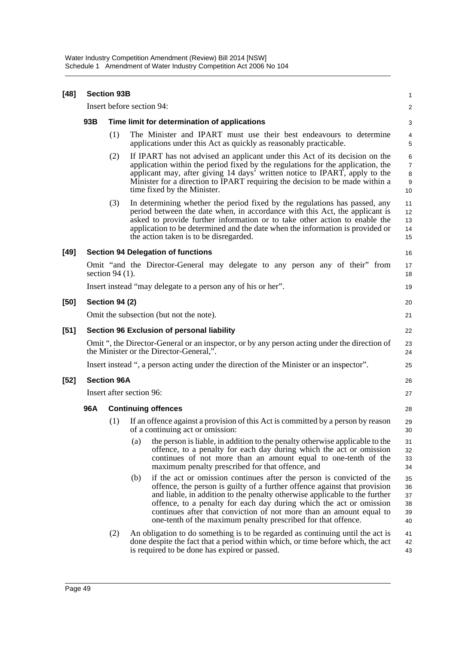| $[48]$ | <b>Section 93B</b>             |                                              |                                                                                                                                                                                                                                                                                                                                                                                                                                                        |                                     |  |  |  |  |
|--------|--------------------------------|----------------------------------------------|--------------------------------------------------------------------------------------------------------------------------------------------------------------------------------------------------------------------------------------------------------------------------------------------------------------------------------------------------------------------------------------------------------------------------------------------------------|-------------------------------------|--|--|--|--|
|        |                                | Insert before section 94:                    |                                                                                                                                                                                                                                                                                                                                                                                                                                                        |                                     |  |  |  |  |
|        | 93B                            | Time limit for determination of applications |                                                                                                                                                                                                                                                                                                                                                                                                                                                        |                                     |  |  |  |  |
|        |                                | (1)                                          | The Minister and IPART must use their best endeavours to determine<br>applications under this Act as quickly as reasonably practicable.                                                                                                                                                                                                                                                                                                                | 4<br>$\mathbf 5$                    |  |  |  |  |
|        |                                | (2)                                          | If IPART has not advised an applicant under this Act of its decision on the<br>application within the period fixed by the regulations for the application, the<br>applicant may, after giving 14 days' written notice to IPART, apply to the<br>Minister for a direction to IPART requiring the decision to be made within a<br>time fixed by the Minister.                                                                                            | 6<br>$\overline{7}$<br>8<br>9<br>10 |  |  |  |  |
|        |                                | (3)                                          | In determining whether the period fixed by the regulations has passed, any<br>period between the date when, in accordance with this Act, the applicant is<br>asked to provide further information or to take other action to enable the<br>application to be determined and the date when the information is provided or<br>the action taken is to be disregarded.                                                                                     | 11<br>12<br>13<br>14<br>15          |  |  |  |  |
| [49]   |                                |                                              | <b>Section 94 Delegation of functions</b>                                                                                                                                                                                                                                                                                                                                                                                                              | 16                                  |  |  |  |  |
|        |                                | section 94 $(1)$ .                           | Omit "and the Director-General may delegate to any person any of their" from                                                                                                                                                                                                                                                                                                                                                                           | 17<br>18                            |  |  |  |  |
|        |                                |                                              | Insert instead "may delegate to a person any of his or her".                                                                                                                                                                                                                                                                                                                                                                                           | 19                                  |  |  |  |  |
| [50]   |                                | <b>Section 94 (2)</b>                        |                                                                                                                                                                                                                                                                                                                                                                                                                                                        | 20                                  |  |  |  |  |
|        |                                |                                              | Omit the subsection (but not the note).                                                                                                                                                                                                                                                                                                                                                                                                                | 21                                  |  |  |  |  |
| $[51]$ |                                |                                              | Section 96 Exclusion of personal liability                                                                                                                                                                                                                                                                                                                                                                                                             | 22                                  |  |  |  |  |
|        |                                |                                              | Omit ", the Director-General or an inspector, or by any person acting under the direction of<br>the Minister or the Director-General,".                                                                                                                                                                                                                                                                                                                | 23<br>24                            |  |  |  |  |
|        |                                |                                              | Insert instead ", a person acting under the direction of the Minister or an inspector".                                                                                                                                                                                                                                                                                                                                                                | 25                                  |  |  |  |  |
| [52]   | <b>Section 96A</b>             |                                              |                                                                                                                                                                                                                                                                                                                                                                                                                                                        |                                     |  |  |  |  |
|        | Insert after section 96:<br>27 |                                              |                                                                                                                                                                                                                                                                                                                                                                                                                                                        |                                     |  |  |  |  |
|        | 96A                            |                                              | <b>Continuing offences</b>                                                                                                                                                                                                                                                                                                                                                                                                                             | 28                                  |  |  |  |  |
|        |                                | (1)                                          | If an offence against a provision of this Act is committed by a person by reason<br>of a continuing act or omission:                                                                                                                                                                                                                                                                                                                                   | 29<br>30                            |  |  |  |  |
|        |                                |                                              | the person is liable, in addition to the penalty otherwise applicable to the<br>(a)<br>offence, to a penalty for each day during which the act or omission<br>continues of not more than an amount equal to one-tenth of the<br>maximum penalty prescribed for that offence, and                                                                                                                                                                       | 31<br>32<br>33<br>34                |  |  |  |  |
|        |                                |                                              | if the act or omission continues after the person is convicted of the<br>(b)<br>offence, the person is guilty of a further offence against that provision<br>and liable, in addition to the penalty otherwise applicable to the further<br>offence, to a penalty for each day during which the act or omission<br>continues after that conviction of not more than an amount equal to<br>one-tenth of the maximum penalty prescribed for that offence. | 35<br>36<br>37<br>38<br>39<br>40    |  |  |  |  |
|        |                                | (2)                                          | An obligation to do something is to be regarded as continuing until the act is<br>done despite the fact that a period within which, or time before which, the act<br>is required to be done has expired or passed.                                                                                                                                                                                                                                     | 41<br>42<br>43                      |  |  |  |  |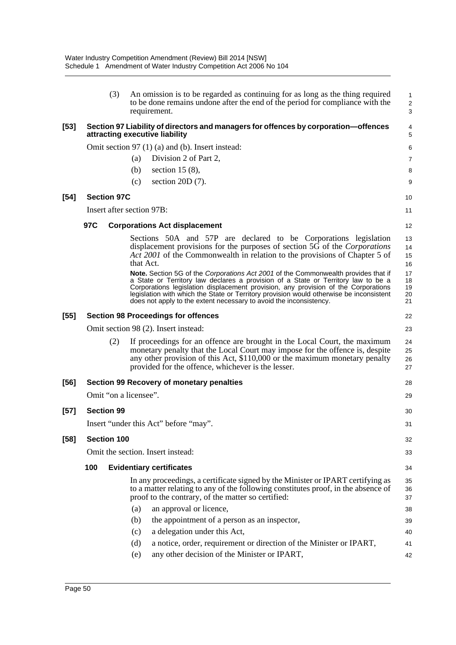|        | (3)                                        | An omission is to be regarded as continuing for as long as the thing required<br>to be done remains undone after the end of the period for compliance with the<br>requirement.                                                                                                                                                                                                                                                 | 1<br>$\overline{\mathbf{c}}$<br>3 |  |  |
|--------|--------------------------------------------|--------------------------------------------------------------------------------------------------------------------------------------------------------------------------------------------------------------------------------------------------------------------------------------------------------------------------------------------------------------------------------------------------------------------------------|-----------------------------------|--|--|
| [53]   |                                            | Section 97 Liability of directors and managers for offences by corporation-offences<br>attracting executive liability                                                                                                                                                                                                                                                                                                          | 4<br>5                            |  |  |
|        |                                            | Omit section 97 (1) (a) and (b). Insert instead:                                                                                                                                                                                                                                                                                                                                                                               | 6                                 |  |  |
|        |                                            | Division 2 of Part 2,<br>(a)                                                                                                                                                                                                                                                                                                                                                                                                   | 7                                 |  |  |
|        |                                            | section 15 $(8)$ ,<br>(b)                                                                                                                                                                                                                                                                                                                                                                                                      | 8                                 |  |  |
|        |                                            | section $20D(7)$ .<br>(c)                                                                                                                                                                                                                                                                                                                                                                                                      | 9                                 |  |  |
| [54]   | <b>Section 97C</b>                         |                                                                                                                                                                                                                                                                                                                                                                                                                                | 10                                |  |  |
|        |                                            | Insert after section 97B:                                                                                                                                                                                                                                                                                                                                                                                                      | 11                                |  |  |
|        | 97C                                        | <b>Corporations Act displacement</b>                                                                                                                                                                                                                                                                                                                                                                                           |                                   |  |  |
|        |                                            | Sections 50A and 57P are declared to be Corporations legislation<br>displacement provisions for the purposes of section 5G of the Corporations<br>Act 2001 of the Commonwealth in relation to the provisions of Chapter 5 of<br>that Act.                                                                                                                                                                                      | 12<br>13<br>14<br>15<br>16        |  |  |
|        |                                            | Note. Section 5G of the Corporations Act 2001 of the Commonwealth provides that if<br>a State or Territory law declares a provision of a State or Territory law to be a<br>Corporations legislation displacement provision, any provision of the Corporations<br>legislation with which the State or Territory provision would otherwise be inconsistent<br>does not apply to the extent necessary to avoid the inconsistency. | 17<br>18<br>19<br>20<br>21        |  |  |
| [55]   | <b>Section 98 Proceedings for offences</b> |                                                                                                                                                                                                                                                                                                                                                                                                                                |                                   |  |  |
|        |                                            | Omit section 98 (2). Insert instead:                                                                                                                                                                                                                                                                                                                                                                                           | 23                                |  |  |
|        | (2)                                        | If proceedings for an offence are brought in the Local Court, the maximum<br>monetary penalty that the Local Court may impose for the offence is, despite<br>any other provision of this Act, \$110,000 or the maximum monetary penalty<br>provided for the offence, whichever is the lesser.                                                                                                                                  | 24<br>25<br>26<br>27              |  |  |
| [56]   |                                            | Section 99 Recovery of monetary penalties                                                                                                                                                                                                                                                                                                                                                                                      | 28                                |  |  |
|        | Omit "on a licensee".                      |                                                                                                                                                                                                                                                                                                                                                                                                                                | 29                                |  |  |
| [57]   | <b>Section 99</b>                          |                                                                                                                                                                                                                                                                                                                                                                                                                                | 30                                |  |  |
|        |                                            |                                                                                                                                                                                                                                                                                                                                                                                                                                |                                   |  |  |
|        |                                            | Insert "under this Act" before "may".                                                                                                                                                                                                                                                                                                                                                                                          | 31                                |  |  |
| $[58]$ | Section 100                                |                                                                                                                                                                                                                                                                                                                                                                                                                                | 32                                |  |  |
|        |                                            | Omit the section. Insert instead:                                                                                                                                                                                                                                                                                                                                                                                              | 33                                |  |  |
|        | 100                                        | <b>Evidentiary certificates</b>                                                                                                                                                                                                                                                                                                                                                                                                | 34                                |  |  |
|        |                                            | In any proceedings, a certificate signed by the Minister or IPART certifying as<br>to a matter relating to any of the following constitutes proof, in the absence of<br>proof to the contrary, of the matter so certified:                                                                                                                                                                                                     | 35<br>36<br>37                    |  |  |
|        |                                            | an approval or licence,<br>(a)                                                                                                                                                                                                                                                                                                                                                                                                 | 38                                |  |  |
|        |                                            | the appointment of a person as an inspector,<br>(b)                                                                                                                                                                                                                                                                                                                                                                            | 39                                |  |  |
|        |                                            | a delegation under this Act,<br>(c)                                                                                                                                                                                                                                                                                                                                                                                            | 40                                |  |  |
|        |                                            | a notice, order, requirement or direction of the Minister or IPART,<br>(d)                                                                                                                                                                                                                                                                                                                                                     | 41                                |  |  |
|        |                                            | any other decision of the Minister or IPART,<br>(e)                                                                                                                                                                                                                                                                                                                                                                            | 42                                |  |  |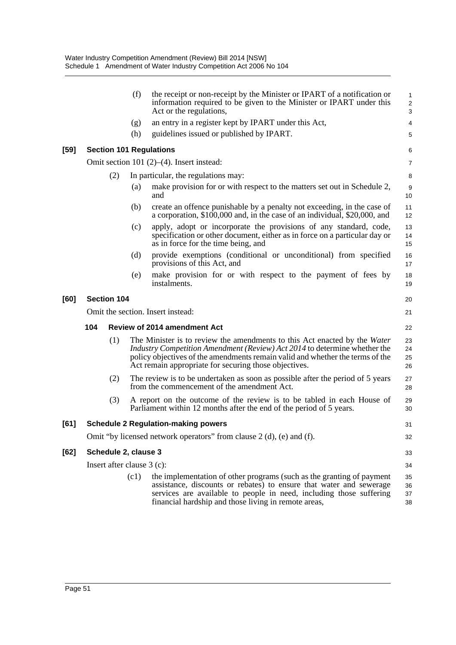|                                          |                                                                      |                                     | (f)                                                                                                                                                                                                                                                                                              | the receipt or non-receipt by the Minister or IPART of a notification or<br>information required to be given to the Minister or IPART under this<br>Act or the regulations,                                                                                                 | $\mathbf{1}$<br>$\overline{2}$<br>$\mathsf 3$ |  |  |
|------------------------------------------|----------------------------------------------------------------------|-------------------------------------|--------------------------------------------------------------------------------------------------------------------------------------------------------------------------------------------------------------------------------------------------------------------------------------------------|-----------------------------------------------------------------------------------------------------------------------------------------------------------------------------------------------------------------------------------------------------------------------------|-----------------------------------------------|--|--|
|                                          |                                                                      |                                     | (g)                                                                                                                                                                                                                                                                                              | an entry in a register kept by IPART under this Act,                                                                                                                                                                                                                        | 4                                             |  |  |
|                                          |                                                                      |                                     | (h)                                                                                                                                                                                                                                                                                              | guidelines issued or published by IPART.                                                                                                                                                                                                                                    | 5                                             |  |  |
| <b>Section 101 Regulations</b><br>$[59]$ |                                                                      |                                     |                                                                                                                                                                                                                                                                                                  |                                                                                                                                                                                                                                                                             | 6                                             |  |  |
|                                          |                                                                      |                                     |                                                                                                                                                                                                                                                                                                  | Omit section 101 $(2)$ – $(4)$ . Insert instead:                                                                                                                                                                                                                            | 7                                             |  |  |
|                                          |                                                                      | (2)                                 |                                                                                                                                                                                                                                                                                                  | In particular, the regulations may:                                                                                                                                                                                                                                         | 8                                             |  |  |
| (a)<br>and                               |                                                                      |                                     |                                                                                                                                                                                                                                                                                                  | make provision for or with respect to the matters set out in Schedule 2,                                                                                                                                                                                                    | $9\,$<br>10                                   |  |  |
|                                          |                                                                      |                                     | (b)                                                                                                                                                                                                                                                                                              | create an offence punishable by a penalty not exceeding, in the case of<br>a corporation, \$100,000 and, in the case of an individual, \$20,000, and                                                                                                                        | 11<br>12                                      |  |  |
|                                          |                                                                      |                                     | (c)                                                                                                                                                                                                                                                                                              | apply, adopt or incorporate the provisions of any standard, code,<br>specification or other document, either as in force on a particular day or<br>as in force for the time being, and                                                                                      | 13<br>14<br>15                                |  |  |
|                                          |                                                                      |                                     | (d)                                                                                                                                                                                                                                                                                              | provide exemptions (conditional or unconditional) from specified<br>provisions of this Act, and                                                                                                                                                                             | 16<br>17                                      |  |  |
|                                          |                                                                      |                                     | (e)                                                                                                                                                                                                                                                                                              | make provision for or with respect to the payment of fees by<br>instalments.                                                                                                                                                                                                | 18<br>19                                      |  |  |
| <b>Section 104</b><br>[60]               |                                                                      |                                     |                                                                                                                                                                                                                                                                                                  | 20                                                                                                                                                                                                                                                                          |                                               |  |  |
|                                          | Omit the section. Insert instead:                                    |                                     |                                                                                                                                                                                                                                                                                                  |                                                                                                                                                                                                                                                                             |                                               |  |  |
|                                          | 104                                                                  | <b>Review of 2014 amendment Act</b> |                                                                                                                                                                                                                                                                                                  |                                                                                                                                                                                                                                                                             |                                               |  |  |
|                                          |                                                                      | (1)                                 | The Minister is to review the amendments to this Act enacted by the Water<br>Industry Competition Amendment (Review) Act 2014 to determine whether the<br>policy objectives of the amendments remain valid and whether the terms of the<br>Act remain appropriate for securing those objectives. |                                                                                                                                                                                                                                                                             |                                               |  |  |
|                                          |                                                                      | (2)                                 |                                                                                                                                                                                                                                                                                                  | The review is to be undertaken as soon as possible after the period of 5 years<br>from the commencement of the amendment Act.                                                                                                                                               | 27<br>28                                      |  |  |
|                                          |                                                                      | (3)                                 |                                                                                                                                                                                                                                                                                                  | A report on the outcome of the review is to be tabled in each House of<br>Parliament within 12 months after the end of the period of 5 years.                                                                                                                               | 29<br>30                                      |  |  |
| [61]                                     |                                                                      |                                     |                                                                                                                                                                                                                                                                                                  | <b>Schedule 2 Regulation-making powers</b>                                                                                                                                                                                                                                  | 31                                            |  |  |
|                                          | Omit "by licensed network operators" from clause 2 (d), (e) and (f). |                                     |                                                                                                                                                                                                                                                                                                  |                                                                                                                                                                                                                                                                             |                                               |  |  |
| $[62]$                                   |                                                                      |                                     | Schedule 2, clause 3                                                                                                                                                                                                                                                                             |                                                                                                                                                                                                                                                                             | 33                                            |  |  |
|                                          |                                                                      | Insert after clause $3$ (c):        |                                                                                                                                                                                                                                                                                                  |                                                                                                                                                                                                                                                                             |                                               |  |  |
|                                          |                                                                      |                                     | (c1)                                                                                                                                                                                                                                                                                             | the implementation of other programs (such as the granting of payment<br>assistance, discounts or rebates) to ensure that water and sewerage<br>services are available to people in need, including those suffering<br>financial hardship and those living in remote areas, | 35<br>36<br>37<br>38                          |  |  |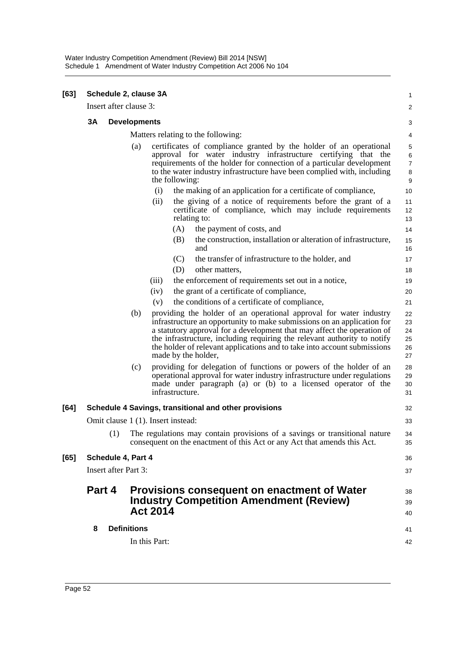| [63] | Schedule 2, clause 3A                                       |                                    |                                                                                                                                                                                                                                                                                                            |                                                                                                                                                                                                                                                                                                                                                                                                         |                                  |  |  |
|------|-------------------------------------------------------------|------------------------------------|------------------------------------------------------------------------------------------------------------------------------------------------------------------------------------------------------------------------------------------------------------------------------------------------------------|---------------------------------------------------------------------------------------------------------------------------------------------------------------------------------------------------------------------------------------------------------------------------------------------------------------------------------------------------------------------------------------------------------|----------------------------------|--|--|
|      | Insert after clause 3:                                      |                                    |                                                                                                                                                                                                                                                                                                            |                                                                                                                                                                                                                                                                                                                                                                                                         |                                  |  |  |
|      | 3A                                                          |                                    | <b>Developments</b>                                                                                                                                                                                                                                                                                        |                                                                                                                                                                                                                                                                                                                                                                                                         |                                  |  |  |
|      |                                                             | Matters relating to the following: |                                                                                                                                                                                                                                                                                                            |                                                                                                                                                                                                                                                                                                                                                                                                         |                                  |  |  |
|      |                                                             | (a)                                | certificates of compliance granted by the holder of an operational<br>approval for water industry infrastructure certifying that the<br>requirements of the holder for connection of a particular development<br>to the water industry infrastructure have been complied with, including<br>the following: |                                                                                                                                                                                                                                                                                                                                                                                                         |                                  |  |  |
|      |                                                             |                                    | (i)                                                                                                                                                                                                                                                                                                        | the making of an application for a certificate of compliance,                                                                                                                                                                                                                                                                                                                                           | 10                               |  |  |
|      |                                                             |                                    | (ii)                                                                                                                                                                                                                                                                                                       | the giving of a notice of requirements before the grant of a<br>certificate of compliance, which may include requirements<br>relating to:                                                                                                                                                                                                                                                               | 11<br>12<br>13                   |  |  |
|      |                                                             |                                    |                                                                                                                                                                                                                                                                                                            | (A)<br>the payment of costs, and                                                                                                                                                                                                                                                                                                                                                                        | 14                               |  |  |
|      |                                                             |                                    |                                                                                                                                                                                                                                                                                                            | (B)<br>the construction, installation or alteration of infrastructure,<br>and                                                                                                                                                                                                                                                                                                                           | 15<br>16                         |  |  |
|      |                                                             |                                    |                                                                                                                                                                                                                                                                                                            | (C)<br>the transfer of infrastructure to the holder, and                                                                                                                                                                                                                                                                                                                                                | 17                               |  |  |
|      |                                                             |                                    |                                                                                                                                                                                                                                                                                                            | (D)<br>other matters.                                                                                                                                                                                                                                                                                                                                                                                   | 18                               |  |  |
|      |                                                             |                                    | (iii)                                                                                                                                                                                                                                                                                                      | the enforcement of requirements set out in a notice,                                                                                                                                                                                                                                                                                                                                                    | 19                               |  |  |
|      |                                                             |                                    | (iv)                                                                                                                                                                                                                                                                                                       | the grant of a certificate of compliance,                                                                                                                                                                                                                                                                                                                                                               | 20                               |  |  |
|      |                                                             |                                    | (v)                                                                                                                                                                                                                                                                                                        | the conditions of a certificate of compliance,                                                                                                                                                                                                                                                                                                                                                          | 21                               |  |  |
|      |                                                             | (b)                                |                                                                                                                                                                                                                                                                                                            | providing the holder of an operational approval for water industry<br>infrastructure an opportunity to make submissions on an application for<br>a statutory approval for a development that may affect the operation of<br>the infrastructure, including requiring the relevant authority to notify<br>the holder of relevant applications and to take into account submissions<br>made by the holder, | 22<br>23<br>24<br>25<br>26<br>27 |  |  |
|      |                                                             | (c)                                | infrastructure.                                                                                                                                                                                                                                                                                            | providing for delegation of functions or powers of the holder of an<br>operational approval for water industry infrastructure under regulations<br>made under paragraph (a) or (b) to a licensed operator of the                                                                                                                                                                                        | 28<br>29<br>30<br>31             |  |  |
| [64] | Schedule 4 Savings, transitional and other provisions<br>32 |                                    |                                                                                                                                                                                                                                                                                                            |                                                                                                                                                                                                                                                                                                                                                                                                         |                                  |  |  |
|      | Omit clause 1 (1). Insert instead:                          |                                    |                                                                                                                                                                                                                                                                                                            |                                                                                                                                                                                                                                                                                                                                                                                                         |                                  |  |  |
|      | (1)                                                         |                                    |                                                                                                                                                                                                                                                                                                            | The regulations may contain provisions of a savings or transitional nature<br>consequent on the enactment of this Act or any Act that amends this Act.                                                                                                                                                                                                                                                  | 34<br>35                         |  |  |
| [65] | Schedule 4, Part 4                                          |                                    |                                                                                                                                                                                                                                                                                                            |                                                                                                                                                                                                                                                                                                                                                                                                         |                                  |  |  |
|      | <b>Insert after Part 3:</b>                                 |                                    |                                                                                                                                                                                                                                                                                                            |                                                                                                                                                                                                                                                                                                                                                                                                         |                                  |  |  |
|      | Part 4                                                      |                                    | <b>Act 2014</b>                                                                                                                                                                                                                                                                                            | Provisions consequent on enactment of Water<br><b>Industry Competition Amendment (Review)</b>                                                                                                                                                                                                                                                                                                           |                                  |  |  |
|      | 8                                                           |                                    | <b>Definitions</b>                                                                                                                                                                                                                                                                                         |                                                                                                                                                                                                                                                                                                                                                                                                         |                                  |  |  |
|      |                                                             |                                    | In this Part:                                                                                                                                                                                                                                                                                              |                                                                                                                                                                                                                                                                                                                                                                                                         | 41<br>42                         |  |  |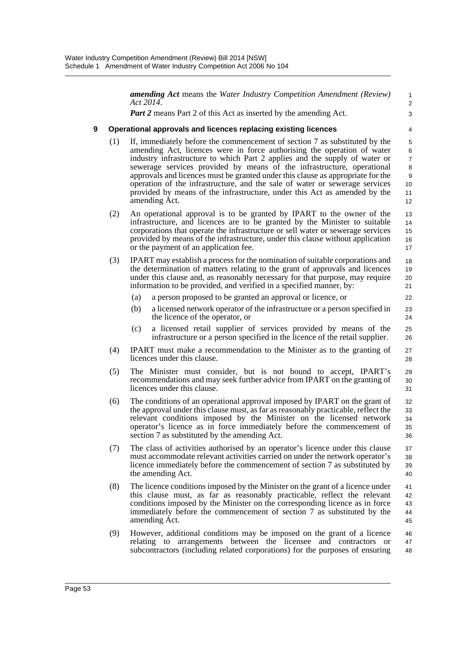*amending Act* means the *Water Industry Competition Amendment (Review) Act 2014*. *Part 2* means Part 2 of this Act as inserted by the amending Act. **9 Operational approvals and licences replacing existing licences** (1) If, immediately before the commencement of section 7 as substituted by the amending Act, licences were in force authorising the operation of water industry infrastructure to which Part 2 applies and the supply of water or sewerage services provided by means of the infrastructure, operational approvals and licences must be granted under this clause as appropriate for the operation of the infrastructure, and the sale of water or sewerage services provided by means of the infrastructure, under this Act as amended by the amending Act. (2) An operational approval is to be granted by IPART to the owner of the infrastructure, and licences are to be granted by the Minister to suitable corporations that operate the infrastructure or sell water or sewerage services provided by means of the infrastructure, under this clause without application or the payment of an application fee. (3) IPART may establish a process for the nomination of suitable corporations and the determination of matters relating to the grant of approvals and licences under this clause and, as reasonably necessary for that purpose, may require information to be provided, and verified in a specified manner, by: (a) a person proposed to be granted an approval or licence, or (b) a licensed network operator of the infrastructure or a person specified in the licence of the operator, or (c) a licensed retail supplier of services provided by means of the infrastructure or a person specified in the licence of the retail supplier. (4) IPART must make a recommendation to the Minister as to the granting of licences under this clause. (5) The Minister must consider, but is not bound to accept, IPART's recommendations and may seek further advice from IPART on the granting of licences under this clause. (6) The conditions of an operational approval imposed by IPART on the grant of the approval under this clause must, as far as reasonably practicable, reflect the relevant conditions imposed by the Minister on the licensed network operator's licence as in force immediately before the commencement of section 7 as substituted by the amending Act. (7) The class of activities authorised by an operator's licence under this clause must accommodate relevant activities carried on under the network operator's licence immediately before the commencement of section 7 as substituted by the amending Act. (8) The licence conditions imposed by the Minister on the grant of a licence under this clause must, as far as reasonably practicable, reflect the relevant conditions imposed by the Minister on the corresponding licence as in force immediately before the commencement of section 7 as substituted by the amending Act. (9) However, additional conditions may be imposed on the grant of a licence relating to arrangements between the licensee and contractors or subcontractors (including related corporations) for the purposes of ensuring 1  $\mathfrak{p}$ 3 4 5 6 7 8 9 10 11 12 13 14 15 16 17 18 19 20 21  $22$ 23 24 25 26 27 28 29 30 31 32 33 34 35 36 37 38 39 40 41 42 43 44 45 46 47 48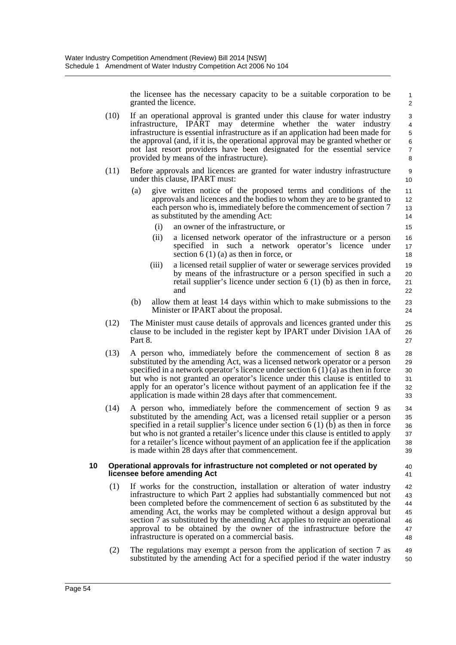the licensee has the necessary capacity to be a suitable corporation to be granted the licence.

- (10) If an operational approval is granted under this clause for water industry infrastructure, IPART may determine whether the water industry infrastructure is essential infrastructure as if an application had been made for the approval (and, if it is, the operational approval may be granted whether or not last resort providers have been designated for the essential service provided by means of the infrastructure).
- (11) Before approvals and licences are granted for water industry infrastructure under this clause, IPART must:
	- (a) give written notice of the proposed terms and conditions of the approvals and licences and the bodies to whom they are to be granted to each person who is, immediately before the commencement of section 7 as substituted by the amending Act:
		- (i) an owner of the infrastructure, or
		- (ii) a licensed network operator of the infrastructure or a person specified in such a network operator's licence under section 6 (1) (a) as then in force, or
		- (iii) a licensed retail supplier of water or sewerage services provided by means of the infrastructure or a person specified in such a retail supplier's licence under section 6 (1)  $(b)$  as then in force, and
	- (b) allow them at least 14 days within which to make submissions to the Minister or IPART about the proposal.
- (12) The Minister must cause details of approvals and licences granted under this clause to be included in the register kept by IPART under Division 1AA of Part 8.
- (13) A person who, immediately before the commencement of section 8 as substituted by the amending Act, was a licensed network operator or a person specified in a network operator's licence under section  $6(1)(a)$  as then in force but who is not granted an operator's licence under this clause is entitled to apply for an operator's licence without payment of an application fee if the application is made within 28 days after that commencement. 28 29 30 31 32 33
- (14) A person who, immediately before the commencement of section 9 as substituted by the amending Act, was a licensed retail supplier or a person specified in a retail supplier's licence under section 6 (1) (b) as then in force but who is not granted a retailer's licence under this clause is entitled to apply for a retailer's licence without payment of an application fee if the application is made within 28 days after that commencement. 34 35 36 37 38 39

### **10 Operational approvals for infrastructure not completed or not operated by licensee before amending Act**

40 41

- (1) If works for the construction, installation or alteration of water industry infrastructure to which Part 2 applies had substantially commenced but not been completed before the commencement of section 6 as substituted by the amending Act, the works may be completed without a design approval but section 7 as substituted by the amending Act applies to require an operational approval to be obtained by the owner of the infrastructure before the infrastructure is operated on a commercial basis. 42 43 44 45 46 47 48
- (2) The regulations may exempt a person from the application of section 7 as substituted by the amending Act for a specified period if the water industry 49 50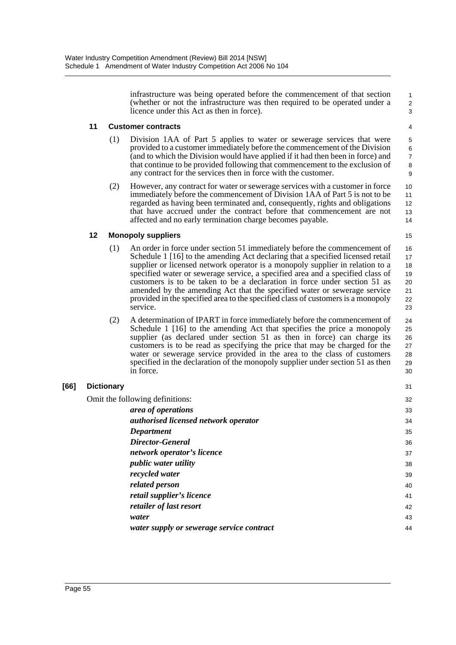infrastructure was being operated before the commencement of that section (whether or not the infrastructure was then required to be operated under a licence under this Act as then in force).

1 2 3

15

31  $\overline{a}$ 

## **11 Customer contracts**

- (1) Division 1AA of Part 5 applies to water or sewerage services that were provided to a customer immediately before the commencement of the Division (and to which the Division would have applied if it had then been in force) and that continue to be provided following that commencement to the exclusion of any contract for the services then in force with the customer.
- (2) However, any contract for water or sewerage services with a customer in force immediately before the commencement of Division 1AA of Part 5 is not to be regarded as having been terminated and, consequently, rights and obligations that have accrued under the contract before that commencement are not affected and no early termination charge becomes payable.

# **12 Monopoly suppliers**

- (1) An order in force under section 51 immediately before the commencement of Schedule 1 [16] to the amending Act declaring that a specified licensed retail supplier or licensed network operator is a monopoly supplier in relation to a specified water or sewerage service, a specified area and a specified class of customers is to be taken to be a declaration in force under section 51 as amended by the amending Act that the specified water or sewerage service provided in the specified area to the specified class of customers is a monopoly service. 16 17 18 19 20 21 22 23
- (2) A determination of IPART in force immediately before the commencement of Schedule 1 [16] to the amending Act that specifies the price a monopoly supplier (as declared under section 51 as then in force) can charge its customers is to be read as specifying the price that may be charged for the water or sewerage service provided in the area to the class of customers specified in the declaration of the monopoly supplier under section 51 as then in force.  $24$ 25 26 27 28 29 30

# **[66] Dictionary**

Omit the following definitions:

| llowing definitions:                      | 32 |
|-------------------------------------------|----|
| area of operations                        | 33 |
| authorised licensed network operator      | 34 |
| Department                                | 35 |
| Director-General                          | 36 |
| network operator's licence                | 37 |
| <i>public water utility</i>               | 38 |
| recycled water                            | 39 |
| related person                            | 40 |
| retail supplier's licence                 | 41 |
| retailer of last resort                   | 42 |
| water                                     | 43 |
| water supply or sewerage service contract | 44 |
|                                           |    |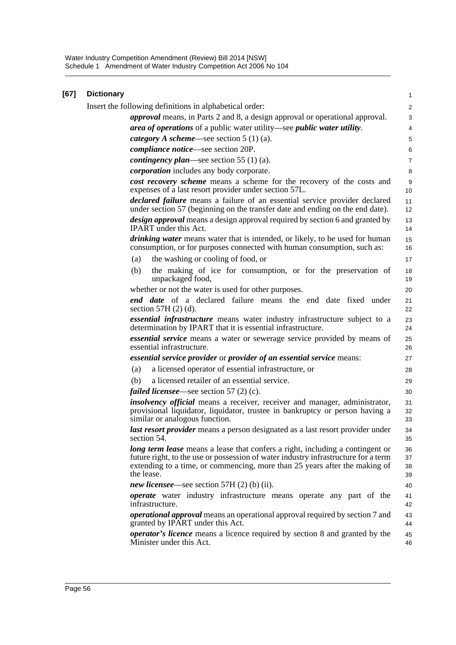Water Industry Competition Amendment (Review) Bill 2014 [NSW] Schedule 1 Amendment of Water Industry Competition Act 2006 No 104

| [67] | <b>Dictionary</b>                                                                                                                                                                                                                                                      | 1                    |  |  |  |  |
|------|------------------------------------------------------------------------------------------------------------------------------------------------------------------------------------------------------------------------------------------------------------------------|----------------------|--|--|--|--|
|      | Insert the following definitions in alphabetical order:                                                                                                                                                                                                                |                      |  |  |  |  |
|      | <i>approval</i> means, in Parts 2 and 8, a design approval or operational approval.                                                                                                                                                                                    | $\mathsf 3$          |  |  |  |  |
|      | area of operations of a public water utility—see public water utility.                                                                                                                                                                                                 | 4                    |  |  |  |  |
|      | <i>category</i> A <i>scheme</i> —see section $5(1)(a)$ .                                                                                                                                                                                                               | 5                    |  |  |  |  |
|      | <i>compliance notice</i> —see section 20P.                                                                                                                                                                                                                             | 6                    |  |  |  |  |
|      | <i>contingency plan—see section</i> 55 (1) (a).                                                                                                                                                                                                                        | $\overline{7}$       |  |  |  |  |
|      | <i>corporation</i> includes any body corporate.                                                                                                                                                                                                                        | 8                    |  |  |  |  |
|      | cost recovery scheme means a scheme for the recovery of the costs and<br>expenses of a last resort provider under section 57L.                                                                                                                                         | 9<br>10              |  |  |  |  |
|      | declared failure means a failure of an essential service provider declared<br>under section 57 (beginning on the transfer date and ending on the end date).                                                                                                            | 11<br>12             |  |  |  |  |
|      | design approval means a design approval required by section 6 and granted by<br><b>IPART</b> under this Act.                                                                                                                                                           | 13<br>14             |  |  |  |  |
|      | <i>drinking water</i> means water that is intended, or likely, to be used for human<br>consumption, or for purposes connected with human consumption, such as:                                                                                                         | 15<br>16             |  |  |  |  |
|      | the washing or cooling of food, or<br>(a)                                                                                                                                                                                                                              | 17                   |  |  |  |  |
|      | the making of ice for consumption, or for the preservation of<br>(b)<br>unpackaged food,                                                                                                                                                                               | 18<br>19             |  |  |  |  |
|      | whether or not the water is used for other purposes.                                                                                                                                                                                                                   | 20                   |  |  |  |  |
|      | end date of a declared failure means the end date fixed under<br>section $57H(2)$ (d).                                                                                                                                                                                 | 21<br>22             |  |  |  |  |
|      | essential infrastructure means water industry infrastructure subject to a<br>determination by IPART that it is essential infrastructure.                                                                                                                               | 23<br>24             |  |  |  |  |
|      | <i>essential service</i> means a water or sewerage service provided by means of<br>essential infrastructure.                                                                                                                                                           | 25<br>26             |  |  |  |  |
|      | essential service provider or provider of an essential service means:                                                                                                                                                                                                  | 27                   |  |  |  |  |
|      | a licensed operator of essential infrastructure, or<br>(a)                                                                                                                                                                                                             | 28                   |  |  |  |  |
|      | a licensed retailer of an essential service.<br>(b)                                                                                                                                                                                                                    | 29                   |  |  |  |  |
|      | <i>failed licensee</i> —see section 57 (2) (c).                                                                                                                                                                                                                        | 30                   |  |  |  |  |
|      | <i>insolvency official</i> means a receiver, receiver and manager, administrator,<br>provisional liquidator, liquidator, trustee in bankruptcy or person having a<br>similar or analogous function.                                                                    | 31<br>32<br>33       |  |  |  |  |
|      | last resort provider means a person designated as a last resort provider under<br>section 54.                                                                                                                                                                          | 34<br>35             |  |  |  |  |
|      | <b>long term lease</b> means a lease that confers a right, including a contingent or<br>future right, to the use or possession of water industry infrastructure for a term<br>extending to a time, or commencing, more than 25 years after the making of<br>the lease. | 36<br>37<br>38<br>39 |  |  |  |  |
|      | <i>new licensee</i> —see section 57H $(2)$ (b) (ii).                                                                                                                                                                                                                   | 40                   |  |  |  |  |
|      | operate water industry infrastructure means operate any part of the<br>infrastructure.                                                                                                                                                                                 | 41<br>42             |  |  |  |  |
|      | <i>operational approval</i> means an operational approval required by section 7 and<br>granted by IPART under this Act.                                                                                                                                                | 43<br>44             |  |  |  |  |
|      | <i>operator's licence</i> means a licence required by section 8 and granted by the<br>Minister under this Act.                                                                                                                                                         | 45<br>46             |  |  |  |  |
|      |                                                                                                                                                                                                                                                                        |                      |  |  |  |  |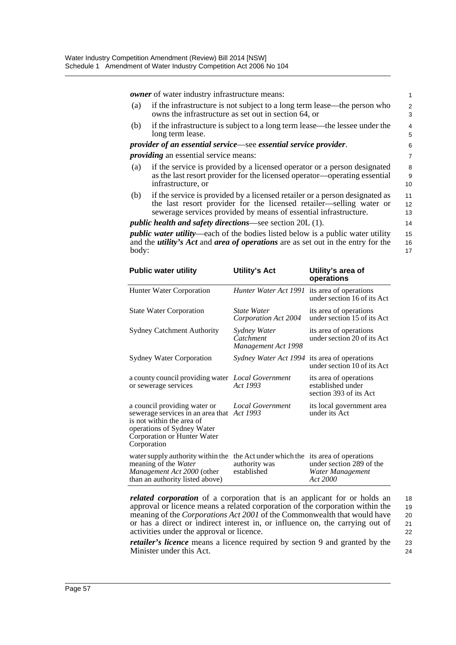*owner* of water industry infrastructure means:

- (a) if the infrastructure is not subject to a long term lease—the person who owns the infrastructure as set out in section 64, or
- (b) if the infrastructure is subject to a long term lease—the lessee under the long term lease.

*provider of an essential service*—see *essential service provider*.

*providing* an essential service means:

- (a) if the service is provided by a licensed operator or a person designated as the last resort provider for the licensed operator—operating essential infrastructure, or
- (b) if the service is provided by a licensed retailer or a person designated as the last resort provider for the licensed retailer—selling water or sewerage services provided by means of essential infrastructure.

#### *public health and safety directions*—see section 20L (1).

*public water utility*—each of the bodies listed below is a public water utility and the *utility's Act* and *area of operations* are as set out in the entry for the body:

| <b>Public water utility</b>                                                                                                                                                | <b>Utility's Act</b>                                    | Utility's area of<br>operations                                                    |
|----------------------------------------------------------------------------------------------------------------------------------------------------------------------------|---------------------------------------------------------|------------------------------------------------------------------------------------|
| Hunter Water Corporation                                                                                                                                                   | Hunter Water Act 1991                                   | its area of operations<br>under section 16 of its Act                              |
| <b>State Water Corporation</b>                                                                                                                                             | State Water<br>Corporation Act 2004                     | its area of operations<br>under section 15 of its Act                              |
| <b>Sydney Catchment Authority</b>                                                                                                                                          | Sydney Water<br>Catchment<br>Management Act 1998        | its area of operations<br>under section 20 of its Act                              |
| <b>Sydney Water Corporation</b>                                                                                                                                            | Sydney Water Act 1994                                   | its area of operations<br>under section 10 of its Act                              |
| a county council providing water Local Government<br>or sewerage services                                                                                                  | Act 1993                                                | its area of operations<br>established under<br>section 393 of its Act              |
| a council providing water or<br>sewerage services in an area that<br>is not within the area of<br>operations of Sydney Water<br>Corporation or Hunter Water<br>Corporation | <b>Local Government</b><br>Act 1993                     | its local government area<br>under its Act                                         |
| water supply authority within the<br>meaning of the Water<br>Management Act 2000 (other<br>than an authority listed above)                                                 | the Act under which the<br>authority was<br>established | its area of operations<br>under section 289 of the<br>Water Management<br>Act 2000 |

*related corporation* of a corporation that is an applicant for or holds an approval or licence means a related corporation of the corporation within the meaning of the *Corporations Act 2001* of the Commonwealth that would have or has a direct or indirect interest in, or influence on, the carrying out of activities under the approval or licence.

*retailer's licence* means a licence required by section 9 and granted by the Minister under this Act.

18 19 20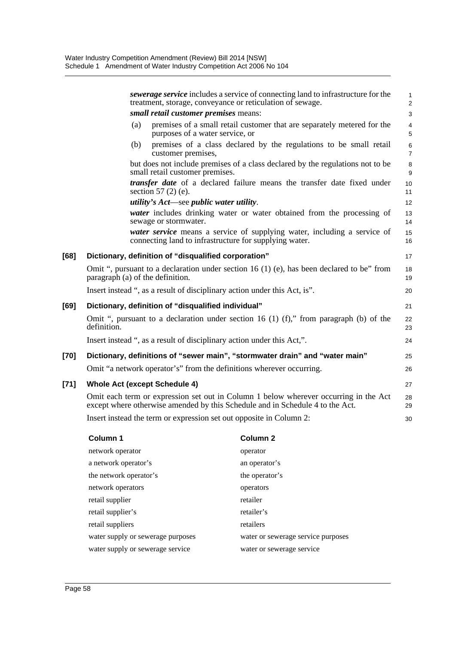|        | sewerage service includes a service of connecting land to infrastructure for the<br>treatment, storage, conveyance or reticulation of sewage.                         | $\mathbf{1}$<br>$\overline{2}$        |
|--------|-----------------------------------------------------------------------------------------------------------------------------------------------------------------------|---------------------------------------|
|        | small retail customer premises means:                                                                                                                                 | 3                                     |
|        | premises of a small retail customer that are separately metered for the<br>(a)<br>purposes of a water service, or                                                     | $\overline{\mathbf{4}}$<br>$\sqrt{5}$ |
|        | premises of a class declared by the regulations to be small retail<br>(b)<br>customer premises,                                                                       | 6<br>$\overline{7}$                   |
|        | but does not include premises of a class declared by the regulations not to be<br>small retail customer premises.                                                     | $\bf 8$<br>9                          |
|        | transfer date of a declared failure means the transfer date fixed under<br>section $57(2)$ (e).                                                                       | 10<br>11                              |
|        | <i>utility's Act—see public water utility.</i>                                                                                                                        | 12                                    |
|        | <i>water</i> includes drinking water or water obtained from the processing of<br>sewage or stormwater.                                                                | 13<br>14                              |
|        | water service means a service of supplying water, including a service of<br>connecting land to infrastructure for supplying water.                                    | 15<br>16                              |
| [68]   | Dictionary, definition of "disqualified corporation"                                                                                                                  | 17                                    |
|        | Omit ", pursuant to a declaration under section 16 (1) (e), has been declared to be" from<br>paragraph (a) of the definition.                                         | 18<br>19                              |
|        | Insert instead ", as a result of disciplinary action under this Act, is".                                                                                             | 20                                    |
| [69]   | Dictionary, definition of "disqualified individual"                                                                                                                   | 21                                    |
|        | Omit ", pursuant to a declaration under section 16 (1) (f)," from paragraph (b) of the<br>definition.                                                                 | 22<br>23                              |
|        | Insert instead ", as a result of disciplinary action under this Act,".                                                                                                | 24                                    |
| [70]   | Dictionary, definitions of "sewer main", "stormwater drain" and "water main"                                                                                          | 25                                    |
|        | Omit "a network operator's" from the definitions wherever occurring.                                                                                                  | 26                                    |
| $[71]$ | <b>Whole Act (except Schedule 4)</b>                                                                                                                                  | 27                                    |
|        | Omit each term or expression set out in Column 1 below wherever occurring in the Act<br>except where otherwise amended by this Schedule and in Schedule 4 to the Act. | 28<br>29                              |
|        | Insert instead the term or expression set out opposite in Column 2:                                                                                                   | 30                                    |
|        |                                                                                                                                                                       |                                       |

| Column 1                          | Column <sub>2</sub>                |
|-----------------------------------|------------------------------------|
| network operator                  | operator                           |
| a network operator's              | an operator's                      |
| the network operator's            | the operator's                     |
| network operators                 | operators                          |
| retail supplier                   | retailer                           |
| retail supplier's                 | retailer's                         |
| retail suppliers                  | retailers                          |
| water supply or sewerage purposes | water or sewerage service purposes |
| water supply or sewerage service  | water or sewerage service          |
|                                   |                                    |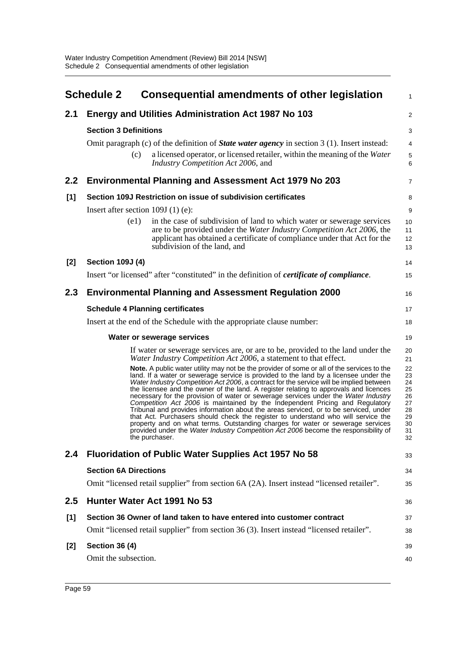|       | <b>Schedule 2</b>                       | <b>Consequential amendments of other legislation</b>                                                                                                                                                                                                                                                                                                                                                                                                                                                                                                                                                                                                                                                                                                                                                                                                                                                                 | 1                                                              |  |
|-------|-----------------------------------------|----------------------------------------------------------------------------------------------------------------------------------------------------------------------------------------------------------------------------------------------------------------------------------------------------------------------------------------------------------------------------------------------------------------------------------------------------------------------------------------------------------------------------------------------------------------------------------------------------------------------------------------------------------------------------------------------------------------------------------------------------------------------------------------------------------------------------------------------------------------------------------------------------------------------|----------------------------------------------------------------|--|
| 2.1   |                                         | <b>Energy and Utilities Administration Act 1987 No 103</b>                                                                                                                                                                                                                                                                                                                                                                                                                                                                                                                                                                                                                                                                                                                                                                                                                                                           | $\overline{c}$                                                 |  |
|       | <b>Section 3 Definitions</b>            |                                                                                                                                                                                                                                                                                                                                                                                                                                                                                                                                                                                                                                                                                                                                                                                                                                                                                                                      |                                                                |  |
|       |                                         | Omit paragraph (c) of the definition of <b>State water agency</b> in section $3(1)$ . Insert instead:                                                                                                                                                                                                                                                                                                                                                                                                                                                                                                                                                                                                                                                                                                                                                                                                                | 4                                                              |  |
|       | (c)                                     | a licensed operator, or licensed retailer, within the meaning of the Water<br>Industry Competition Act 2006, and                                                                                                                                                                                                                                                                                                                                                                                                                                                                                                                                                                                                                                                                                                                                                                                                     | 5<br>6                                                         |  |
| 2.2   |                                         | <b>Environmental Planning and Assessment Act 1979 No 203</b>                                                                                                                                                                                                                                                                                                                                                                                                                                                                                                                                                                                                                                                                                                                                                                                                                                                         | 7                                                              |  |
| [1]   |                                         | Section 109J Restriction on issue of subdivision certificates                                                                                                                                                                                                                                                                                                                                                                                                                                                                                                                                                                                                                                                                                                                                                                                                                                                        | 8                                                              |  |
|       | Insert after section $109J(1)$ (e):     |                                                                                                                                                                                                                                                                                                                                                                                                                                                                                                                                                                                                                                                                                                                                                                                                                                                                                                                      | 9                                                              |  |
|       | (e1)                                    | in the case of subdivision of land to which water or sewerage services<br>are to be provided under the Water Industry Competition Act 2006, the<br>applicant has obtained a certificate of compliance under that Act for the<br>subdivision of the land, and                                                                                                                                                                                                                                                                                                                                                                                                                                                                                                                                                                                                                                                         | 10<br>11<br>12<br>13                                           |  |
| [2]   | <b>Section 109J (4)</b>                 |                                                                                                                                                                                                                                                                                                                                                                                                                                                                                                                                                                                                                                                                                                                                                                                                                                                                                                                      | 14                                                             |  |
|       |                                         | Insert "or licensed" after "constituted" in the definition of <i>certificate of compliance</i> .                                                                                                                                                                                                                                                                                                                                                                                                                                                                                                                                                                                                                                                                                                                                                                                                                     | 15                                                             |  |
| 2.3   |                                         | <b>Environmental Planning and Assessment Regulation 2000</b>                                                                                                                                                                                                                                                                                                                                                                                                                                                                                                                                                                                                                                                                                                                                                                                                                                                         | 16                                                             |  |
|       | <b>Schedule 4 Planning certificates</b> |                                                                                                                                                                                                                                                                                                                                                                                                                                                                                                                                                                                                                                                                                                                                                                                                                                                                                                                      | 17                                                             |  |
|       |                                         | Insert at the end of the Schedule with the appropriate clause number:                                                                                                                                                                                                                                                                                                                                                                                                                                                                                                                                                                                                                                                                                                                                                                                                                                                | 18                                                             |  |
|       |                                         | Water or sewerage services                                                                                                                                                                                                                                                                                                                                                                                                                                                                                                                                                                                                                                                                                                                                                                                                                                                                                           | 19                                                             |  |
|       |                                         | If water or sewerage services are, or are to be, provided to the land under the<br>Water Industry Competition Act 2006, a statement to that effect.                                                                                                                                                                                                                                                                                                                                                                                                                                                                                                                                                                                                                                                                                                                                                                  | 20<br>21                                                       |  |
|       |                                         | Note. A public water utility may not be the provider of some or all of the services to the<br>land. If a water or sewerage service is provided to the land by a licensee under the<br>Water Industry Competition Act 2006, a contract for the service will be implied between<br>the licensee and the owner of the land. A register relating to approvals and licences<br>necessary for the provision of water or sewerage services under the Water Industry<br>Competition Act 2006 is maintained by the Independent Pricing and Regulatory<br>Tribunal and provides information about the areas serviced, or to be serviced, under<br>that Act. Purchasers should check the register to understand who will service the<br>property and on what terms. Outstanding charges for water or sewerage services<br>provided under the Water Industry Competition Act 2006 become the responsibility of<br>the purchaser. | 22<br>23<br>24<br>25<br>26<br>27<br>28<br>29<br>30<br>31<br>32 |  |
| 2.4   |                                         | <b>Fluoridation of Public Water Supplies Act 1957 No 58</b>                                                                                                                                                                                                                                                                                                                                                                                                                                                                                                                                                                                                                                                                                                                                                                                                                                                          | 33                                                             |  |
|       | <b>Section 6A Directions</b>            |                                                                                                                                                                                                                                                                                                                                                                                                                                                                                                                                                                                                                                                                                                                                                                                                                                                                                                                      | 34                                                             |  |
|       |                                         | Omit "licensed retail supplier" from section 6A (2A). Insert instead "licensed retailer".                                                                                                                                                                                                                                                                                                                                                                                                                                                                                                                                                                                                                                                                                                                                                                                                                            | 35                                                             |  |
| 2.5   |                                         | Hunter Water Act 1991 No 53                                                                                                                                                                                                                                                                                                                                                                                                                                                                                                                                                                                                                                                                                                                                                                                                                                                                                          | 36                                                             |  |
| [1]   |                                         | Section 36 Owner of land taken to have entered into customer contract                                                                                                                                                                                                                                                                                                                                                                                                                                                                                                                                                                                                                                                                                                                                                                                                                                                | 37                                                             |  |
|       |                                         | Omit "licensed retail supplier" from section 36 (3). Insert instead "licensed retailer".                                                                                                                                                                                                                                                                                                                                                                                                                                                                                                                                                                                                                                                                                                                                                                                                                             | 38                                                             |  |
| $[2]$ | <b>Section 36 (4)</b>                   |                                                                                                                                                                                                                                                                                                                                                                                                                                                                                                                                                                                                                                                                                                                                                                                                                                                                                                                      | 39                                                             |  |
|       | Omit the subsection.                    |                                                                                                                                                                                                                                                                                                                                                                                                                                                                                                                                                                                                                                                                                                                                                                                                                                                                                                                      | 40                                                             |  |
|       |                                         |                                                                                                                                                                                                                                                                                                                                                                                                                                                                                                                                                                                                                                                                                                                                                                                                                                                                                                                      |                                                                |  |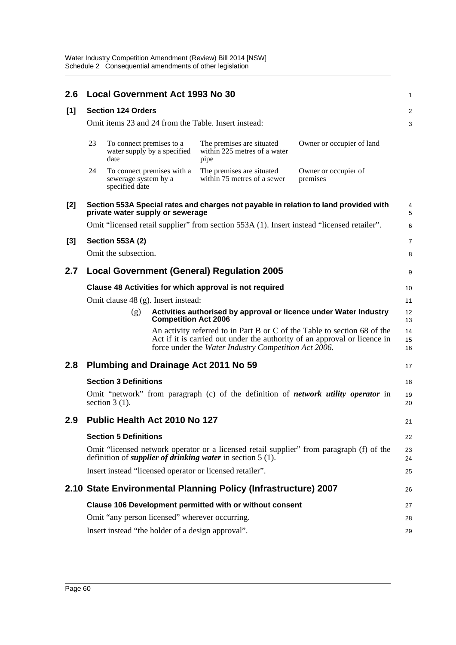| 2.6   | <b>Local Government Act 1993 No 30</b>                                                                                                                          |                                        |                                  |                                                                                                                                                                                                               | 1                                |                |
|-------|-----------------------------------------------------------------------------------------------------------------------------------------------------------------|----------------------------------------|----------------------------------|---------------------------------------------------------------------------------------------------------------------------------------------------------------------------------------------------------------|----------------------------------|----------------|
| [1]   | <b>Section 124 Orders</b>                                                                                                                                       |                                        |                                  |                                                                                                                                                                                                               |                                  | 2              |
|       | Omit items 23 and 24 from the Table. Insert instead:                                                                                                            |                                        |                                  |                                                                                                                                                                                                               |                                  | 3              |
|       | 23                                                                                                                                                              | To connect premises to a<br>date       | water supply by a specified      | The premises are situated<br>within 225 metres of a water<br>pipe                                                                                                                                             | Owner or occupier of land        |                |
|       | 24                                                                                                                                                              | sewerage system by a<br>specified date | To connect premises with a       | The premises are situated<br>within 75 metres of a sewer                                                                                                                                                      | Owner or occupier of<br>premises |                |
| $[2]$ |                                                                                                                                                                 |                                        | private water supply or sewerage | Section 553A Special rates and charges not payable in relation to land provided with                                                                                                                          |                                  | 4<br>5         |
|       |                                                                                                                                                                 |                                        |                                  | Omit "licensed retail supplier" from section 553A (1). Insert instead "licensed retailer".                                                                                                                    |                                  | 6              |
| $[3]$ |                                                                                                                                                                 | <b>Section 553A (2)</b>                |                                  |                                                                                                                                                                                                               |                                  | $\overline{7}$ |
|       |                                                                                                                                                                 | Omit the subsection.                   |                                  |                                                                                                                                                                                                               |                                  | 8              |
| 2.7   | <b>Local Government (General) Regulation 2005</b>                                                                                                               |                                        |                                  |                                                                                                                                                                                                               |                                  | 9              |
|       | Clause 48 Activities for which approval is not required                                                                                                         |                                        |                                  |                                                                                                                                                                                                               |                                  |                |
|       | Omit clause 48 (g). Insert instead:                                                                                                                             |                                        |                                  |                                                                                                                                                                                                               |                                  | 11             |
|       |                                                                                                                                                                 | (g)                                    | <b>Competition Act 2006</b>      | Activities authorised by approval or licence under Water Industry                                                                                                                                             |                                  | 12<br>13       |
|       |                                                                                                                                                                 |                                        |                                  | An activity referred to in Part B or C of the Table to section 68 of the<br>Act if it is carried out under the authority of an approval or licence in<br>force under the Water Industry Competition Act 2006. |                                  | 14<br>15<br>16 |
| 2.8   |                                                                                                                                                                 |                                        |                                  | Plumbing and Drainage Act 2011 No 59                                                                                                                                                                          |                                  | 17             |
|       | <b>Section 3 Definitions</b>                                                                                                                                    |                                        |                                  |                                                                                                                                                                                                               |                                  | 18             |
|       |                                                                                                                                                                 | section $3(1)$ .                       |                                  | Omit "network" from paragraph (c) of the definition of <i>network utility operator</i> in                                                                                                                     |                                  | 19<br>20       |
| 2.9   |                                                                                                                                                                 |                                        | Public Health Act 2010 No 127    |                                                                                                                                                                                                               |                                  | 21             |
|       | <b>Section 5 Definitions</b>                                                                                                                                    |                                        |                                  |                                                                                                                                                                                                               |                                  | 22             |
|       | Omit "licensed network operator or a licensed retail supplier" from paragraph (f) of the<br>definition of <i>supplier of drinking water</i> in section $5(1)$ . |                                        |                                  |                                                                                                                                                                                                               |                                  | 23<br>24       |
|       |                                                                                                                                                                 |                                        |                                  | Insert instead "licensed operator or licensed retailer".                                                                                                                                                      |                                  | 25             |
|       |                                                                                                                                                                 |                                        |                                  | 2.10 State Environmental Planning Policy (Infrastructure) 2007                                                                                                                                                |                                  | 26             |
|       | Clause 106 Development permitted with or without consent                                                                                                        |                                        |                                  |                                                                                                                                                                                                               |                                  | 27             |
|       |                                                                                                                                                                 |                                        |                                  | Omit "any person licensed" wherever occurring.                                                                                                                                                                |                                  | 28             |
|       |                                                                                                                                                                 |                                        |                                  | Insert instead "the holder of a design approval".                                                                                                                                                             |                                  | 29             |